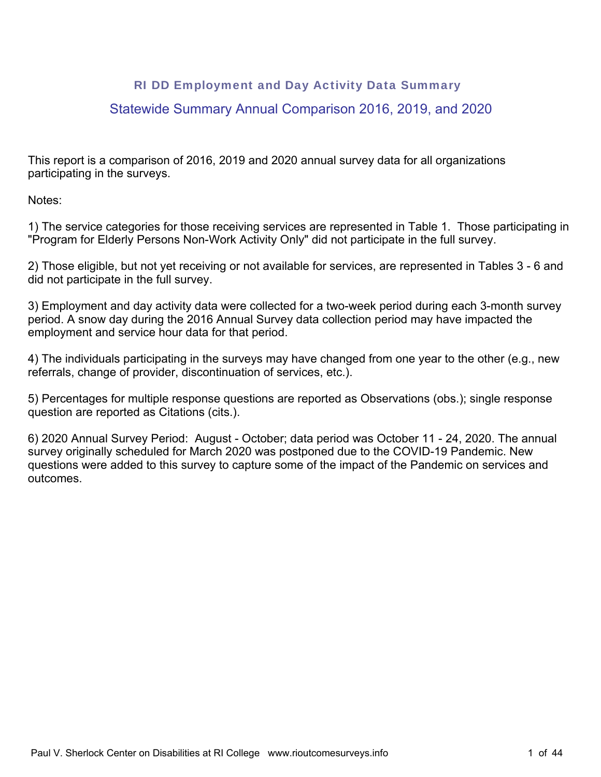# RI DD Employment and Day Activity Data Summary

# Statewide Summary Annual Comparison 2016, 2019, and 2020

This report is a comparison of 2016, 2019 and 2020 annual survey data for all organizations participating in the surveys.

Notes:

1) The service categories for those receiving services are represented in Table 1. Those participating in "Program for Elderly Persons Non-Work Activity Only" did not participate in the full survey.

2) Those eligible, but not yet receiving or not available for services, are represented in Tables 3 - 6 and did not participate in the full survey.

3) Employment and day activity data were collected for a two-week period during each 3-month survey period. A snow day during the 2016 Annual Survey data collection period may have impacted the employment and service hour data for that period.

4) The individuals participating in the surveys may have changed from one year to the other (e.g., new referrals, change of provider, discontinuation of services, etc.).

5) Percentages for multiple response questions are reported as Observations (obs.); single response question are reported as Citations (cits.).

6) 2020 Annual Survey Period: August - October; data period was October 11 - 24, 2020. The annual survey originally scheduled for March 2020 was postponed due to the COVID-19 Pandemic. New questions were added to this survey to capture some of the impact of the Pandemic on services and outcomes.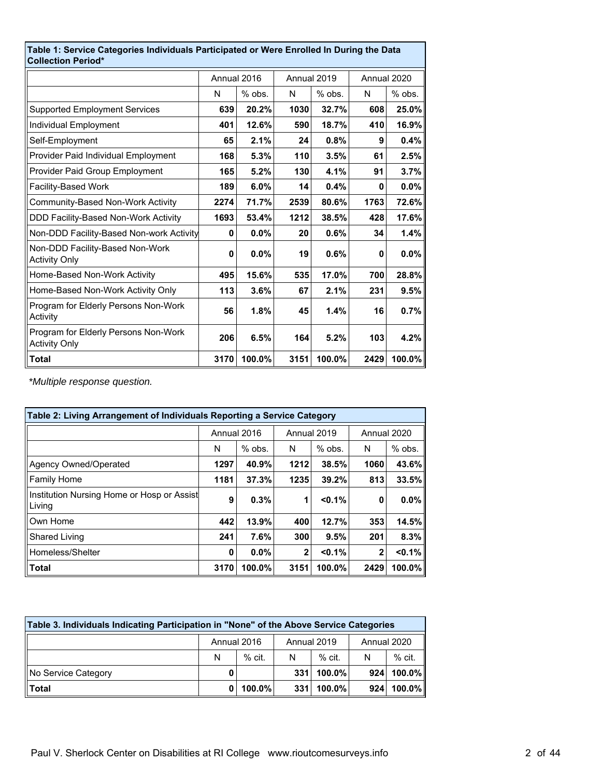| Table 1: Service Categories Individuals Participated or Were Enrolled In During the Data<br><b>Collection Period*</b> |      |             |             |        |             |          |
|-----------------------------------------------------------------------------------------------------------------------|------|-------------|-------------|--------|-------------|----------|
|                                                                                                                       |      | Annual 2016 | Annual 2019 |        | Annual 2020 |          |
|                                                                                                                       | N    | % obs.      | N           | % obs. | N           | $%$ obs. |
| <b>Supported Employment Services</b>                                                                                  | 639  | 20.2%       | 1030        | 32.7%  | 608         | 25.0%    |
| Individual Employment                                                                                                 | 401  | 12.6%       | 590         | 18.7%  | 410         | 16.9%    |
| Self-Employment                                                                                                       | 65   | 2.1%        | 24          | 0.8%   | 9           | $0.4\%$  |
| Provider Paid Individual Employment                                                                                   | 168  | 5.3%        | 110         | 3.5%   | 61          | 2.5%     |
| Provider Paid Group Employment                                                                                        | 165  | 5.2%        | 130         | 4.1%   | 91          | 3.7%     |
| Facility-Based Work                                                                                                   | 189  | 6.0%        | 14          | 0.4%   | 0           | $0.0\%$  |
| Community-Based Non-Work Activity                                                                                     | 2274 | 71.7%       | 2539        | 80.6%  | 1763        | 72.6%    |
| DDD Facility-Based Non-Work Activity                                                                                  | 1693 | 53.4%       | 1212        | 38.5%  | 428         | 17.6%    |
| Non-DDD Facility-Based Non-work Activity                                                                              | 0    | 0.0%        | 20          | 0.6%   | 34          | 1.4%     |
| Non-DDD Facility-Based Non-Work<br><b>Activity Only</b>                                                               | 0    | 0.0%        | 19          | 0.6%   | 0           | $0.0\%$  |
| Home-Based Non-Work Activity                                                                                          | 495  | 15.6%       | 535         | 17.0%  | 700         | 28.8%    |
| Home-Based Non-Work Activity Only                                                                                     | 113  | 3.6%        | 67          | 2.1%   | 231         | 9.5%     |
| Program for Elderly Persons Non-Work<br>Activity                                                                      | 56   | 1.8%        | 45          | 1.4%   | 16          | 0.7%     |
| Program for Elderly Persons Non-Work<br><b>Activity Only</b>                                                          | 206  | 6.5%        | 164         | 5.2%   | 103         | 4.2%     |
| <b>Total</b>                                                                                                          | 3170 | 100.0%      | 3151        | 100.0% | 2429        | 100.0%   |

*\*Multiple response question.*

| Table 2: Living Arrangement of Individuals Reporting a Service Category |             |          |              |           |              |          |  |
|-------------------------------------------------------------------------|-------------|----------|--------------|-----------|--------------|----------|--|
|                                                                         | Annual 2016 |          | Annual 2019  |           | Annual 2020  |          |  |
|                                                                         | N           | $%$ obs. | N            | $%$ obs.  | N            | $%$ obs. |  |
| Agency Owned/Operated                                                   | 1297        | 40.9%    | 1212         | 38.5%     | 1060         | 43.6%    |  |
| <b>Family Home</b>                                                      | 1181        | 37.3%    | 1235         | 39.2%     | 813          | 33.5%    |  |
| Institution Nursing Home or Hosp or Assist<br>Living                    | 9           | 0.3%     | 1            | $< 0.1\%$ | 0            | $0.0\%$  |  |
| Own Home                                                                | 442         | 13.9%    | 400          | 12.7%     | 353          | 14.5%    |  |
| <b>Shared Living</b>                                                    | 241         | 7.6%     | 300          | 9.5%      | 201          | 8.3%     |  |
| Homeless/Shelter                                                        | 0           | $0.0\%$  | $\mathbf{2}$ | $< 0.1\%$ | $\mathbf{2}$ | < 0.1%   |  |
| <b>Total</b>                                                            | 3170        | 100.0%   | 3151         | $100.0\%$ | 2429         | 100.0%   |  |

| Table 3. Individuals Indicating Participation in "None" of the Above Service Categories |                                             |                         |     |        |  |              |  |
|-----------------------------------------------------------------------------------------|---------------------------------------------|-------------------------|-----|--------|--|--------------|--|
|                                                                                         | Annual 2019<br>Annual 2020<br>Annual 2016   |                         |     |        |  |              |  |
|                                                                                         | N                                           | $%$ cit<br>$%$ cit<br>N |     |        |  | $%$ cit.     |  |
| No Service Category                                                                     | 0                                           |                         | 331 | 100.0% |  | $924$ 100.0% |  |
| <b>Total</b>                                                                            | $100.0\%$<br>100.0%<br>100.0%<br>331<br>924 |                         |     |        |  |              |  |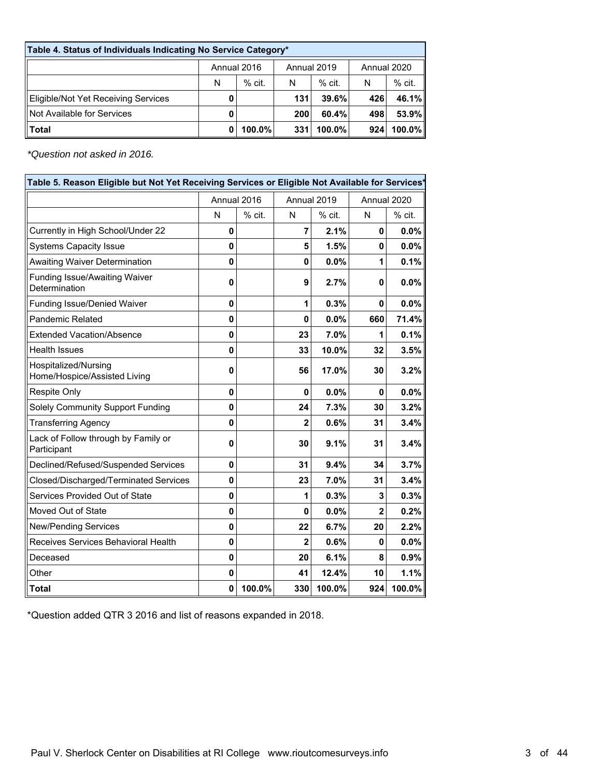| Table 4. Status of Individuals Indicating No Service Category* |                                           |           |            |           |     |          |  |
|----------------------------------------------------------------|-------------------------------------------|-----------|------------|-----------|-----|----------|--|
|                                                                | Annual 2016<br>Annual 2019<br>Annual 2020 |           |            |           |     |          |  |
|                                                                | N                                         | $%$ cit.  | N          | $%$ cit.  | N   | $%$ cit. |  |
| Eligible/Not Yet Receiving Services                            |                                           |           | 131        | 39.6%     | 426 | 46.1%    |  |
| Not Available for Services                                     | 0                                         |           | <b>200</b> | 60.4%     | 498 | 53.9%    |  |
| Total                                                          | 0                                         | $100.0\%$ | 331        | $100.0\%$ | 924 | 100.0%   |  |

*\*Question not asked in 2016.*

| Table 5. Reason Eligible but Not Yet Receiving Services or Eligible Not Available for Services* |              |             |                |        |                |        |  |
|-------------------------------------------------------------------------------------------------|--------------|-------------|----------------|--------|----------------|--------|--|
|                                                                                                 |              | Annual 2016 | Annual 2019    |        | Annual 2020    |        |  |
|                                                                                                 | N            | % cit.      | N              | % cit. | N              | % cit. |  |
| Currently in High School/Under 22                                                               | 0            |             | $\overline{7}$ | 2.1%   | 0              | 0.0%   |  |
| <b>Systems Capacity Issue</b>                                                                   | 0            |             | 5              | 1.5%   | $\mathbf 0$    | 0.0%   |  |
| <b>Awaiting Waiver Determination</b>                                                            | 0            |             | $\mathbf{0}$   | 0.0%   | 1              | 0.1%   |  |
| <b>Funding Issue/Awaiting Waiver</b><br>Determination                                           | 0            |             | 9              | 2.7%   | 0              | 0.0%   |  |
| <b>Funding Issue/Denied Waiver</b>                                                              | $\mathbf 0$  |             | 1              | 0.3%   | $\mathbf{0}$   | 0.0%   |  |
| <b>Pandemic Related</b>                                                                         | 0            |             | $\mathbf{0}$   | 0.0%   | 660            | 71.4%  |  |
| <b>Extended Vacation/Absence</b>                                                                | 0            |             | 23             | 7.0%   | 1              | 0.1%   |  |
| <b>Health Issues</b>                                                                            | 0            |             | 33             | 10.0%  | 32             | 3.5%   |  |
| Hospitalized/Nursing<br>Home/Hospice/Assisted Living                                            | 0            |             | 56             | 17.0%  | 30             | 3.2%   |  |
| Respite Only                                                                                    | 0            |             | $\mathbf{0}$   | 0.0%   | $\mathbf{0}$   | 0.0%   |  |
| Solely Community Support Funding                                                                | 0            |             | 24             | 7.3%   | 30             | 3.2%   |  |
| <b>Transferring Agency</b>                                                                      | $\mathbf{0}$ |             | $\overline{2}$ | 0.6%   | 31             | 3.4%   |  |
| Lack of Follow through by Family or<br>Participant                                              | 0            |             | 30             | 9.1%   | 31             | 3.4%   |  |
| Declined/Refused/Suspended Services                                                             | 0            |             | 31             | 9.4%   | 34             | 3.7%   |  |
| Closed/Discharged/Terminated Services                                                           | 0            |             | 23             | 7.0%   | 31             | 3.4%   |  |
| Services Provided Out of State                                                                  | 0            |             | 1              | 0.3%   | 3              | 0.3%   |  |
| Moved Out of State                                                                              | 0            |             | $\mathbf{0}$   | 0.0%   | $\overline{2}$ | 0.2%   |  |
| <b>New/Pending Services</b>                                                                     | 0            |             | 22             | 6.7%   | 20             | 2.2%   |  |
| Receives Services Behavioral Health                                                             | 0            |             | 2              | 0.6%   | 0              | 0.0%   |  |
| Deceased                                                                                        | 0            |             | 20             | 6.1%   | 8              | 0.9%   |  |
| Other                                                                                           | 0            |             | 41             | 12.4%  | 10             | 1.1%   |  |
| <b>Total</b>                                                                                    | 0            | 100.0%      | 330            | 100.0% | 924            | 100.0% |  |

\*Question added QTR 3 2016 and list of reasons expanded in 2018.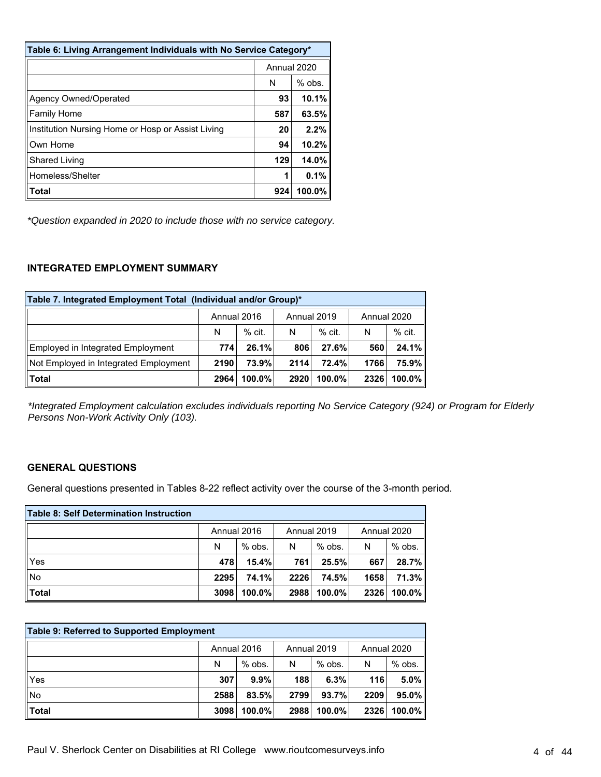| Table 6: Living Arrangement Individuals with No Service Category* |             |          |  |  |  |  |
|-------------------------------------------------------------------|-------------|----------|--|--|--|--|
|                                                                   | Annual 2020 |          |  |  |  |  |
|                                                                   | N           | $%$ obs. |  |  |  |  |
| Agency Owned/Operated                                             | 93          | 10.1%    |  |  |  |  |
| <b>Family Home</b>                                                | 587         | 63.5%    |  |  |  |  |
| Institution Nursing Home or Hosp or Assist Living                 | 20          | 2.2%     |  |  |  |  |
| Own Home                                                          | 94          | 10.2%    |  |  |  |  |
| <b>Shared Living</b>                                              | 129         | 14.0%    |  |  |  |  |
| Homeless/Shelter                                                  |             | 0.1%     |  |  |  |  |
| Total                                                             | 924         | 100.0%   |  |  |  |  |

*\*Question expanded in 2020 to include those with no service category.*

#### **INTEGRATED EMPLOYMENT SUMMARY**

| Table 7. Integrated Employment Total (Individual and/or Group)* |                                           |          |      |          |      |           |  |
|-----------------------------------------------------------------|-------------------------------------------|----------|------|----------|------|-----------|--|
|                                                                 | Annual 2019<br>Annual 2020<br>Annual 2016 |          |      |          |      |           |  |
|                                                                 | N                                         | $%$ cit. | N    | $%$ cit. | N    | $%$ cit.  |  |
| Employed in Integrated Employment                               | 774                                       | 26.1%    | 806  | 27.6%    | 560  | 24.1%     |  |
| Not Employed in Integrated Employment                           | 2190                                      | 73.9%    | 2114 | 72.4%    | 1766 | 75.9%     |  |
| $ $ Total                                                       | 2964                                      | 100.0%   | 2920 | 100.0%   | 2326 | $100.0\%$ |  |

*\*Integrated Employment calculation excludes individuals reporting No Service Category (924) or Program for Elderly Persons Non-Work Activity Only (103).*

#### **GENERAL QUESTIONS**

General questions presented in Tables 8-22 reflect activity over the course of the 3-month period.

| Table 8: Self Determination Instruction |             |          |             |          |             |           |
|-----------------------------------------|-------------|----------|-------------|----------|-------------|-----------|
|                                         | Annual 2016 |          | Annual 2019 |          | Annual 2020 |           |
|                                         | N           | $%$ obs. | N           | $%$ obs. | N           | $%$ obs.  |
| Yes                                     | 478         | 15.4%    | 761         | 25.5%    | 667         | 28.7%     |
| ∥No                                     | 2295        | 74.1%    | 2226        | 74.5%    | 1658        | 71.3%     |
| $\ $ Total                              | 3098        | 100.0%   | 2988        | 100.0%   | 2326        | $100.0\%$ |

| Table 9: Referred to Supported Employment |                                           |           |      |           |      |           |  |
|-------------------------------------------|-------------------------------------------|-----------|------|-----------|------|-----------|--|
|                                           | Annual 2016<br>Annual 2020<br>Annual 2019 |           |      |           |      |           |  |
|                                           | N                                         | $%$ obs.  | N    | $%$ obs.  | N    | % obs.    |  |
| Yes                                       | 307                                       | 9.9%      | 188  | 6.3%      | 116  | $5.0\%$   |  |
| ∥No                                       | 2588                                      | 83.5%     | 2799 | 93.7%     | 2209 | $95.0\%$  |  |
| $\ $ Total                                | 3098                                      | $100.0\%$ | 2988 | $100.0\%$ | 2326 | $100.0\%$ |  |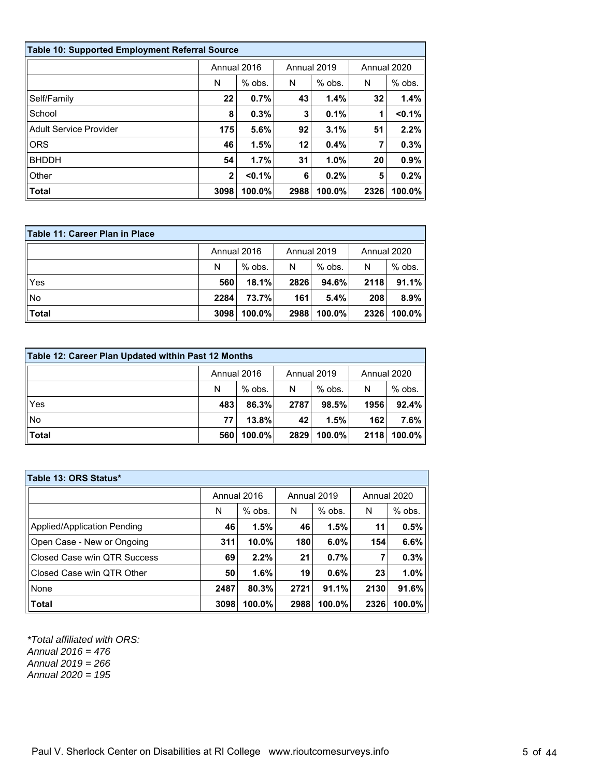| Table 10: Supported Employment Referral Source |              |           |             |          |             |          |  |
|------------------------------------------------|--------------|-----------|-------------|----------|-------------|----------|--|
|                                                | Annual 2016  |           | Annual 2019 |          | Annual 2020 |          |  |
|                                                | N            | $%$ obs.  | N           | $%$ obs. | N           | $%$ obs. |  |
| Self/Family                                    | 22           | 0.7%      | 43          | 1.4%     | 32          | 1.4%     |  |
| School                                         | 8            | 0.3%      | 3           | 0.1%     |             | < 0.1%   |  |
| <b>Adult Service Provider</b>                  | 175          | 5.6%      | 92          | 3.1%     | 51          | 2.2%     |  |
| <b>ORS</b>                                     | 46           | 1.5%      | 12          | 0.4%     |             | 0.3%     |  |
| <b>BHDDH</b>                                   | 54           | 1.7%      | 31          | 1.0%     | 20          | 0.9%     |  |
| Other                                          | $\mathbf{2}$ | $< 0.1\%$ | 6           | 0.2%     | 5           | 0.2%     |  |
| <b>Total</b>                                   | 3098         | 100.0%    | 2988        | 100.0%   | 2326        | 100.0%   |  |

| Table 11: Career Plan in Place |                                           |          |      |           |      |           |  |
|--------------------------------|-------------------------------------------|----------|------|-----------|------|-----------|--|
|                                | Annual 2016<br>Annual 2019<br>Annual 2020 |          |      |           |      |           |  |
|                                | N                                         | $%$ obs. | N    | % obs.    | N    | $%$ obs.  |  |
| Yes                            | 560                                       | 18.1%    | 2826 | $94.6\%$  | 2118 | 91.1%     |  |
| No                             | 2284                                      | 73.7%    | 161  | 5.4%      | 208  | $8.9\%$   |  |
| <b>Total</b>                   | 3098                                      | 100.0%   | 2988 | $100.0\%$ | 2326 | $100.0\%$ |  |

| Table 12: Career Plan Updated within Past 12 Months |                                           |        |      |           |      |           |  |
|-----------------------------------------------------|-------------------------------------------|--------|------|-----------|------|-----------|--|
|                                                     | Annual 2020<br>Annual 2016<br>Annual 2019 |        |      |           |      |           |  |
|                                                     | $%$ obs.<br>N                             |        | N    | $%$ obs.  | N    | $%$ obs.  |  |
| Yes                                                 | 483                                       | 86.3%  | 2787 | 98.5%     | 1956 | 92.4%     |  |
| No                                                  | 77                                        | 13.8%  | 42   | 1.5%      | 162  | $7.6\%$   |  |
| Total                                               | 560                                       | 100.0% | 2829 | $100.0\%$ | 2118 | $100.0\%$ |  |

| Table 13: ORS Status*        |             |          |             |        |             |          |  |  |
|------------------------------|-------------|----------|-------------|--------|-------------|----------|--|--|
|                              | Annual 2016 |          | Annual 2019 |        | Annual 2020 |          |  |  |
|                              | N           | $%$ obs. | N           | % obs. | N           | $%$ obs. |  |  |
| Applied/Application Pending  | 46          | 1.5%     | 46          | 1.5%   | 11          | 0.5%     |  |  |
| Open Case - New or Ongoing   | 311         | 10.0%    | 180         | 6.0%   | 154         | 6.6%     |  |  |
| Closed Case w/in QTR Success | 69          | 2.2%     | 21          | 0.7%   | 7           | 0.3%     |  |  |
| Closed Case w/in QTR Other   | 50          | 1.6%     | 19          | 0.6%   | 23          | 1.0%     |  |  |
| None                         | 2487        | 80.3%    | 2721        | 91.1%  | 2130        | 91.6%    |  |  |
| Total                        | 3098        | 100.0%   | 2988        | 100.0% | 2326        | 100.0%   |  |  |

*\*Total affiliated with ORS: Annual 2016 = 476 Annual 2019 = 266 Annual 2020 = 195*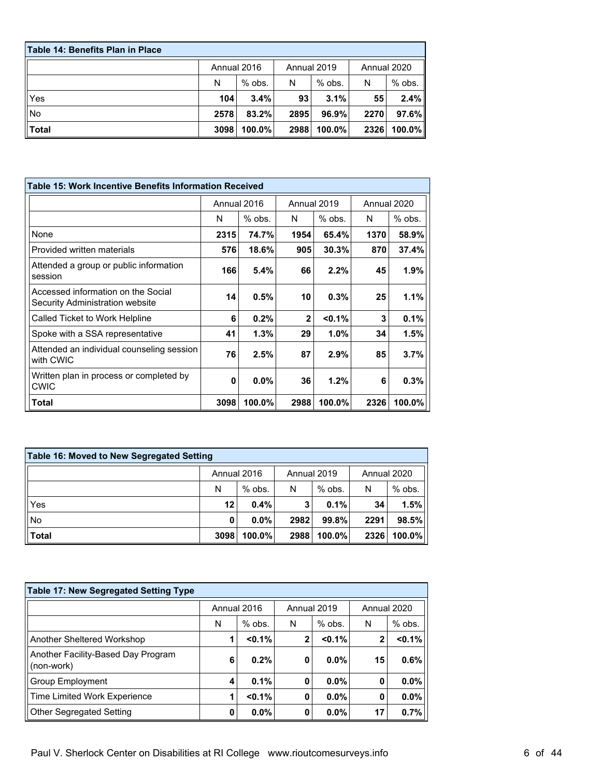| l Table 14: Benefits Plan in Place |      |             |      |             |             |           |
|------------------------------------|------|-------------|------|-------------|-------------|-----------|
|                                    |      | Annual 2016 |      | Annual 2019 | Annual 2020 |           |
|                                    | N    | $%$ obs.    | N    | $%$ obs.    | N           | $%$ obs.  |
| Yes                                | 104  | 3.4%        | 93   | 3.1%        | 55          | 2.4%      |
| No                                 | 2578 | 83.2%       | 2895 | $96.9\%$    | 2270        | 97.6%     |
| llTotal                            | 3098 | $100.0\%$   | 2988 | $100.0\%$   | 2326        | $100.0\%$ |

| Table 15: Work Incentive Benefits Information Received                |      |             |              |           |             |        |
|-----------------------------------------------------------------------|------|-------------|--------------|-----------|-------------|--------|
|                                                                       |      | Annual 2016 | Annual 2019  |           | Annual 2020 |        |
|                                                                       | N    | $%$ obs.    | N            | $%$ obs.  | N           | % obs. |
| None                                                                  | 2315 | 74.7%       | 1954         | 65.4%     | 1370        | 58.9%  |
| Provided written materials                                            | 576  | 18.6%       | 905          | 30.3%     | 870         | 37.4%  |
| Attended a group or public information<br>session                     | 166  | 5.4%        | 66           | 2.2%      | 45          | 1.9%   |
| Accessed information on the Social<br>Security Administration website | 14   | 0.5%        | 10           | 0.3%      | 25          | 1.1%   |
| Called Ticket to Work Helpline                                        | 6    | 0.2%        | $\mathbf{2}$ | $< 0.1\%$ | 3           | 0.1%   |
| Spoke with a SSA representative                                       | 41   | $1.3\%$     | 29           | 1.0%      | 34          | 1.5%   |
| Attended an individual counseling session<br>with CWIC                | 76   | 2.5%        | 87           | 2.9%      | 85          | 3.7%   |
| Written plan in process or completed by<br><b>CWIC</b>                | 0    | 0.0%        | 36           | 1.2%      | 6           | 0.3%   |
| Total                                                                 | 3098 | 100.0%      | 2988         | 100.0%    | 2326        | 100.0% |

| Table 16: Moved to New Segregated Setting |         |          |      |          |      |          |  |
|-------------------------------------------|---------|----------|------|----------|------|----------|--|
| Annual 2016<br>Annual 2019<br>Annual 2020 |         |          |      |          |      |          |  |
|                                           | N       | $%$ obs. | N    | $%$ obs. | N    | $%$ obs. |  |
| l∣Yes                                     | $12 \,$ | 0.4%     | 3    | 0.1%     | 34   | 1.5%     |  |
| ∣∣No                                      | 0       | 0.0%     | 2982 | 99.8%    | 2291 | 98.5%    |  |
| $\blacksquare$ Total                      | 3098    | 100.0%   | 2988 | 100.0%   | 2326 | 100.0%   |  |

| <b>Table 17: New Segregated Setting Type</b>     |                            |           |              |          |              |             |
|--------------------------------------------------|----------------------------|-----------|--------------|----------|--------------|-------------|
|                                                  | Annual 2016<br>Annual 2019 |           |              |          |              | Annual 2020 |
|                                                  | N                          | $%$ obs.  | N            | $%$ obs. | N            | $%$ obs.    |
| Another Sheltered Workshop                       | 1                          | < 0.1%    | $\mathbf{2}$ | < 0.1%   | $\mathbf{2}$ | $< 0.1\%$   |
| Another Facility-Based Day Program<br>(non-work) | 6                          | 0.2%      | 0            | $0.0\%$  | 15           | 0.6%        |
| <b>Group Employment</b>                          | 4                          | 0.1%      | 0            | $0.0\%$  | 0            | $0.0\%$     |
| Time Limited Work Experience                     | 1                          | $< 0.1\%$ | 0            | $0.0\%$  | 0            | 0.0%        |
| <b>Other Segregated Setting</b>                  | 0                          | 0.0%      | 0            | 0.0%     | 17           | 0.7%        |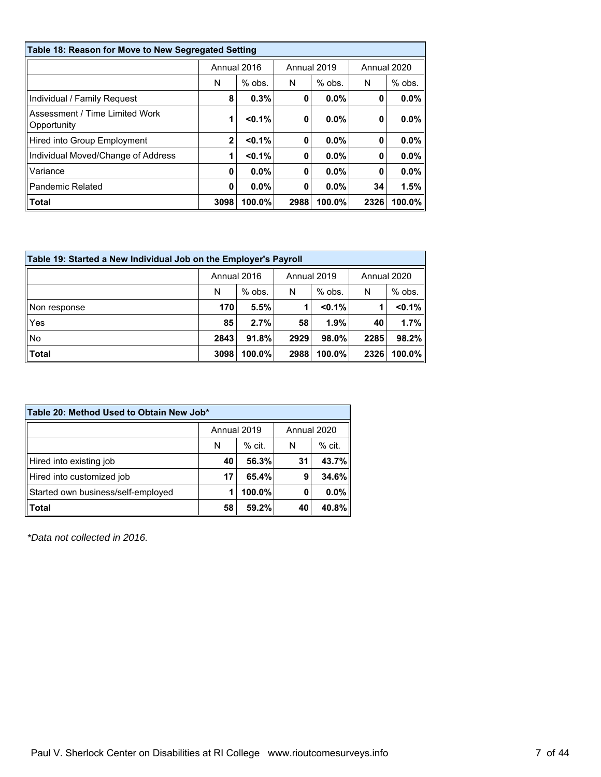| Table 18: Reason for Move to New Segregated Setting |                |             |      |             |      |             |  |
|-----------------------------------------------------|----------------|-------------|------|-------------|------|-------------|--|
|                                                     |                | Annual 2016 |      | Annual 2019 |      | Annual 2020 |  |
|                                                     | N              | $%$ obs.    | N    | $%$ obs.    | N    | $%$ obs.    |  |
| Individual / Family Request                         | 8              | 0.3%        | 0    | 0.0%        | 0    | $0.0\%$     |  |
| Assessment / Time Limited Work<br>Opportunity       |                | $< 0.1\%$   | 0    | $0.0\%$     | 0    | $0.0\%$     |  |
| Hired into Group Employment                         | $\overline{2}$ | $< 0.1\%$   | 0    | $0.0\%$     | 0    | $0.0\%$     |  |
| Individual Moved/Change of Address                  |                | $< 0.1\%$   | 0    | $0.0\%$     | 0    | $0.0\%$     |  |
| Variance                                            | 0              | $0.0\%$     | 0    | $0.0\%$     | 0    | $0.0\%$     |  |
| <b>Pandemic Related</b>                             | 0              | $0.0\%$     | 0    | $0.0\%$     | 34   | 1.5%        |  |
| ∣Total                                              | 3098           | 100.0%      | 2988 | 100.0%      | 2326 | 100.0%      |  |

| Table 19: Started a New Individual Job on the Employer's Payroll |                                           |          |      |           |      |          |  |
|------------------------------------------------------------------|-------------------------------------------|----------|------|-----------|------|----------|--|
|                                                                  | Annual 2016<br>Annual 2019<br>Annual 2020 |          |      |           |      |          |  |
|                                                                  | N                                         | $%$ obs. | N    | $%$ obs.  | N    | $%$ obs. |  |
| Non response                                                     | 170                                       | 5.5%     |      | $< 0.1\%$ |      | < 0.1%   |  |
| Yes                                                              | 85                                        | 2.7%     | 58   | 1.9%      | 40   | 1.7%     |  |
| No                                                               | 2843                                      | 91.8%    | 2929 | 98.0%     | 2285 | 98.2%    |  |
| $\ $ Total                                                       | 3098                                      | 100.0%   | 2988 | 100.0%    | 2326 | 100.0%   |  |

| Table 20: Method Used to Obtain New Job* |                            |          |    |          |  |  |  |  |
|------------------------------------------|----------------------------|----------|----|----------|--|--|--|--|
| Annual 2019<br>Annual 2020               |                            |          |    |          |  |  |  |  |
|                                          | N                          | $%$ cit. | N  | $%$ cit. |  |  |  |  |
| Hired into existing job                  | 40                         | 56.3%    | 31 | 43.7%    |  |  |  |  |
| Hired into customized job                | 17                         | 65.4%    | 9  | 34.6%    |  |  |  |  |
| Started own business/self-employed       | 0.0%<br>100.0%<br>0        |          |    |          |  |  |  |  |
| <b>Total</b>                             | 40.8%<br>58<br>59.2%<br>40 |          |    |          |  |  |  |  |

*\*Data not collected in 2016.*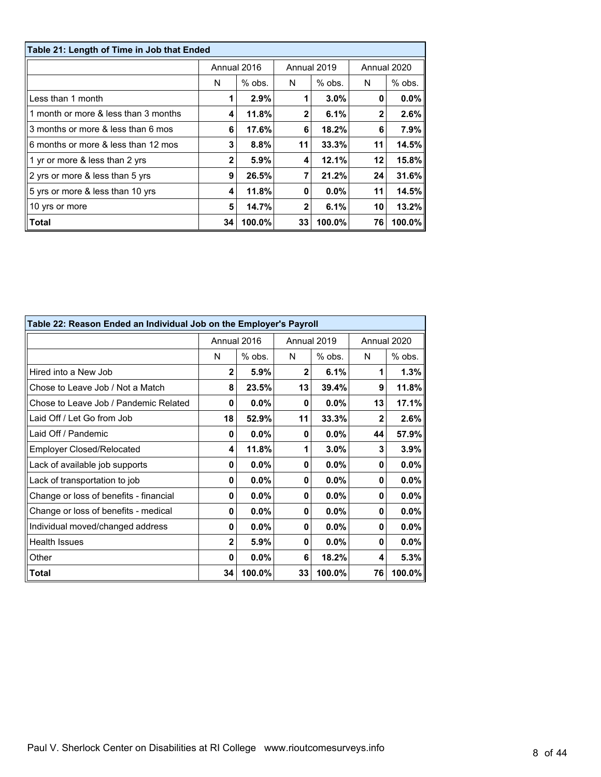| Table 21: Length of Time in Job that Ended |             |          |              |          |             |          |  |  |
|--------------------------------------------|-------------|----------|--------------|----------|-------------|----------|--|--|
|                                            | Annual 2016 |          | Annual 2019  |          | Annual 2020 |          |  |  |
|                                            | N           | $%$ obs. | N            | $%$ obs. | N           | $%$ obs. |  |  |
| Less than 1 month                          |             | 2.9%     |              | $3.0\%$  | 0           | $0.0\%$  |  |  |
| 1 month or more & less than 3 months       | 4           | 11.8%    | $\mathbf{2}$ | 6.1%     | 2           | 2.6%     |  |  |
| 3 months or more & less than 6 mos         | 6           | 17.6%    | 6            | 18.2%    | 6           | 7.9%     |  |  |
| 6 months or more & less than 12 mos        | 3           | 8.8%     | 11           | 33.3%    | 11          | 14.5%    |  |  |
| 1 yr or more & less than 2 yrs             | 2           | 5.9%     | 4            | 12.1%    | 12          | 15.8%    |  |  |
| 2 yrs or more & less than 5 yrs            | 9           | 26.5%    |              | 21.2%    | 24          | 31.6%    |  |  |
| 5 yrs or more & less than 10 yrs           | 4           | 11.8%    | 0            | $0.0\%$  | 11          | 14.5%    |  |  |
| 10 yrs or more                             | 5           | 14.7%    | $\mathbf{2}$ | 6.1%     | 10          | 13.2%    |  |  |
| <b>Total</b>                               | 34          | 100.0%   | 33           | 100.0%   | 76          | 100.0%   |  |  |

| Table 22: Reason Ended an Individual Job on the Employer's Payroll |              |          |              |          |              |           |  |  |
|--------------------------------------------------------------------|--------------|----------|--------------|----------|--------------|-----------|--|--|
|                                                                    | Annual 2016  |          | Annual 2019  |          | Annual 2020  |           |  |  |
|                                                                    | N            | $%$ obs. | N            | $%$ obs. | N            | $%$ obs.  |  |  |
| Hired into a New Job                                               | $\mathbf{2}$ | 5.9%     | $\mathbf{2}$ | 6.1%     | 1            | 1.3%      |  |  |
| Chose to Leave Job / Not a Match                                   | 8            | 23.5%    | 13           | 39.4%    | 9            | 11.8%     |  |  |
| Chose to Leave Job / Pandemic Related                              | 0            | 0.0%     | 0            | 0.0%     | 13           | 17.1%     |  |  |
| Laid Off / Let Go from Job                                         | 18           | 52.9%    | 11           | 33.3%    | $\mathbf{2}$ | 2.6%      |  |  |
| Laid Off / Pandemic                                                | 0            | $0.0\%$  | 0            | $0.0\%$  | 44           | 57.9%     |  |  |
| <b>Employer Closed/Relocated</b>                                   | 4            | 11.8%    | 1            | 3.0%     | 3            | 3.9%      |  |  |
| Lack of available job supports                                     | 0            | 0.0%     | 0            | 0.0%     | 0            | $0.0\%$   |  |  |
| Lack of transportation to job                                      | 0            | 0.0%     | 0            | 0.0%     | 0            | $0.0\%$   |  |  |
| Change or loss of benefits - financial                             | 0            | 0.0%     | 0            | 0.0%     | 0            | $0.0\%$   |  |  |
| Change or loss of benefits - medical                               | 0            | 0.0%     | 0            | 0.0%     | 0            | $0.0\%$   |  |  |
| Individual moved/changed address                                   | 0            | $0.0\%$  | 0            | $0.0\%$  | 0            | $0.0\%$   |  |  |
| <b>Health Issues</b>                                               | $\mathbf{2}$ | 5.9%     | 0            | $0.0\%$  | 0            | $0.0\%$   |  |  |
| Other                                                              | 0            | 0.0%     | 6            | 18.2%    | 4            | 5.3%      |  |  |
| <b>Total</b>                                                       | 34           | 100.0%   | 33           | 100.0%   | 76           | $100.0\%$ |  |  |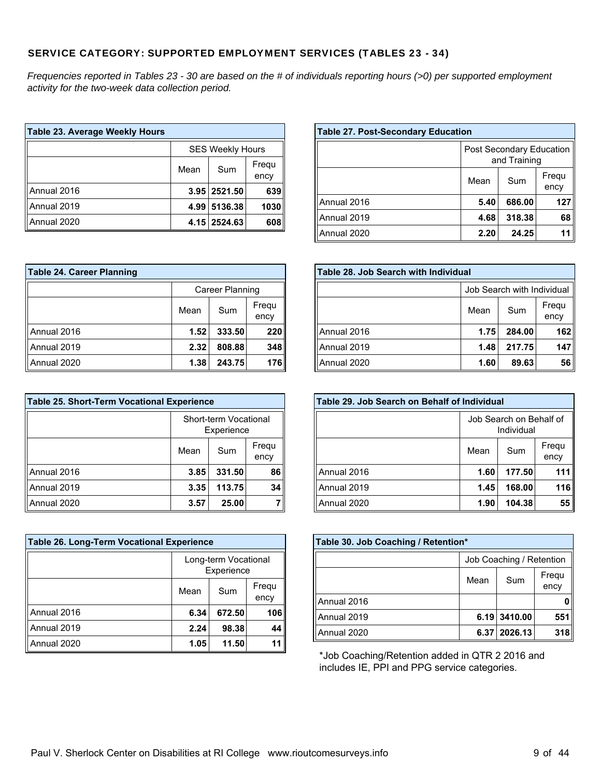### SERVICE CATEGORY: SUPPORTED EMPLOYMENT SERVICES (TABLES 23 - 34)

*Frequencies reported in Tables 23 - 30 are based on the # of individuals reporting hours (>0) per supported employment activity for the two-week data collection period.*

> Annual 2019 Annual 2020

| Table 23. Average Weekly Hours |                              |                         |      |  |
|--------------------------------|------------------------------|-------------------------|------|--|
|                                |                              | <b>SES Weekly Hours</b> |      |  |
|                                | Frequ<br>Mean<br>Sum<br>ency |                         |      |  |
| Annual 2016                    |                              | 3.95 2521.50            | 639  |  |
| Annual 2019                    | 4.99                         | 5136.38                 | 1030 |  |
| Annual 2020                    |                              | 4.15 2524.63            | 608  |  |

#### **Table 27. Post-Secondary Education** Post Secondary Education and Training Mean | Sum | Frequ ency Annual 2016 **5.40 686.00 127**

**4.68 318.38 68 2.20 24.25 11**

| <b>Table 24. Career Planning</b> |                              |                 |     |  |  |
|----------------------------------|------------------------------|-----------------|-----|--|--|
|                                  |                              | Career Planning |     |  |  |
|                                  | Frequ<br>Mean<br>Sum<br>ency |                 |     |  |  |
| Annual 2016                      | 1.52                         | 333.50          | 220 |  |  |
| Annual 2019                      | 2.32                         | 808.88          | 348 |  |  |
| Annual 2020                      | 1.38                         | 243.75          | 176 |  |  |

| Table 25. Short-Term Vocational Experience |                                     |              |    |  |  |
|--------------------------------------------|-------------------------------------|--------------|----|--|--|
|                                            | Short-term Vocational<br>Experience |              |    |  |  |
|                                            | Frequ<br>Sum<br>Mean<br>ency        |              |    |  |  |
| Annual 2016                                | 3.85                                | 331.50       | 86 |  |  |
| Annual 2019                                | 3.35                                | 34<br>113.75 |    |  |  |
| Annual 2020                                | 3.57                                | 25.00        |    |  |  |

| Table 26. Long-Term Vocational Experience |                                    |               |  |  |  |  |
|-------------------------------------------|------------------------------------|---------------|--|--|--|--|
|                                           | Long-term Vocational<br>Experience |               |  |  |  |  |
|                                           | Mean                               | Frequ<br>ency |  |  |  |  |
| Annual 2016                               | 6.34                               | 106           |  |  |  |  |
| Annual 2019                               | 2.24                               | 44            |  |  |  |  |
| Annual 2020                               | 11<br>11.50<br>1.05                |               |  |  |  |  |

| Table 28. Job Search with Individual |                              |        |     |  |  |  |
|--------------------------------------|------------------------------|--------|-----|--|--|--|
|                                      | Job Search with Individual   |        |     |  |  |  |
|                                      | Frequ<br>Mean<br>Sum<br>ency |        |     |  |  |  |
| Annual 2016                          | 1.75                         | 284.00 | 162 |  |  |  |
| Annual 2019                          | 1.48                         | 217.75 | 147 |  |  |  |
| Annual 2020                          | 1.60                         | 89.63  | 56  |  |  |  |

| Table 29, Job Search on Behalf of Individual |                                       |               |     |  |  |
|----------------------------------------------|---------------------------------------|---------------|-----|--|--|
|                                              | Job Search on Behalf of<br>Individual |               |     |  |  |
|                                              | Mean                                  | Frequ<br>ency |     |  |  |
| Annual 2016                                  | 1.60                                  | 111           |     |  |  |
| Annual 2019                                  | 1.45                                  | 168.00        | 116 |  |  |
| Annual 2020                                  | 104.38<br>1.90                        |               |     |  |  |

| Table 30. Job Coaching / Retention* |                              |                  |     |  |  |  |
|-------------------------------------|------------------------------|------------------|-----|--|--|--|
|                                     | Job Coaching / Retention     |                  |     |  |  |  |
|                                     | Frequ<br>Sum<br>Mean<br>ency |                  |     |  |  |  |
| Annual 2016                         |                              |                  |     |  |  |  |
| Annual 2019                         |                              | $6.19$   3410.00 | 551 |  |  |  |
| Annual 2020                         |                              | 6.37 2026.13     | 318 |  |  |  |

\*Job Coaching/Retention added in QTR 2 2016 and includes IE, PPI and PPG service categories.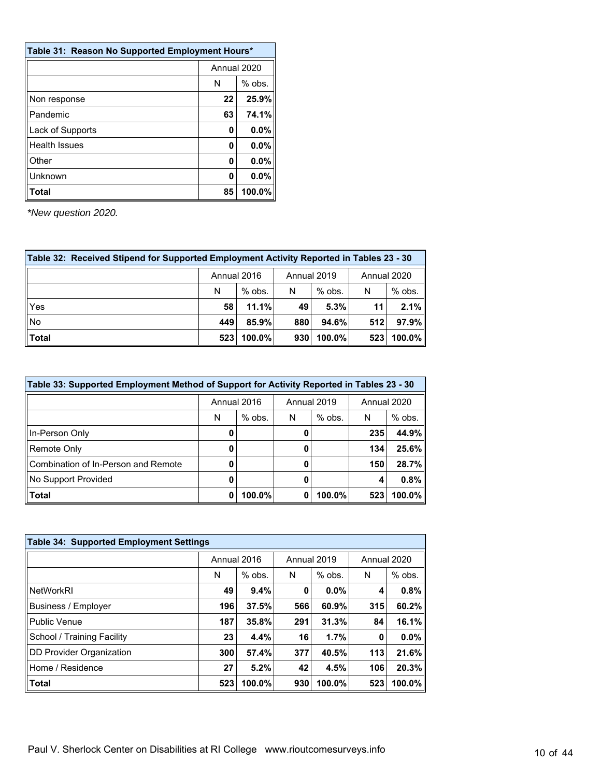| Table 31: Reason No Supported Employment Hours* |               |       |  |
|-------------------------------------------------|---------------|-------|--|
|                                                 | Annual 2020   |       |  |
|                                                 | $%$ obs.<br>N |       |  |
| Non response                                    | 22            | 25.9% |  |
| Pandemic                                        | 63            | 74.1% |  |
| Lack of Supports                                | 0             | 0.0%  |  |
| <b>Health Issues</b>                            | 0             | 0.0%  |  |
| Other                                           | 0             | 0.0%  |  |
| Unknown                                         | O             | 0.0%  |  |
| Total                                           | 100.0%<br>85  |       |  |

| Table 32: Received Stipend for Supported Employment Activity Reported in Tables 23 - 30 |     |             |     |             |             |           |  |
|-----------------------------------------------------------------------------------------|-----|-------------|-----|-------------|-------------|-----------|--|
|                                                                                         |     | Annual 2016 |     | Annual 2019 | Annual 2020 |           |  |
|                                                                                         | N   | $%$ obs.    | N   | $%$ obs.    | N           | $%$ obs.  |  |
| Yes                                                                                     | 58  | 11.1%       | 49  | 5.3%        | 11          | 2.1%      |  |
| l No                                                                                    | 449 | 85.9%       | 880 | $94.6\%$    | 512         | 97.9%     |  |
| Total                                                                                   | 523 | 100.0%      | 930 | $100.0\%$   | 523         | $100.0\%$ |  |

| Table 33: Supported Employment Method of Support for Activity Reported in Tables 23 - 30 |             |          |             |          |             |          |  |
|------------------------------------------------------------------------------------------|-------------|----------|-------------|----------|-------------|----------|--|
|                                                                                          | Annual 2016 |          | Annual 2019 |          | Annual 2020 |          |  |
|                                                                                          | N           | $%$ obs. | N           | $%$ obs. | N           | $%$ obs. |  |
| In-Person Only                                                                           | u           |          | O           |          | 235         | 44.9%    |  |
| Remote Only                                                                              |             |          |             |          | 134         | 25.6%    |  |
| Combination of In-Person and Remote                                                      | 0           |          | 0           |          | 150         | 28.7%    |  |
| No Support Provided                                                                      |             |          |             |          | 4           | 0.8%     |  |
| <b>Total</b>                                                                             | 0           | 100.0%   | 0           | 100.0%   | 523         | 100.0%   |  |

| <b>Table 34: Supported Employment Settings</b> |             |          |             |          |     |             |  |
|------------------------------------------------|-------------|----------|-------------|----------|-----|-------------|--|
|                                                | Annual 2016 |          | Annual 2019 |          |     | Annual 2020 |  |
|                                                | N           | $%$ obs. | N           | $%$ obs. | N   | $%$ obs.    |  |
| <b>NetWorkRI</b>                               | 49          | 9.4%     | 0           | $0.0\%$  | 4   | 0.8%        |  |
| Business / Employer                            | 196         | 37.5%    | 566         | 60.9%    | 315 | 60.2%       |  |
| Public Venue                                   | 187         | 35.8%    | 291         | 31.3%    | 84  | 16.1%       |  |
| School / Training Facility                     | 23          | 4.4%     | 16          | 1.7%     | 0   | $0.0\%$     |  |
| DD Provider Organization                       | 300         | 57.4%    | 377         | 40.5%    | 113 | 21.6%       |  |
| Home / Residence                               | 27          | 5.2%     | 42          | 4.5%     | 106 | 20.3%       |  |
| <b>Total</b>                                   | 523         | 100.0%   | 930         | 100.0%   | 523 | 100.0%      |  |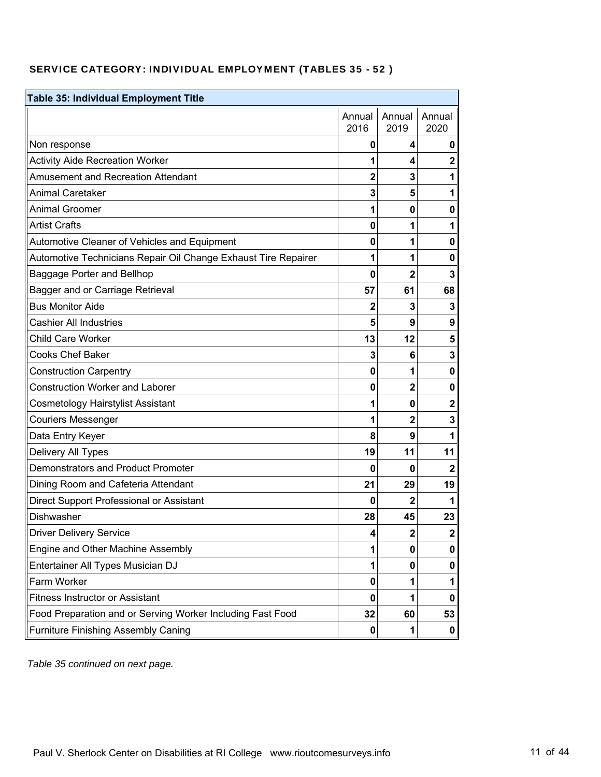## SERVICE CATEGORY: INDIVIDUAL EMPLOYMENT (TABLES 35 - 52 )

| <b>Table 35: Individual Employment Title</b>                   |                         |                |                  |  |
|----------------------------------------------------------------|-------------------------|----------------|------------------|--|
|                                                                | Annual<br>2016          | Annual<br>2019 | Annual<br>2020   |  |
| Non response                                                   | 0                       | 4              | 0                |  |
| <b>Activity Aide Recreation Worker</b>                         | 1                       | 4              | $\mathbf 2$      |  |
| <b>Amusement and Recreation Attendant</b>                      | $\overline{\mathbf{2}}$ | 3              | 1                |  |
| <b>Animal Caretaker</b>                                        | 3                       | 5              | 1                |  |
| <b>Animal Groomer</b>                                          | 1                       | 0              | 0                |  |
| <b>Artist Crafts</b>                                           | $\mathbf{0}$            |                | 1                |  |
| Automotive Cleaner of Vehicles and Equipment                   | 0                       | 1              | 0                |  |
| Automotive Technicians Repair Oil Change Exhaust Tire Repairer | 1                       | 1              | 0                |  |
| Baggage Porter and Bellhop                                     | 0                       | 2              | 3                |  |
| Bagger and or Carriage Retrieval                               | 57                      | 61             | 68               |  |
| <b>Bus Monitor Aide</b>                                        | 2                       | 3              | 3                |  |
| <b>Cashier All Industries</b>                                  | 5                       | 9              | $\boldsymbol{9}$ |  |
| Child Care Worker                                              | 13                      | 12             | 5                |  |
| <b>Cooks Chef Baker</b>                                        | 3                       | 6              | 3                |  |
| <b>Construction Carpentry</b>                                  | 0                       | 1              | $\mathbf 0$      |  |
| <b>Construction Worker and Laborer</b>                         | 0                       | 2              | 0                |  |
| <b>Cosmetology Hairstylist Assistant</b>                       | 1                       | 0              | $\mathbf 2$      |  |
| <b>Couriers Messenger</b>                                      | 1                       | 2              | 3                |  |
| Data Entry Keyer                                               | 8                       | 9              |                  |  |
| Delivery All Types                                             | 19                      | 11             | 11               |  |
| <b>Demonstrators and Product Promoter</b>                      | 0                       | 0              | $\mathbf{2}$     |  |
| Dining Room and Cafeteria Attendant                            | 21                      | 29             | 19               |  |
| Direct Support Professional or Assistant                       | 0                       | 2              |                  |  |
| Dishwasher                                                     | 28                      | 45             | 23               |  |
| <b>Driver Delivery Service</b>                                 | 4                       | 2              | 2                |  |
| Engine and Other Machine Assembly                              | 1                       | 0              | 0                |  |
| Entertainer All Types Musician DJ                              | 1                       | 0              | 0                |  |
| Farm Worker                                                    | 0                       |                | 1                |  |
| <b>Fitness Instructor or Assistant</b>                         | 0                       |                | 0                |  |
| Food Preparation and or Serving Worker Including Fast Food     | 32                      | 60             | 53               |  |
| <b>Furniture Finishing Assembly Caning</b>                     | 0                       |                | 0                |  |

*Table 35 continued on next page.*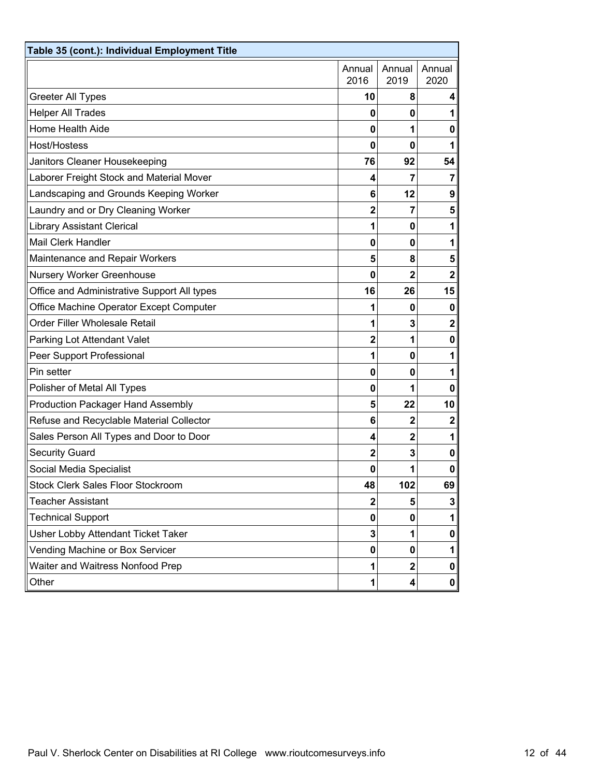| Table 35 (cont.): Individual Employment Title |                |                |                |
|-----------------------------------------------|----------------|----------------|----------------|
|                                               | Annual<br>2016 | Annual<br>2019 | Annual<br>2020 |
| <b>Greeter All Types</b>                      | 10             | 8              | 4              |
| <b>Helper All Trades</b>                      | 0              | 0              | 1              |
| Home Health Aide                              | 0              | 1              | 0              |
| Host/Hostess                                  | $\bf{0}$       | $\mathbf{0}$   | 1              |
| Janitors Cleaner Housekeeping                 | 76             | 92             | 54             |
| Laborer Freight Stock and Material Mover      | 4              | 7              | $\mathbf{7}$   |
| Landscaping and Grounds Keeping Worker        | 6              | 12             | 9              |
| Laundry and or Dry Cleaning Worker            | $\overline{2}$ | 7              | 5 <sub>5</sub> |
| <b>Library Assistant Clerical</b>             | 1              | 0              | 1              |
| <b>Mail Clerk Handler</b>                     | $\bf{0}$       | 0              | 1              |
| Maintenance and Repair Workers                | 5              | 8              | 5              |
| Nursery Worker Greenhouse                     | $\bf{0}$       | $\overline{2}$ | $\mathbf 2$    |
| Office and Administrative Support All types   | 16             | 26             | 15             |
| Office Machine Operator Except Computer       | 1              | 0              | $\mathbf 0$    |
| Order Filler Wholesale Retail                 | 1              | 3              | $\mathbf{2}$   |
| Parking Lot Attendant Valet                   | $\overline{2}$ | 1              | $\mathbf{0}$   |
| Peer Support Professional                     | 1              | 0              | 1              |
| Pin setter                                    | 0              | 0              | 1              |
| Polisher of Metal All Types                   | 0              | 1              | 0              |
| <b>Production Packager Hand Assembly</b>      | 5              | 22             | 10             |
| Refuse and Recyclable Material Collector      | 6              | $\mathbf{2}$   | $\mathbf 2$    |
| Sales Person All Types and Door to Door       | 4              | $\mathbf{2}$   | 1              |
| <b>Security Guard</b>                         | $\mathbf{2}$   | 3              | 0              |
| Social Media Specialist                       | $\bf{0}$       | 1              | $\mathbf{0}$   |
| <b>Stock Clerk Sales Floor Stockroom</b>      | 48             | 102            | 69             |
| <b>Teacher Assistant</b>                      | 2              | 5              | 3 <sup>2</sup> |
| <b>Technical Support</b>                      | 0              | 0              | 1              |
| Usher Lobby Attendant Ticket Taker            | 3              | 1              | 0              |
| Vending Machine or Box Servicer               | 0              | 0              | 1              |
| Waiter and Waitress Nonfood Prep              | 1              | 2              | 0              |
| Other                                         | 1              | 4              | 0              |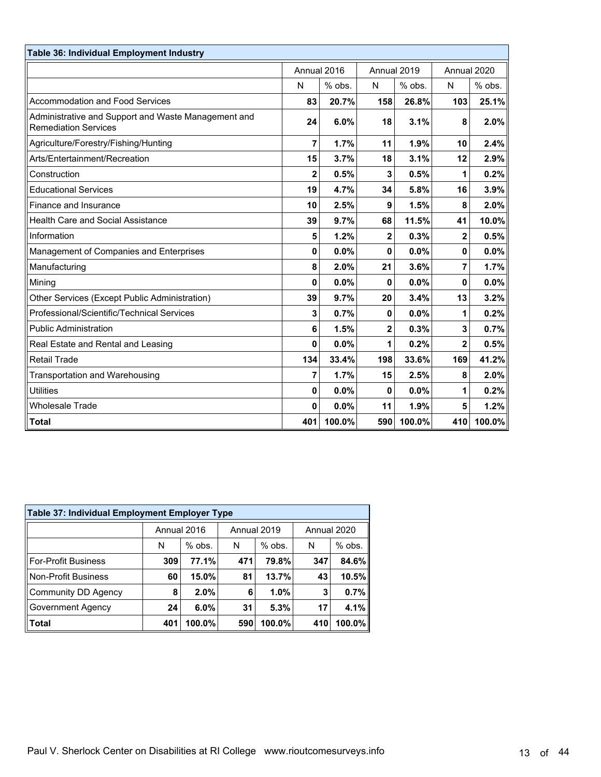| Table 36: Individual Employment Industry                                           |              |             |                         |             |     |             |
|------------------------------------------------------------------------------------|--------------|-------------|-------------------------|-------------|-----|-------------|
|                                                                                    |              | Annual 2016 |                         | Annual 2019 |     | Annual 2020 |
|                                                                                    | N            | % obs.      | N                       | % obs.      | N   | % obs.      |
| Accommodation and Food Services                                                    | 83           | 20.7%       | 158                     | 26.8%       | 103 | 25.1%       |
| Administrative and Support and Waste Management and<br><b>Remediation Services</b> | 24           | 6.0%        | 18                      | 3.1%        | 8   | 2.0%        |
| Agriculture/Forestry/Fishing/Hunting                                               | 7            | 1.7%        | 11                      | 1.9%        | 10  | 2.4%        |
| Arts/Entertainment/Recreation                                                      | 15           | 3.7%        | 18                      | 3.1%        | 12  | 2.9%        |
| Construction                                                                       | $\mathbf{2}$ | 0.5%        | 3                       | 0.5%        | 1   | 0.2%        |
| <b>Educational Services</b>                                                        | 19           | 4.7%        | 34                      | 5.8%        | 16  | 3.9%        |
| Finance and Insurance                                                              | 10           | 2.5%        | 9                       | 1.5%        | 8   | 2.0%        |
| Health Care and Social Assistance                                                  | 39           | 9.7%        | 68                      | 11.5%       | 41  | 10.0%       |
| Information                                                                        | 5            | 1.2%        | 2                       | 0.3%        | 2   | 0.5%        |
| Management of Companies and Enterprises                                            | $\bf{0}$     | 0.0%        | 0                       | 0.0%        | 0   | 0.0%        |
| Manufacturing                                                                      | 8            | 2.0%        | 21                      | 3.6%        | 7   | 1.7%        |
| Mining                                                                             | $\bf{0}$     | 0.0%        | 0                       | 0.0%        | 0   | 0.0%        |
| Other Services (Except Public Administration)                                      | 39           | 9.7%        | 20                      | 3.4%        | 13  | 3.2%        |
| Professional/Scientific/Technical Services                                         | 3            | 0.7%        | 0                       | 0.0%        | 1   | 0.2%        |
| <b>Public Administration</b>                                                       | 6            | 1.5%        | $\overline{\mathbf{c}}$ | 0.3%        | 3   | 0.7%        |
| Real Estate and Rental and Leasing                                                 | $\mathbf{0}$ | 0.0%        | 1                       | 0.2%        | 2   | 0.5%        |
| <b>Retail Trade</b>                                                                | 134          | 33.4%       | 198                     | 33.6%       | 169 | 41.2%       |
| <b>Transportation and Warehousing</b>                                              | 7            | 1.7%        | 15                      | 2.5%        | 8   | 2.0%        |
| <b>Utilities</b>                                                                   | 0            | 0.0%        | 0                       | 0.0%        | 1   | 0.2%        |
| <b>Wholesale Trade</b>                                                             | 0            | 0.0%        | 11                      | 1.9%        | 5   | 1.2%        |
| <b>Total</b>                                                                       | 401          | 100.0%      | 590                     | 100.0%      | 410 | 100.0%      |

| Table 37: Individual Employment Employer Type |             |          |     |             |     |             |  |  |  |  |  |
|-----------------------------------------------|-------------|----------|-----|-------------|-----|-------------|--|--|--|--|--|
|                                               | Annual 2016 |          |     | Annual 2019 |     | Annual 2020 |  |  |  |  |  |
|                                               | N           | $%$ obs. | N   | $%$ obs.    | N   | $%$ obs.    |  |  |  |  |  |
| <b>For-Profit Business</b>                    | 309         | 77.1%    | 471 | 79.8%       | 347 | 84.6%       |  |  |  |  |  |
| <b>Non-Profit Business</b>                    | 60          | 15.0%    | 81  | 13.7%       | 43  | 10.5%       |  |  |  |  |  |
| <b>Community DD Agency</b>                    | 8           | 2.0%     | 6   | 1.0%        | 3   | 0.7%        |  |  |  |  |  |
| <b>Government Agency</b>                      | 24          | 6.0%     | 31  | 5.3%        | 17  | 4.1%        |  |  |  |  |  |
| <b>Total</b>                                  | 401         | 100.0%   | 590 | 100.0%      | 410 | $100.0\%$   |  |  |  |  |  |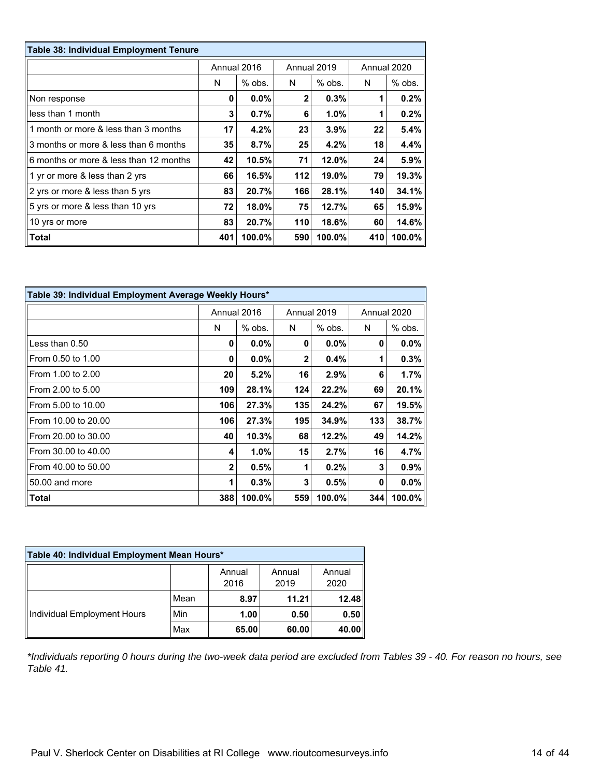| Table 38: Individual Employment Tenure |     |             |              |             |             |          |
|----------------------------------------|-----|-------------|--------------|-------------|-------------|----------|
|                                        |     | Annual 2016 |              | Annual 2019 | Annual 2020 |          |
|                                        | N   | $%$ obs.    | N            | $%$ obs.    | N           | $%$ obs. |
| Non response                           | 0   | 0.0%        | $\mathbf{2}$ | 0.3%        |             | 0.2%     |
| less than 1 month                      | 3   | 0.7%        | 6            | $1.0\%$     |             | 0.2%     |
| 1 month or more & less than 3 months   | 17  | 4.2%        | 23           | 3.9%        | 22          | 5.4%     |
| 3 months or more & less than 6 months  | 35  | 8.7%        | 25           | 4.2%        | 18          | 4.4%     |
| 6 months or more & less than 12 months | 42  | 10.5%       | 71           | 12.0%       | 24          | 5.9%     |
| 1 yr or more & less than 2 yrs         | 66  | 16.5%       | 112          | 19.0%       | 79          | 19.3%    |
| 2 yrs or more & less than 5 yrs        | 83  | 20.7%       | 166          | 28.1%       | 140         | 34.1%    |
| 5 yrs or more & less than 10 yrs       | 72  | 18.0%       | 75           | 12.7%       | 65          | 15.9%    |
| 10 yrs or more                         | 83  | 20.7%       | 110          | 18.6%       | 60          | 14.6%    |
| Total                                  | 401 | 100.0%      | 590          | 100.0%      | 410         | 100.0%   |

| Table 39: Individual Employment Average Weekly Hours* |                |             |                |             |     |             |  |  |  |
|-------------------------------------------------------|----------------|-------------|----------------|-------------|-----|-------------|--|--|--|
|                                                       |                | Annual 2016 |                | Annual 2019 |     | Annual 2020 |  |  |  |
|                                                       | N              | $%$ obs.    | N              | $%$ obs.    | N   | % obs.      |  |  |  |
| Less than $0.50$                                      | 0              | $0.0\%$     | 0              | $0.0\%$     | 0   | $0.0\%$     |  |  |  |
| From 0.50 to 1.00                                     | 0              | 0.0%        | $\overline{2}$ | 0.4%        | 1   | 0.3%        |  |  |  |
| From 1.00 to 2.00                                     | 20             | 5.2%        | 16             | 2.9%        | 6   | $1.7\%$     |  |  |  |
| From 2.00 to 5.00                                     | 109            | 28.1%       | 124            | 22.2%       | 69  | 20.1%       |  |  |  |
| From 5.00 to 10.00                                    | 106            | 27.3%       | 135            | 24.2%       | 67  | 19.5%       |  |  |  |
| From 10.00 to 20.00                                   | 106            | 27.3%       | 195            | 34.9%       | 133 | 38.7%       |  |  |  |
| From 20.00 to 30.00                                   | 40             | 10.3%       | 68             | 12.2%       | 49  | 14.2%       |  |  |  |
| From 30.00 to 40.00                                   | 4              | $1.0\%$     | 15             | 2.7%        | 16  | 4.7%        |  |  |  |
| From 40.00 to 50.00                                   | $\overline{2}$ | 0.5%        | 1              | 0.2%        | 3   | 0.9%        |  |  |  |
| 50.00 and more                                        | 1              | 0.3%        | 3              | 0.5%        | 0   | $0.0\%$     |  |  |  |
| Total                                                 | 388            | 100.0%      | 559            | 100.0%      | 344 | 100.0%      |  |  |  |

| Table 40: Individual Employment Mean Hours* |      |                |                |                |  |  |  |  |  |
|---------------------------------------------|------|----------------|----------------|----------------|--|--|--|--|--|
|                                             |      | Annual<br>2016 | Annual<br>2019 | Annual<br>2020 |  |  |  |  |  |
|                                             | Mean | 8.97           | 11.21          | 12.48          |  |  |  |  |  |
| Individual Employment Hours                 | Min  | 1.00           | 0.50           | 0.50           |  |  |  |  |  |
|                                             | Max  | 65.00          | 60.00          | 40.00          |  |  |  |  |  |

*\*Individuals reporting 0 hours during the two-week data period are excluded from Tables 39 - 40. For reason no hours, see Table 41.*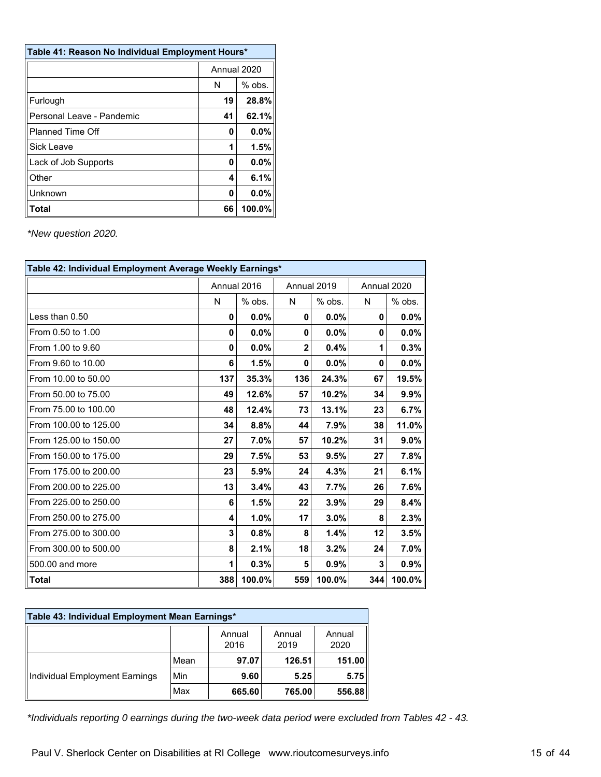| Table 41: Reason No Individual Employment Hours* |    |             |  |  |  |
|--------------------------------------------------|----|-------------|--|--|--|
|                                                  |    | Annual 2020 |  |  |  |
|                                                  | N  | $%$ obs.    |  |  |  |
| Furlough                                         | 19 | 28.8%       |  |  |  |
| Personal Leave - Pandemic                        | 41 | 62.1%       |  |  |  |
| <b>Planned Time Off</b>                          | 0  | 0.0%        |  |  |  |
| Sick Leave                                       |    | 1.5%        |  |  |  |
| Lack of Job Supports                             | 0  | 0.0%        |  |  |  |
| Other                                            | 4  | 6.1%        |  |  |  |
| Unknown                                          | 0  | 0.0%        |  |  |  |
| Total                                            | 66 | 100.0%      |  |  |  |

| Table 42: Individual Employment Average Weekly Earnings* |     |             |              |          |     |             |  |  |  |  |
|----------------------------------------------------------|-----|-------------|--------------|----------|-----|-------------|--|--|--|--|
|                                                          |     | Annual 2016 | Annual 2019  |          |     | Annual 2020 |  |  |  |  |
|                                                          | N   | $%$ obs.    | N            | $%$ obs. | N   | $%$ obs.    |  |  |  |  |
| Less than 0.50                                           | 0   | 0.0%        | 0            | $0.0\%$  | 0   | $0.0\%$     |  |  |  |  |
| From 0.50 to 1.00                                        | 0   | $0.0\%$     | 0            | 0.0%     | 0   | $0.0\%$     |  |  |  |  |
| From 1.00 to 9.60                                        | 0   | $0.0\%$     | $\mathbf{2}$ | 0.4%     | 1   | 0.3%        |  |  |  |  |
| From 9.60 to 10.00                                       | 6   | 1.5%        | 0            | 0.0%     | 0   | $0.0\%$     |  |  |  |  |
| From 10.00 to 50.00                                      | 137 | 35.3%       | 136          | 24.3%    | 67  | 19.5%       |  |  |  |  |
| From 50.00 to 75.00                                      | 49  | 12.6%       | 57           | 10.2%    | 34  | 9.9%        |  |  |  |  |
| From 75.00 to 100.00                                     | 48  | 12.4%       | 73           | 13.1%    | 23  | 6.7%        |  |  |  |  |
| From 100.00 to 125.00                                    | 34  | 8.8%        | 44           | 7.9%     | 38  | 11.0%       |  |  |  |  |
| From 125.00 to 150.00                                    | 27  | 7.0%        | 57           | 10.2%    | 31  | $9.0\%$     |  |  |  |  |
| From 150.00 to 175.00                                    | 29  | 7.5%        | 53           | 9.5%     | 27  | 7.8%        |  |  |  |  |
| From 175.00 to 200.00                                    | 23  | 5.9%        | 24           | 4.3%     | 21  | 6.1%        |  |  |  |  |
| From 200.00 to 225.00                                    | 13  | 3.4%        | 43           | 7.7%     | 26  | 7.6%        |  |  |  |  |
| From 225.00 to 250.00                                    | 6   | 1.5%        | 22           | 3.9%     | 29  | 8.4%        |  |  |  |  |
| From 250.00 to 275.00                                    | 4   | 1.0%        | 17           | 3.0%     | 8   | 2.3%        |  |  |  |  |
| From 275.00 to 300.00                                    | 3   | 0.8%        | 8            | 1.4%     | 12  | 3.5%        |  |  |  |  |
| From 300.00 to 500.00                                    | 8   | 2.1%        | 18           | 3.2%     | 24  | $7.0\%$     |  |  |  |  |
| 500.00 and more                                          | 1   | 0.3%        | 5            | 0.9%     | 3   | 0.9%        |  |  |  |  |
| <b>Total</b>                                             | 388 | 100.0%      | 559          | 100.0%   | 344 | $100.0\%$   |  |  |  |  |

| Table 43: Individual Employment Mean Earnings* |      |                |                |                |  |  |  |  |  |
|------------------------------------------------|------|----------------|----------------|----------------|--|--|--|--|--|
|                                                |      | Annual<br>2016 | Annual<br>2019 | Annual<br>2020 |  |  |  |  |  |
|                                                | Mean | 97.07          | 126.51         | 151.00         |  |  |  |  |  |
| Individual Employment Earnings                 | Min  | 9.60           | 5.25           | 5.75           |  |  |  |  |  |
|                                                | Max  | 665.60         | 765.00         | 556.88         |  |  |  |  |  |

*\*Individuals reporting 0 earnings during the two-week data period were excluded from Tables 42 - 43.*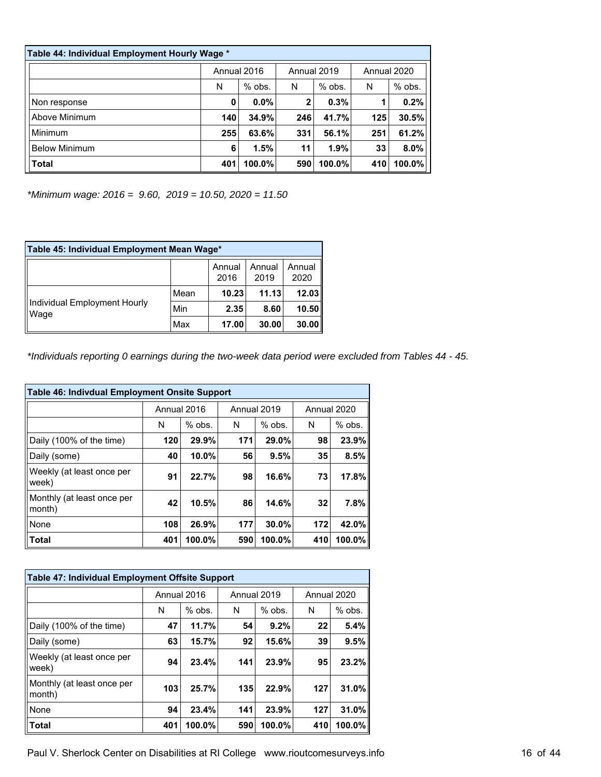| Table 44: Individual Employment Hourly Wage * |     |             |     |             |     |             |  |  |  |  |
|-----------------------------------------------|-----|-------------|-----|-------------|-----|-------------|--|--|--|--|
|                                               |     | Annual 2016 |     | Annual 2019 |     | Annual 2020 |  |  |  |  |
|                                               | N   | $%$ obs.    | N   | $%$ obs.    | N   | $%$ obs.    |  |  |  |  |
| Non response                                  | 0   | 0.0%        | 2   | 0.3%        |     | 0.2%        |  |  |  |  |
| Above Minimum                                 | 140 | 34.9%       | 246 | 41.7%       | 125 | 30.5%       |  |  |  |  |
| Minimum                                       | 255 | 63.6%       | 331 | 56.1%       | 251 | 61.2%       |  |  |  |  |
| <b>Below Minimum</b>                          | 6   | 1.5%        | 11  | 1.9%        | 33  | 8.0%        |  |  |  |  |
| <b>Total</b>                                  | 401 | 100.0%      | 590 | 100.0%      | 410 | 100.0%      |  |  |  |  |

*\*Minimum wage: 2016 = 9.60, 2019 = 10.50, 2020 = 11.50*

| Table 45: Individual Employment Mean Wage* |      |                |                |                |  |  |  |  |  |
|--------------------------------------------|------|----------------|----------------|----------------|--|--|--|--|--|
|                                            |      | Annual<br>2016 | Annual<br>2019 | Annual<br>2020 |  |  |  |  |  |
|                                            | Mean | 10.23          | 11.13          | 12.03          |  |  |  |  |  |
| Individual Employment Hourly<br>Wage       | Min  | 2.35           | 8.60           | 10.50          |  |  |  |  |  |
|                                            | Max  | 17.00          | 30.00          | 30.00          |  |  |  |  |  |

*\*Individuals reporting 0 earnings during the two-week data period were excluded from Tables 44 - 45.*

| <b>Table 46: Indivdual Employment Onsite Support</b> |             |          |     |             |     |             |  |  |  |  |  |
|------------------------------------------------------|-------------|----------|-----|-------------|-----|-------------|--|--|--|--|--|
|                                                      | Annual 2016 |          |     | Annual 2019 |     | Annual 2020 |  |  |  |  |  |
|                                                      | N           | $%$ obs. | N   | $%$ obs.    | N   | $%$ obs.    |  |  |  |  |  |
| Daily (100% of the time)                             | 120         | 29.9%    | 171 | 29.0%       | 98  | 23.9%       |  |  |  |  |  |
| Daily (some)                                         | 40          | 10.0%    | 56  | 9.5%        | 35  | 8.5%        |  |  |  |  |  |
| Weekly (at least once per<br>week)                   | 91          | 22.7%    | 98  | 16.6%       | 73  | 17.8%       |  |  |  |  |  |
| Monthly (at least once per<br>month)                 | 42          | 10.5%    | 86  | 14.6%       | 32  | 7.8%        |  |  |  |  |  |
| None                                                 | 108         | 26.9%    | 177 | 30.0%       | 172 | 42.0%       |  |  |  |  |  |
| <b>Total</b>                                         | 401         | 100.0%   | 590 | 100.0%      | 410 | $100.0\%$   |  |  |  |  |  |

| Table 47: Individual Employment Offsite Support |             |          |     |             |     |             |  |  |  |  |  |
|-------------------------------------------------|-------------|----------|-----|-------------|-----|-------------|--|--|--|--|--|
|                                                 | Annual 2016 |          |     | Annual 2019 |     | Annual 2020 |  |  |  |  |  |
|                                                 | N           | $%$ obs. | N   | $%$ obs.    | N   | $%$ obs.    |  |  |  |  |  |
| Daily (100% of the time)                        | 47          | 11.7%    | 54  | 9.2%        | 22  | 5.4%        |  |  |  |  |  |
| Daily (some)                                    | 63          | 15.7%    | 92  | 15.6%       | 39  | 9.5%        |  |  |  |  |  |
| Weekly (at least once per<br>week)              | 94          | 23.4%    | 141 | 23.9%       | 95  | 23.2%       |  |  |  |  |  |
| Monthly (at least once per<br>month)            | 103         | 25.7%    | 135 | 22.9%       | 127 | 31.0%       |  |  |  |  |  |
| None                                            | 94          | 23.4%    | 141 | 23.9%       | 127 | 31.0%       |  |  |  |  |  |
| <b>Total</b>                                    | 401         | 100.0%   | 590 | 100.0%      | 410 | $100.0\%$   |  |  |  |  |  |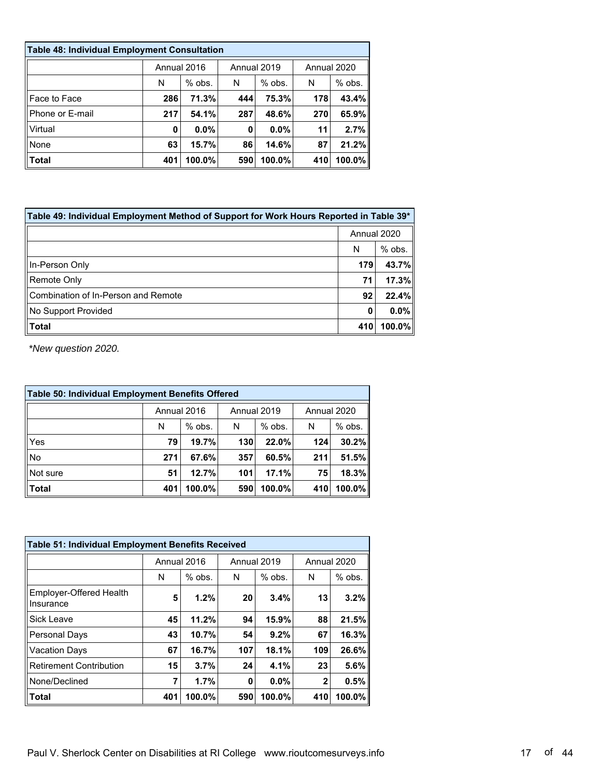| <b>Table 48: Individual Employment Consultation</b> |             |          |     |             |     |             |  |  |  |  |  |
|-----------------------------------------------------|-------------|----------|-----|-------------|-----|-------------|--|--|--|--|--|
|                                                     | Annual 2016 |          |     | Annual 2019 |     | Annual 2020 |  |  |  |  |  |
|                                                     | N           | $%$ obs. | N   | $%$ obs.    | N   | $%$ obs.    |  |  |  |  |  |
| Face to Face                                        | 286         | 71.3%    | 444 | 75.3%       | 178 | 43.4%       |  |  |  |  |  |
| Phone or E-mail                                     | 217         | 54.1%    | 287 | 48.6%       | 270 | 65.9%       |  |  |  |  |  |
| Virtual                                             | 0           | $0.0\%$  | 0   | $0.0\%$     | 11  | 2.7%        |  |  |  |  |  |
| None                                                | 63          | 15.7%    | 86  | 14.6%       | 87  | 21.2%       |  |  |  |  |  |
| $\blacksquare$ Total                                | 401         | 100.0%   | 590 | 100.0%      | 410 | 100.0%      |  |  |  |  |  |

| Table 49: Individual Employment Method of Support for Work Hours Reported in Table 39* |             |          |  |  |  |
|----------------------------------------------------------------------------------------|-------------|----------|--|--|--|
|                                                                                        | Annual 2020 |          |  |  |  |
|                                                                                        | N           | $%$ obs. |  |  |  |
| In-Person Only                                                                         | 179         | 43.7%    |  |  |  |
| Remote Only                                                                            | 71          | 17.3%    |  |  |  |
| Combination of In-Person and Remote                                                    | 92          | 22.4%    |  |  |  |
| No Support Provided                                                                    | 0           | $0.0\%$  |  |  |  |
| Total                                                                                  | 410         | 100.0%   |  |  |  |

| <b>Table 50: Individual Employment Benefits Offered</b> |             |          |             |           |             |          |  |  |
|---------------------------------------------------------|-------------|----------|-------------|-----------|-------------|----------|--|--|
|                                                         | Annual 2016 |          | Annual 2019 |           | Annual 2020 |          |  |  |
|                                                         | N           | $%$ obs. | N           | $%$ obs.  | N           | $%$ obs. |  |  |
| Yes                                                     | 79          | 19.7%    | 130         | 22.0%     | 124         | 30.2%    |  |  |
| <b>No</b>                                               | 271         | 67.6%    | 357         | 60.5%     | 211         | 51.5%    |  |  |
| Not sure                                                | 51          | 12.7%    | 101         | 17.1%     | 75          | 18.3%    |  |  |
| <b>Total</b>                                            | 401         | 100.0%   | 590         | $100.0\%$ | 410         | 100.0%   |  |  |

| Table 51: Individual Employment Benefits Received |     |             |     |             |             |             |  |  |
|---------------------------------------------------|-----|-------------|-----|-------------|-------------|-------------|--|--|
|                                                   |     | Annual 2016 |     | Annual 2019 |             | Annual 2020 |  |  |
|                                                   | N   | $%$ obs.    | N   | $%$ obs.    | N           | $%$ obs.    |  |  |
| Employer-Offered Health<br>Insurance              | 5   | 1.2%        | 20  | 3.4%        | 13          | 3.2%        |  |  |
| Sick Leave                                        | 45  | 11.2%       | 94  | 15.9%       | 88          | 21.5%       |  |  |
| <b>Personal Days</b>                              | 43  | 10.7%       | 54  | 9.2%        | 67          | 16.3%       |  |  |
| <b>Vacation Days</b>                              | 67  | 16.7%       | 107 | 18.1%       | 109         | 26.6%       |  |  |
| <b>Retirement Contribution</b>                    | 15  | 3.7%        | 24  | 4.1%        | 23          | 5.6%        |  |  |
| None/Declined                                     | 7   | 1.7%        | 0   | 0.0%        | $\mathbf 2$ | 0.5%        |  |  |
| <b>Total</b>                                      | 401 | 100.0%      | 590 | 100.0%      | 410         | 100.0%      |  |  |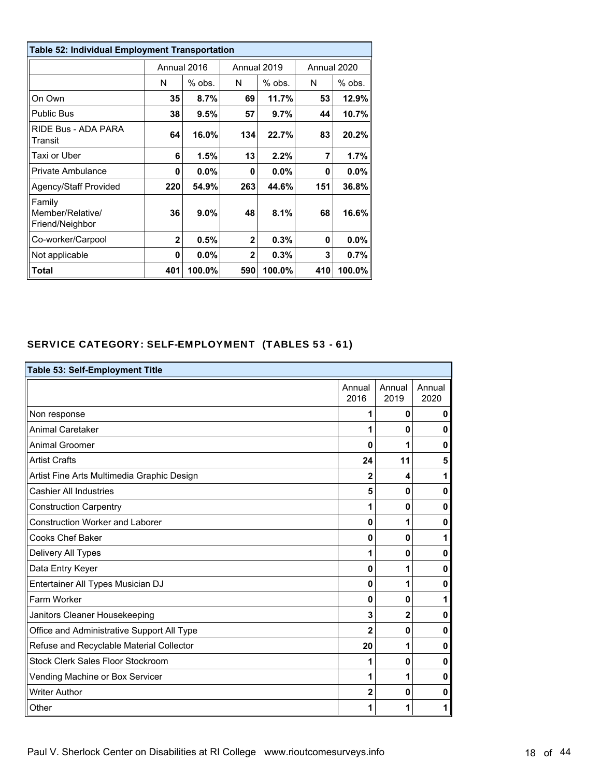| <b>Table 52: Individual Employment Transportation</b> |              |             |                |             |             |          |  |
|-------------------------------------------------------|--------------|-------------|----------------|-------------|-------------|----------|--|
|                                                       |              | Annual 2016 |                | Annual 2019 | Annual 2020 |          |  |
|                                                       | N            | $%$ obs.    | N              | % obs.      | N           | $%$ obs. |  |
| On Own                                                | 35           | 8.7%        | 69             | 11.7%       | 53          | 12.9%    |  |
| <b>Public Bus</b>                                     | 38           | 9.5%        | 57             | 9.7%        | 44          | 10.7%    |  |
| RIDE Bus - ADA PARA<br>Transit                        | 64           | 16.0%       | 134            | 22.7%       | 83          | 20.2%    |  |
| Taxi or Uber                                          | 6            | 1.5%        | 13             | 2.2%        | 7           | 1.7%     |  |
| Private Ambulance                                     | 0            | $0.0\%$     | 0              | $0.0\%$     | 0           | 0.0%     |  |
| Agency/Staff Provided                                 | 220          | 54.9%       | 263            | 44.6%       | 151         | 36.8%    |  |
| Family<br>Member/Relative/<br>Friend/Neighbor         | 36           | 9.0%        | 48             | 8.1%        | 68          | 16.6%    |  |
| Co-worker/Carpool                                     | $\mathbf{2}$ | 0.5%        | $\overline{2}$ | 0.3%        | 0           | 0.0%     |  |
| Not applicable                                        | 0            | 0.0%        | $\overline{2}$ | 0.3%        | 3           | 0.7%     |  |
| Total                                                 | 401          | 100.0%      | 590            | 100.0%      | 410         | 100.0%   |  |

# SERVICE CATEGORY: SELF-EMPLOYMENT (TABLES 53 - 61)

| Table 53: Self-Employment Title            |                |                |                |  |  |  |  |
|--------------------------------------------|----------------|----------------|----------------|--|--|--|--|
|                                            | Annual<br>2016 | Annual<br>2019 | Annual<br>2020 |  |  |  |  |
| Non response                               | 1              | $\mathbf{0}$   | $\bf{0}$       |  |  |  |  |
| <b>Animal Caretaker</b>                    | 1              | $\mathbf{0}$   | $\bf{0}$       |  |  |  |  |
| <b>Animal Groomer</b>                      | $\bf{0}$       | 1              | 0              |  |  |  |  |
| <b>Artist Crafts</b>                       | 24             | 11             | 5              |  |  |  |  |
| Artist Fine Arts Multimedia Graphic Design | $\overline{2}$ | 4              | 1              |  |  |  |  |
| <b>Cashier All Industries</b>              | 5              | $\mathbf{0}$   | $\mathbf{0}$   |  |  |  |  |
| <b>Construction Carpentry</b>              | 1              | $\mathbf{0}$   | 0              |  |  |  |  |
| <b>Construction Worker and Laborer</b>     | 0              | 1              | $\bf{0}$       |  |  |  |  |
| <b>Cooks Chef Baker</b>                    | $\bf{0}$       | $\mathbf{0}$   | 1              |  |  |  |  |
| Delivery All Types                         | 1              | $\mathbf{0}$   | $\mathbf{0}$   |  |  |  |  |
| Data Entry Keyer                           | $\mathbf{0}$   | 1              | 0              |  |  |  |  |
| Entertainer All Types Musician DJ          | 0              | 1              | 0              |  |  |  |  |
| Farm Worker                                | $\bf{0}$       | $\mathbf{0}$   | 1              |  |  |  |  |
| Janitors Cleaner Housekeeping              | 3              | $\mathbf 2$    | $\bf{0}$       |  |  |  |  |
| Office and Administrative Support All Type | $\overline{2}$ | $\mathbf{0}$   | 0              |  |  |  |  |
| Refuse and Recyclable Material Collector   | 20             | 1              | 0              |  |  |  |  |
| Stock Clerk Sales Floor Stockroom          | 1              | $\mathbf{0}$   | 0              |  |  |  |  |
| Vending Machine or Box Servicer            | 1              | 1              | $\bf{0}$       |  |  |  |  |
| <b>Writer Author</b>                       | $\overline{2}$ | $\mathbf{0}$   | 0              |  |  |  |  |
| Other                                      | 1              | 1              | 1              |  |  |  |  |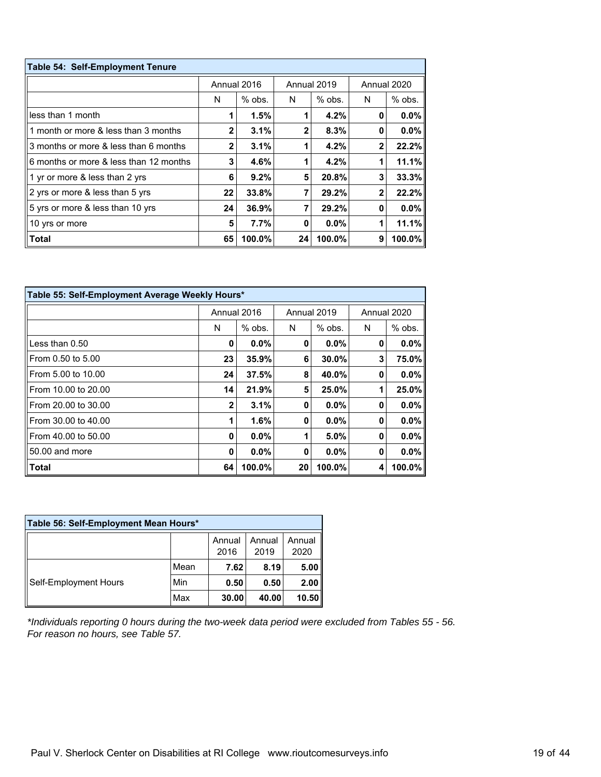| Table 54: Self-Employment Tenure       |    |             |              |             |              |          |  |
|----------------------------------------|----|-------------|--------------|-------------|--------------|----------|--|
|                                        |    | Annual 2016 |              | Annual 2019 | Annual 2020  |          |  |
|                                        | N  | $%$ obs.    | N            | $%$ obs.    | N            | $%$ obs. |  |
| less than 1 month                      |    | 1.5%        |              | 4.2%        | 0            | $0.0\%$  |  |
| 1 month or more & less than 3 months   | 2  | 3.1%        | $\mathbf{2}$ | 8.3%        | 0            | $0.0\%$  |  |
| 3 months or more & less than 6 months  | 2  | 3.1%        |              | 4.2%        | $\mathbf{2}$ | 22.2%    |  |
| 6 months or more & less than 12 months | 3  | 4.6%        |              | 4.2%        |              | 11.1%    |  |
| 1 yr or more & less than 2 yrs         | 6  | 9.2%        | 5            | 20.8%       | 3            | 33.3%    |  |
| 2 yrs or more & less than 5 yrs        | 22 | 33.8%       |              | 29.2%       | 2            | 22.2%    |  |
| 5 yrs or more & less than 10 yrs       | 24 | 36.9%       |              | 29.2%       | 0            | $0.0\%$  |  |
| 10 yrs or more                         | 5  | 7.7%        | 0            | $0.0\%$     |              | 11.1%    |  |
| <b>Total</b>                           | 65 | 100.0%      | 24           | 100.0%      | 9            | 100.0%   |  |

| Table 55: Self-Employment Average Weekly Hours* |              |             |    |             |   |             |  |  |
|-------------------------------------------------|--------------|-------------|----|-------------|---|-------------|--|--|
|                                                 |              | Annual 2016 |    | Annual 2019 |   | Annual 2020 |  |  |
|                                                 | N            | $%$ obs.    | N  | $%$ obs.    | N | $%$ obs.    |  |  |
| ⅡLess than 0.50                                 | 0            | 0.0%        | 0  | $0.0\%$     | 0 | $0.0\%$     |  |  |
| ll From 0.50 to 5.00                            | 23           | 35.9%       | 6  | 30.0%       | 3 | 75.0%       |  |  |
| I From 5.00 to 10.00                            | 24           | 37.5%       | 8  | 40.0%       | 0 | $0.0\%$     |  |  |
| llFrom 10.00 to 20.00                           | 14           | 21.9%       | 5  | 25.0%       | 1 | 25.0%       |  |  |
| ll From 20.00 to 30.00                          | $\mathbf{2}$ | 3.1%        | 0  | $0.0\%$     | 0 | $0.0\%$     |  |  |
| ll From 30.00 to 40.00                          | 1            | 1.6%        | 0  | $0.0\%$     | 0 | $0.0\%$     |  |  |
| ll From 40.00 to 50.00                          | 0            | 0.0%        | 1  | 5.0%        | 0 | $0.0\%$     |  |  |
| $  50.00$ and more                              | 0            | 0.0%        | 0  | $0.0\%$     | 0 | $0.0\%$     |  |  |
| <b>∣∣Total</b>                                  | 64           | 100.0%      | 20 | 100.0%      | 4 | 100.0%      |  |  |

| Table 56: Self-Employment Mean Hours* |      |                |                |                |  |  |  |
|---------------------------------------|------|----------------|----------------|----------------|--|--|--|
|                                       |      | Annual<br>2016 | Annual<br>2019 | Annual<br>2020 |  |  |  |
| Self-Employment Hours                 | Mean | 7.62           | 8.19           | 5.00           |  |  |  |
|                                       | Min  | 0.50           | 0.50           | 2.00           |  |  |  |
|                                       | Max  | 30.00          | 40.00          | 10.50          |  |  |  |

*\*Individuals reporting 0 hours during the two-week data period were excluded from Tables 55 - 56. For reason no hours, see Table 57.*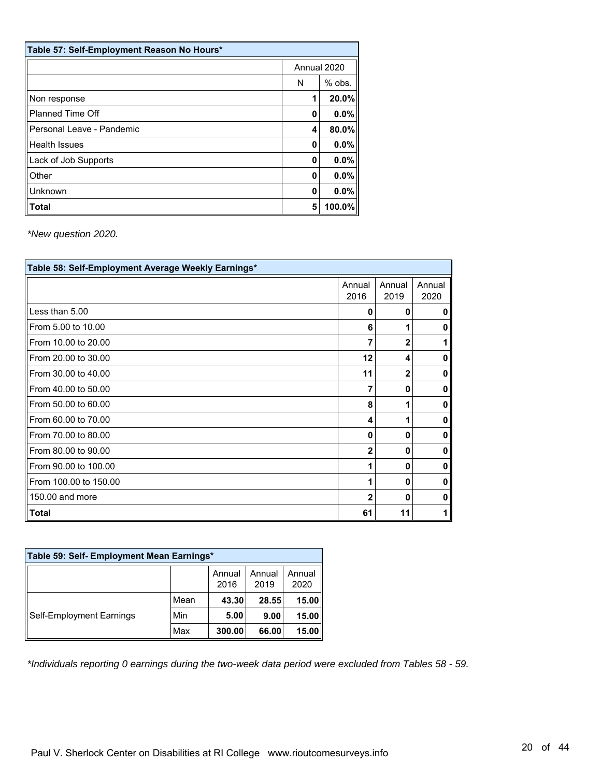| Table 57: Self-Employment Reason No Hours* |             |          |  |  |  |
|--------------------------------------------|-------------|----------|--|--|--|
|                                            | Annual 2020 |          |  |  |  |
|                                            | N           | $%$ obs. |  |  |  |
| Non response                               | 1           | 20.0%    |  |  |  |
| <b>Planned Time Off</b>                    | 0           | 0.0%     |  |  |  |
| Personal Leave - Pandemic                  | 4           | 80.0%    |  |  |  |
| <b>Health Issues</b>                       | 0           | 0.0%     |  |  |  |
| Lack of Job Supports                       | 0           | 0.0%     |  |  |  |
| Other                                      | 0           | 0.0%     |  |  |  |
| Unknown                                    | 0           | 0.0%     |  |  |  |
| Total                                      | 5           | 100.0%   |  |  |  |

| Table 58: Self-Employment Average Weekly Earnings* |                |                |                |  |  |  |  |
|----------------------------------------------------|----------------|----------------|----------------|--|--|--|--|
|                                                    | Annual<br>2016 | Annual<br>2019 | Annual<br>2020 |  |  |  |  |
| Less than 5.00                                     | 0              | O              | 0              |  |  |  |  |
| From 5.00 to 10.00                                 | 6              |                | 0              |  |  |  |  |
| From 10.00 to 20.00                                | 7              | $\mathbf{2}$   |                |  |  |  |  |
| From 20.00 to 30.00                                | 12             | 4              | 0              |  |  |  |  |
| From 30.00 to 40.00                                | 11             | $\mathbf 2$    | 0              |  |  |  |  |
| From 40.00 to 50.00                                | 7              | O              | 0              |  |  |  |  |
| From 50.00 to 60.00                                | 8              |                | 0              |  |  |  |  |
| From 60.00 to 70.00                                | 4              |                | 0              |  |  |  |  |
| From 70.00 to 80.00                                | $\mathbf 0$    | 0              | 0              |  |  |  |  |
| From 80.00 to 90.00                                | $\overline{2}$ | 0              | 0              |  |  |  |  |
| From 90.00 to 100.00                               | 1              | 0              | 0              |  |  |  |  |
| From 100.00 to 150.00                              | 1              | 0              | $\bf{0}$       |  |  |  |  |
| 150,00 and more                                    | $\mathbf 2$    | O              | 0              |  |  |  |  |
| $\blacksquare$ Total                               | 61             | 11             |                |  |  |  |  |

| Table 59: Self- Employment Mean Earnings* |      |                |                |                |  |  |  |
|-------------------------------------------|------|----------------|----------------|----------------|--|--|--|
|                                           |      | Annual<br>2016 | Annual<br>2019 | Annual<br>2020 |  |  |  |
| Self-Employment Earnings                  | Mean | 43.30          | 28.55          | 15.00          |  |  |  |
|                                           | Min  | 5.00           | 9.00           | 15.00          |  |  |  |
|                                           | Max  | 300.00         | 66.00          | 15.00          |  |  |  |

*\*Individuals reporting 0 earnings during the two-week data period were excluded from Tables 58 - 59.*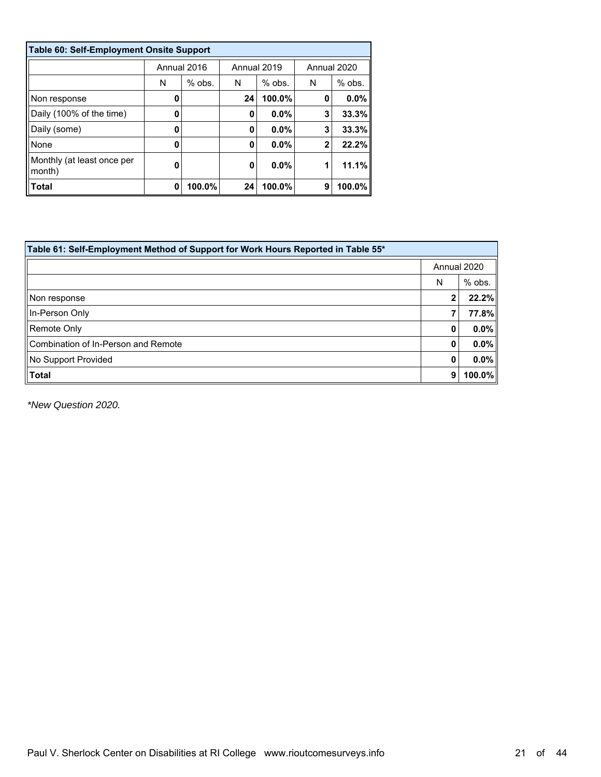| <b>Table 60: Self-Employment Onsite Support</b> |             |          |             |          |             |          |  |  |
|-------------------------------------------------|-------------|----------|-------------|----------|-------------|----------|--|--|
|                                                 | Annual 2016 |          | Annual 2019 |          | Annual 2020 |          |  |  |
|                                                 | N           | $%$ obs. | N           | $%$ obs. | N           | $%$ obs. |  |  |
| Non response                                    | 0           |          | 24          | 100.0%   | 0           | $0.0\%$  |  |  |
| Daily (100% of the time)                        | 0           |          | 0           | $0.0\%$  | 3           | 33.3%    |  |  |
| Daily (some)                                    | 0           |          | 0           | $0.0\%$  | 3           | 33.3%    |  |  |
| None                                            | 0           |          | 0           | $0.0\%$  | $\mathbf 2$ | 22.2%    |  |  |
| Monthly (at least once per<br>month)            | O           |          | 0           | 0.0%     |             | 11.1%    |  |  |
| Total                                           | 0           | 100.0%   | 24          | 100.0%   | 9           | 100.0%   |  |  |

| Table 61: Self-Employment Method of Support for Work Hours Reported in Table 55* |             |           |  |  |  |  |
|----------------------------------------------------------------------------------|-------------|-----------|--|--|--|--|
|                                                                                  | Annual 2020 |           |  |  |  |  |
|                                                                                  | N           | % obs.    |  |  |  |  |
| Non response                                                                     |             | 22.2%     |  |  |  |  |
| In-Person Only                                                                   |             | 77.8%     |  |  |  |  |
| ∥Remote Only                                                                     | 0           | $0.0\%$   |  |  |  |  |
| Combination of In-Person and Remote                                              | 0           | $0.0\%$   |  |  |  |  |
| No Support Provided                                                              | 0           | $0.0\%$   |  |  |  |  |
| Total                                                                            | 9           | $100.0\%$ |  |  |  |  |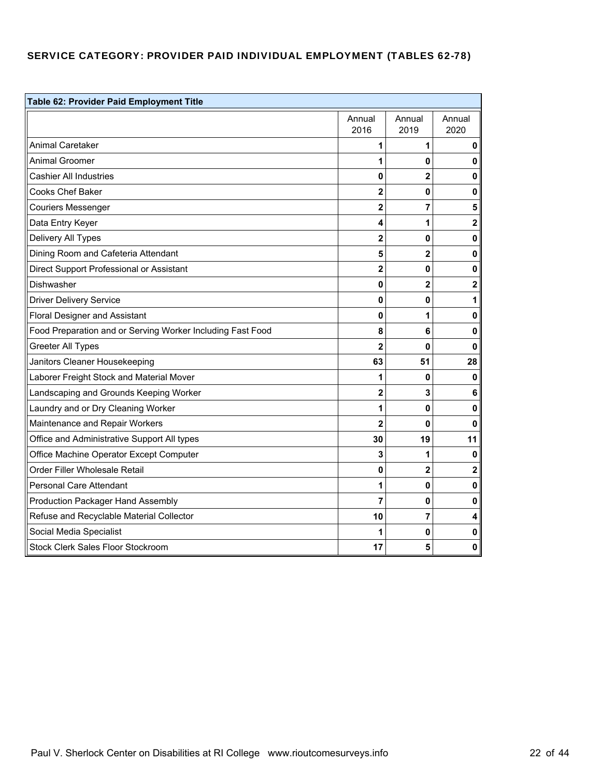# SERVICE CATEGORY: PROVIDER PAID INDIVIDUAL EMPLOYMENT (TABLES 62-78)

| Table 62: Provider Paid Employment Title                   |                |                |                         |  |  |  |
|------------------------------------------------------------|----------------|----------------|-------------------------|--|--|--|
|                                                            | Annual<br>2016 | Annual<br>2019 | Annual<br>2020          |  |  |  |
| <b>Animal Caretaker</b>                                    | 1              | 1              | 0                       |  |  |  |
| Animal Groomer                                             | 1              | 0              | 0                       |  |  |  |
| <b>Cashier All Industries</b>                              | 0              | $\overline{2}$ | 0                       |  |  |  |
| <b>Cooks Chef Baker</b>                                    | $\overline{c}$ | 0              | $\pmb{0}$               |  |  |  |
| <b>Couriers Messenger</b>                                  | 2              | 7              | 5                       |  |  |  |
| Data Entry Keyer                                           | 4              | 1              | $\mathbf{2}$            |  |  |  |
| Delivery All Types                                         | 2              | $\mathbf{0}$   | 0                       |  |  |  |
| Dining Room and Cafeteria Attendant                        | 5              | $\overline{2}$ | 0                       |  |  |  |
| Direct Support Professional or Assistant                   | $\overline{2}$ | $\mathbf{0}$   | 0                       |  |  |  |
| Dishwasher                                                 | 0              | $\overline{2}$ | $\overline{\mathbf{2}}$ |  |  |  |
| <b>Driver Delivery Service</b>                             | 0              | 0              | 1                       |  |  |  |
| <b>Floral Designer and Assistant</b>                       | 0              | 1              | 0                       |  |  |  |
| Food Preparation and or Serving Worker Including Fast Food | 8              | 6              | 0                       |  |  |  |
| <b>Greeter All Types</b>                                   | 2              | 0              | 0                       |  |  |  |
| Janitors Cleaner Housekeeping                              | 63             | 51             | 28                      |  |  |  |
| Laborer Freight Stock and Material Mover                   | 1              | 0              | $\mathbf 0$             |  |  |  |
| Landscaping and Grounds Keeping Worker                     | 2              | 3              | 6                       |  |  |  |
| Laundry and or Dry Cleaning Worker                         | 1              | $\mathbf{0}$   | $\mathbf 0$             |  |  |  |
| Maintenance and Repair Workers                             | $\overline{2}$ | $\mathbf{0}$   | 0                       |  |  |  |
| Office and Administrative Support All types                | 30             | 19             | 11                      |  |  |  |
| Office Machine Operator Except Computer                    | 3              | 1              | 0                       |  |  |  |
| Order Filler Wholesale Retail                              | 0              | 2              | $\mathbf{2}$            |  |  |  |
| <b>Personal Care Attendant</b>                             | 1              | 0              | 0                       |  |  |  |
| <b>Production Packager Hand Assembly</b>                   | 7              | 0              | 0                       |  |  |  |
| Refuse and Recyclable Material Collector                   | 10             | 7              | 4                       |  |  |  |
| Social Media Specialist                                    | 1              | 0              | 0                       |  |  |  |
| <b>Stock Clerk Sales Floor Stockroom</b>                   | 17             | 5              | 0                       |  |  |  |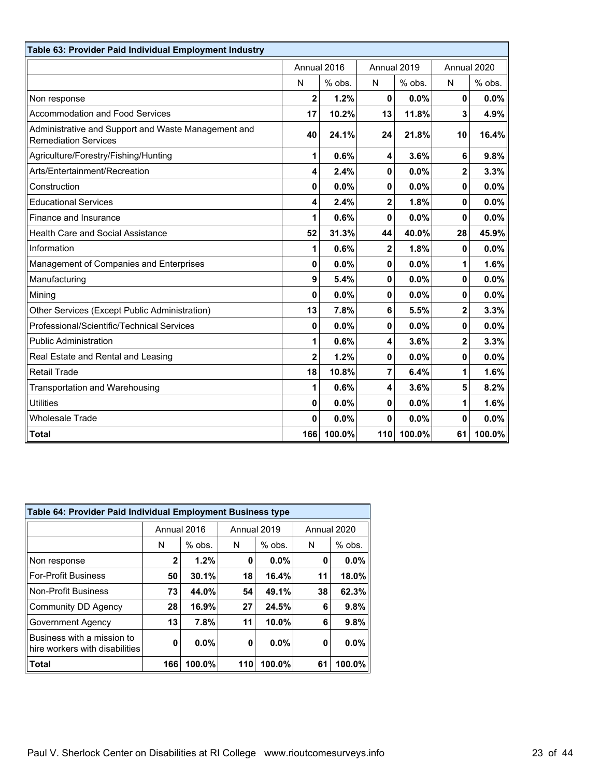| Table 63: Provider Paid Individual Employment Industry                             |                |             |                         |             |                         |             |
|------------------------------------------------------------------------------------|----------------|-------------|-------------------------|-------------|-------------------------|-------------|
|                                                                                    |                | Annual 2016 |                         | Annual 2019 |                         | Annual 2020 |
|                                                                                    | N              | % obs.      | N                       | % obs.      | N                       | % obs.      |
| Non response                                                                       | $\overline{2}$ | 1.2%        | 0                       | 0.0%        | $\mathbf{0}$            | 0.0%        |
| <b>Accommodation and Food Services</b>                                             | 17             | 10.2%       | 13                      | 11.8%       | 3                       | 4.9%        |
| Administrative and Support and Waste Management and<br><b>Remediation Services</b> | 40             | 24.1%       | 24                      | 21.8%       | 10                      | 16.4%       |
| Agriculture/Forestry/Fishing/Hunting                                               | 1              | 0.6%        | 4                       | 3.6%        | 6                       | 9.8%        |
| Arts/Entertainment/Recreation                                                      | 4              | 2.4%        | 0                       | 0.0%        | $\overline{\mathbf{2}}$ | 3.3%        |
| Construction                                                                       | 0              | 0.0%        | 0                       | 0.0%        | $\mathbf 0$             | 0.0%        |
| <b>Educational Services</b>                                                        | 4              | 2.4%        | $\overline{\mathbf{2}}$ | 1.8%        | 0                       | 0.0%        |
| Finance and Insurance                                                              | 1              | 0.6%        | 0                       | 0.0%        | 0                       | 0.0%        |
| <b>Health Care and Social Assistance</b>                                           | 52             | 31.3%       | 44                      | 40.0%       | 28                      | 45.9%       |
| Information                                                                        | 1              | 0.6%        | $\mathbf{2}$            | 1.8%        | 0                       | 0.0%        |
| Management of Companies and Enterprises                                            | 0              | 0.0%        | 0                       | 0.0%        | 1                       | 1.6%        |
| Manufacturing                                                                      | 9              | 5.4%        | 0                       | 0.0%        | 0                       | 0.0%        |
| Mining                                                                             | $\Omega$       | 0.0%        | 0                       | 0.0%        | 0                       | 0.0%        |
| Other Services (Except Public Administration)                                      | 13             | 7.8%        | 6                       | 5.5%        | 2                       | 3.3%        |
| Professional/Scientific/Technical Services                                         | 0              | 0.0%        | 0                       | 0.0%        | 0                       | 0.0%        |
| <b>Public Administration</b>                                                       | 1              | 0.6%        | 4                       | 3.6%        | $\overline{\mathbf{2}}$ | 3.3%        |
| Real Estate and Rental and Leasing                                                 | $\overline{2}$ | 1.2%        | 0                       | 0.0%        | 0                       | 0.0%        |
| <b>Retail Trade</b>                                                                | 18             | 10.8%       | 7                       | 6.4%        | 1                       | 1.6%        |
| <b>Transportation and Warehousing</b>                                              | 1              | 0.6%        | 4                       | 3.6%        | 5                       | 8.2%        |
| <b>Utilities</b>                                                                   | 0              | 0.0%        | 0                       | 0.0%        | $\mathbf{1}$            | 1.6%        |
| <b>Wholesale Trade</b>                                                             | 0              | 0.0%        | 0                       | 0.0%        | 0                       | 0.0%        |
| <b>Total</b>                                                                       | 166            | 100.0%      | 110                     | 100.0%      | 61                      | 100.0%      |

| Table 64: Provider Paid Individual Employment Business type  |     |             |     |             |             |           |  |  |  |
|--------------------------------------------------------------|-----|-------------|-----|-------------|-------------|-----------|--|--|--|
|                                                              |     | Annual 2016 |     | Annual 2019 | Annual 2020 |           |  |  |  |
|                                                              | N   | $%$ obs.    | N   | $%$ obs.    | N           | $%$ obs.  |  |  |  |
| Non response                                                 | 2   | 1.2%        | 0   | 0.0%        | 0           | $0.0\%$   |  |  |  |
| <b>For-Profit Business</b>                                   | 50  | 30.1%       | 18  | 16.4%       | 11          | $18.0\%$  |  |  |  |
| <b>Non-Profit Business</b>                                   | 73  | 44.0%       | 54  | 49.1%       | 38          | 62.3%     |  |  |  |
| <b>Community DD Agency</b>                                   | 28  | 16.9%       | 27  | 24.5%       | 6           | 9.8%      |  |  |  |
| Government Agency                                            | 13  | 7.8%        | 11  | 10.0%       | 6           | 9.8%      |  |  |  |
| Business with a mission to<br>hire workers with disabilities | 0   | 0.0%        | 0   | 0.0%        | 0           | $0.0\%$   |  |  |  |
| ∣Total                                                       | 166 | 100.0%      | 110 | 100.0%      | 61          | $100.0\%$ |  |  |  |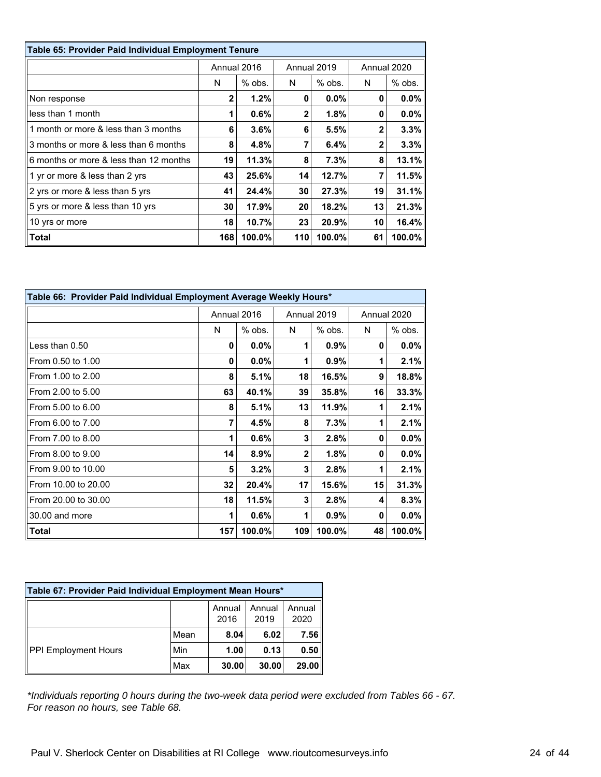| Table 65: Provider Paid Individual Employment Tenure |              |             |     |             |              |         |  |
|------------------------------------------------------|--------------|-------------|-----|-------------|--------------|---------|--|
|                                                      |              | Annual 2016 |     | Annual 2019 | Annual 2020  |         |  |
|                                                      | N            | $%$ obs.    | N   | $%$ obs.    | N            | % obs.  |  |
| Non response                                         | $\mathbf{2}$ | 1.2%        | 0   | $0.0\%$     | 0            | $0.0\%$ |  |
| less than 1 month                                    | 1            | 0.6%        | 2   | $1.8\%$     | 0            | $0.0\%$ |  |
| 1 month or more & less than 3 months                 | 6            | $3.6\%$     | 6   | 5.5%        | $\mathbf{2}$ | 3.3%    |  |
| 3 months or more & less than 6 months                | 8            | 4.8%        | 7   | 6.4%        | 2            | 3.3%    |  |
| 6 months or more & less than 12 months               | 19           | 11.3%       | 8   | 7.3%        | 8            | 13.1%   |  |
| 1 yr or more & less than 2 yrs                       | 43           | 25.6%       | 14  | 12.7%       | 7            | 11.5%   |  |
| 2 yrs or more & less than 5 yrs                      | 41           | 24.4%       | 30  | 27.3%       | 19           | 31.1%   |  |
| 5 yrs or more & less than 10 yrs                     | 30           | 17.9%       | 20  | 18.2%       | 13           | 21.3%   |  |
| 10 yrs or more                                       | 18           | 10.7%       | 23  | 20.9%       | 10           | 16.4%   |  |
| Total                                                | 168          | 100.0%      | 110 | 100.0%      | 61           | 100.0%  |  |

| Table 66: Provider Paid Individual Employment Average Weekly Hours* |     |             |     |             |             |          |  |
|---------------------------------------------------------------------|-----|-------------|-----|-------------|-------------|----------|--|
|                                                                     |     | Annual 2016 |     | Annual 2019 | Annual 2020 |          |  |
|                                                                     | N   | % obs.      | N   | % obs.      | N           | $%$ obs. |  |
| Less than 0.50                                                      | 0   | $0.0\%$     | 1   | 0.9%        | 0           | $0.0\%$  |  |
| From 0.50 to 1.00                                                   | 0   | $0.0\%$     | 1   | 0.9%        | 1           | 2.1%     |  |
| From 1.00 to 2.00                                                   | 8   | 5.1%        | 18  | 16.5%       | 9           | 18.8%    |  |
| From 2.00 to 5.00                                                   | 63  | 40.1%       | 39  | 35.8%       | 16          | 33.3%    |  |
| From 5.00 to 6.00                                                   | 8   | 5.1%        | 13  | 11.9%       | 1           | 2.1%     |  |
| From 6.00 to 7.00                                                   | 7   | 4.5%        | 8   | 7.3%        | 1           | 2.1%     |  |
| From 7.00 to 8.00                                                   | 1   | 0.6%        | 3   | 2.8%        | 0           | $0.0\%$  |  |
| From 8.00 to 9.00                                                   | 14  | 8.9%        | 2   | 1.8%        | 0           | $0.0\%$  |  |
| From 9.00 to 10.00                                                  | 5   | 3.2%        | 3   | 2.8%        | 1           | 2.1%     |  |
| From 10.00 to 20.00                                                 | 32  | 20.4%       | 17  | 15.6%       | 15          | 31.3%    |  |
| From 20.00 to 30.00                                                 | 18  | 11.5%       | 3   | 2.8%        | 4           | 8.3%     |  |
| 30.00 and more                                                      | 1   | 0.6%        | 1   | 0.9%        | 0           | $0.0\%$  |  |
| Total                                                               | 157 | 100.0%      | 109 | 100.0%      | 48          | 100.0%   |  |

| Table 67: Provider Paid Individual Employment Mean Hours* |      |                |                |                |  |  |
|-----------------------------------------------------------|------|----------------|----------------|----------------|--|--|
|                                                           |      | Annual<br>2016 | Annual<br>2019 | Annual<br>2020 |  |  |
|                                                           | Mean | 8.04           | 6.02           | 7.56           |  |  |
| <b>PPI Employment Hours</b>                               | Min  | 1.00           | 0.13           | 0.50           |  |  |
|                                                           | Max  | 30.00          | 30.00          | 29.00          |  |  |

*\*Individuals reporting 0 hours during the two-week data period were excluded from Tables 66 - 67. For reason no hours, see Table 68.*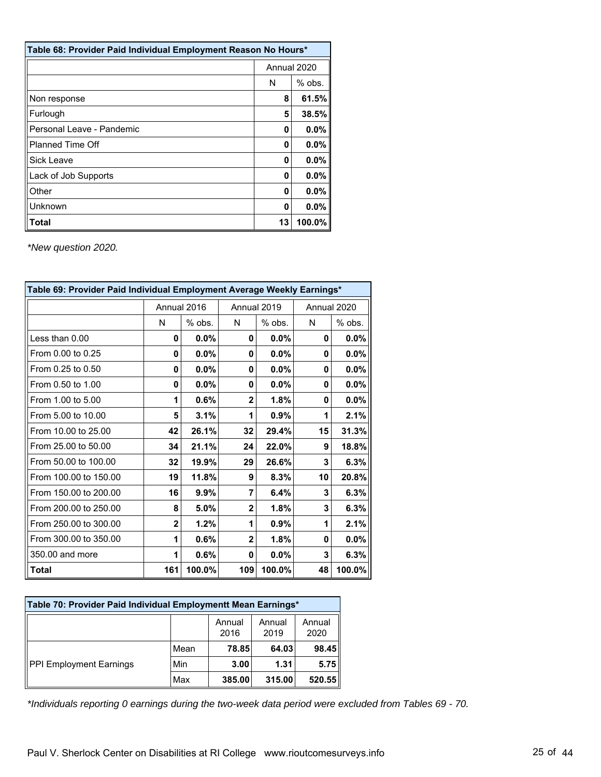| Table 68: Provider Paid Individual Employment Reason No Hours* |             |         |  |  |  |
|----------------------------------------------------------------|-------------|---------|--|--|--|
|                                                                | Annual 2020 |         |  |  |  |
|                                                                | N           | % obs.  |  |  |  |
| Non response                                                   | 8           | 61.5%   |  |  |  |
| Furlough                                                       | 5           | 38.5%   |  |  |  |
| Personal Leave - Pandemic                                      | 0           | 0.0%    |  |  |  |
| <b>Planned Time Off</b>                                        | 0           | 0.0%    |  |  |  |
| Sick Leave                                                     | O           | 0.0%    |  |  |  |
| Lack of Job Supports                                           | Ω           | $0.0\%$ |  |  |  |
| Other                                                          | O           | $0.0\%$ |  |  |  |
| Unknown                                                        | 0           | 0.0%    |  |  |  |
| <b>Total</b>                                                   | 13          | 100.0%  |  |  |  |

| Table 69: Provider Paid Individual Employment Average Weekly Earnings* |              |          |                |             |             |         |  |  |  |
|------------------------------------------------------------------------|--------------|----------|----------------|-------------|-------------|---------|--|--|--|
|                                                                        | Annual 2016  |          |                | Annual 2019 | Annual 2020 |         |  |  |  |
|                                                                        | N            | $%$ obs. | N              | $%$ obs.    | N           | % obs.  |  |  |  |
| Less than 0.00                                                         | 0            | $0.0\%$  | 0              | 0.0%        | 0           | $0.0\%$ |  |  |  |
| From 0.00 to 0.25                                                      | 0            | 0.0%     | 0              | $0.0\%$     | 0           | $0.0\%$ |  |  |  |
| From 0.25 to 0.50                                                      | 0            | 0.0%     | 0              | $0.0\%$     | 0           | $0.0\%$ |  |  |  |
| From 0.50 to 1.00                                                      | 0            | 0.0%     | 0              | 0.0%        | 0           | $0.0\%$ |  |  |  |
| From 1.00 to 5.00                                                      | 1            | 0.6%     | $\overline{2}$ | 1.8%        | 0           | $0.0\%$ |  |  |  |
| From 5.00 to 10.00                                                     | 5            | 3.1%     | 1              | 0.9%        | 1           | 2.1%    |  |  |  |
| From 10.00 to 25.00                                                    | 42           | 26.1%    | 32             | 29.4%       | 15          | 31.3%   |  |  |  |
| From 25.00 to 50.00                                                    | 34           | 21.1%    | 24             | 22.0%       | 9           | 18.8%   |  |  |  |
| From 50.00 to 100.00                                                   | 32           | 19.9%    | 29             | 26.6%       | 3           | 6.3%    |  |  |  |
| From 100.00 to 150.00                                                  | 19           | 11.8%    | 9              | 8.3%        | 10          | 20.8%   |  |  |  |
| From 150.00 to 200.00                                                  | 16           | 9.9%     | 7              | 6.4%        | 3           | 6.3%    |  |  |  |
| From 200.00 to 250.00                                                  | 8            | 5.0%     | $\overline{2}$ | 1.8%        | 3           | 6.3%    |  |  |  |
| From 250.00 to 300.00                                                  | $\mathbf{2}$ | 1.2%     | 1              | 0.9%        | 1           | 2.1%    |  |  |  |
| From 300.00 to 350.00                                                  | 1            | 0.6%     | $\overline{2}$ | 1.8%        | 0           | $0.0\%$ |  |  |  |
| 350,00 and more                                                        | 1            | 0.6%     | 0              | 0.0%        | 3           | 6.3%    |  |  |  |
| <b>Total</b>                                                           | 161          | 100.0%   | 109            | 100.0%      | 48          | 100.0%  |  |  |  |

| Table 70: Provider Paid Individual Employmentt Mean Earnings* |      |                |                |                |  |  |
|---------------------------------------------------------------|------|----------------|----------------|----------------|--|--|
|                                                               |      | Annual<br>2016 | Annual<br>2019 | Annual<br>2020 |  |  |
| <b>PPI Employment Earnings</b>                                | Mean | 78.85          | 64.03          | 98.45          |  |  |
|                                                               | Min  | 3.00           | 1.31           | 5.75           |  |  |
|                                                               | Max  | 385.00         | 315.00         | 520.55         |  |  |

*\*Individuals reporting 0 earnings during the two-week data period were excluded from Tables 69 - 70.*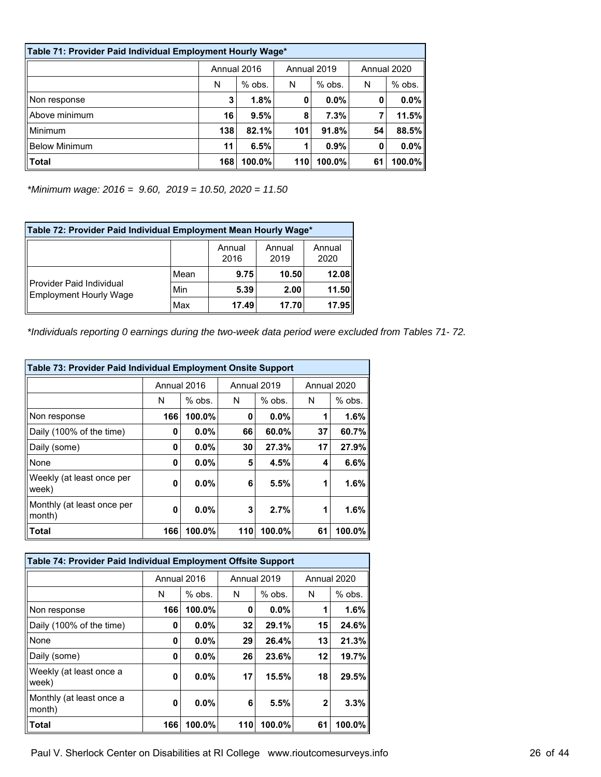| Table 71: Provider Paid Individual Employment Hourly Wage* |             |           |             |          |             |          |  |
|------------------------------------------------------------|-------------|-----------|-------------|----------|-------------|----------|--|
|                                                            | Annual 2016 |           | Annual 2019 |          | Annual 2020 |          |  |
|                                                            | N           | $%$ obs.  | N           | $%$ obs. | N           | $%$ obs. |  |
| Non response                                               | 3           | 1.8%      | 0           | $0.0\%$  | 0           | 0.0%     |  |
| Above minimum                                              | 16          | 9.5%      | 8           | 7.3%     |             | 11.5%    |  |
| Minimum                                                    | 138         | 82.1%     | 101         | 91.8%    | 54          | 88.5%    |  |
| <b>Below Minimum</b>                                       | 11          | 6.5%      | 1           | 0.9%     | 0           | 0.0%     |  |
| <b>Total</b>                                               | 168         | $100.0\%$ | 110         | 100.0%   | 61          | 100.0%   |  |

*\*Minimum wage: 2016 = 9.60, 2019 = 10.50, 2020 = 11.50*

| Table 72: Provider Paid Individual Employment Mean Hourly Wage* |      |                |                |                |  |  |  |
|-----------------------------------------------------------------|------|----------------|----------------|----------------|--|--|--|
|                                                                 |      | Annual<br>2016 | Annual<br>2019 | Annual<br>2020 |  |  |  |
| Provider Paid Individual<br>Employment Hourly Wage              | Mean | 9.75           | 10.50          | 12.08          |  |  |  |
|                                                                 | Min  | 5.39           | 2.00           | 11.50          |  |  |  |
|                                                                 | Max  | 17.49          | 17.70          | 17.95          |  |  |  |

*\*Individuals reporting 0 earnings during the two-week data period were excluded from Tables 71- 72.*

| Table 73: Provider Paid Individual Employment Onsite Support |             |          |     |             |             |          |  |  |  |  |
|--------------------------------------------------------------|-------------|----------|-----|-------------|-------------|----------|--|--|--|--|
|                                                              | Annual 2016 |          |     | Annual 2019 | Annual 2020 |          |  |  |  |  |
|                                                              | N           | $%$ obs. | N   | $%$ obs.    | N           | $%$ obs. |  |  |  |  |
| Non response                                                 | 166         | 100.0%   | 0   | $0.0\%$     |             | 1.6%     |  |  |  |  |
| Daily (100% of the time)                                     | 0           | $0.0\%$  | 66  | 60.0%       | 37          | 60.7%    |  |  |  |  |
| Daily (some)                                                 | 0           | $0.0\%$  | 30  | 27.3%       | 17          | 27.9%    |  |  |  |  |
| None                                                         | 0           | $0.0\%$  | 5   | 4.5%        | 4           | 6.6%     |  |  |  |  |
| Weekly (at least once per<br>week)                           | 0           | $0.0\%$  | 6   | 5.5%        | 1           | 1.6%     |  |  |  |  |
| Monthly (at least once per<br>month)                         | 0           | 0.0%     | 3   | 2.7%        | 1           | 1.6%     |  |  |  |  |
| Total                                                        | 166         | 100.0%   | 110 | 100.0%      | 61          | 100.0%   |  |  |  |  |

| Table 74: Provider Paid Individual Employment Offsite Support |             |          |     |             |             |          |  |  |  |  |
|---------------------------------------------------------------|-------------|----------|-----|-------------|-------------|----------|--|--|--|--|
|                                                               | Annual 2016 |          |     | Annual 2019 | Annual 2020 |          |  |  |  |  |
|                                                               | N           | $%$ obs. | N   | $%$ obs.    | N           | $%$ obs. |  |  |  |  |
| Non response                                                  | 166         | 100.0%   | 0   | $0.0\%$     |             | 1.6%     |  |  |  |  |
| Daily (100% of the time)                                      | 0           | $0.0\%$  | 32  | 29.1%       | 15          | 24.6%    |  |  |  |  |
| None                                                          | 0           | $0.0\%$  | 29  | 26.4%       | 13          | 21.3%    |  |  |  |  |
| Daily (some)                                                  | 0           | $0.0\%$  | 26  | 23.6%       | 12          | 19.7%    |  |  |  |  |
| Weekly (at least once a<br>week)                              | 0           | $0.0\%$  | 17  | 15.5%       | 18          | 29.5%    |  |  |  |  |
| Monthly (at least once a<br>month)                            | 0           | $0.0\%$  | 6   | 5.5%        | 2           | 3.3%     |  |  |  |  |
| Total                                                         | 166         | 100.0%   | 110 | 100.0%      | 61          | 100.0%   |  |  |  |  |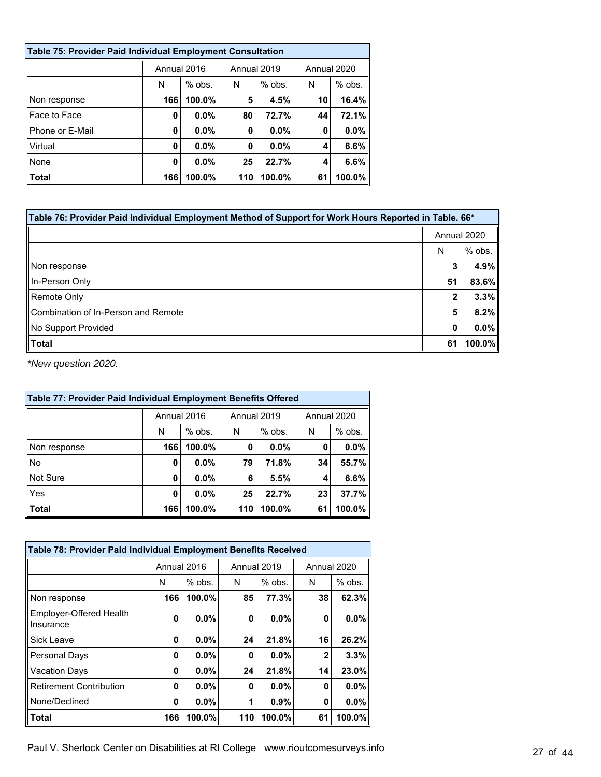| <b>Table 75: Provider Paid Individual Employment Consultation</b> |             |          |     |             |    |             |  |  |  |  |
|-------------------------------------------------------------------|-------------|----------|-----|-------------|----|-------------|--|--|--|--|
|                                                                   | Annual 2016 |          |     | Annual 2019 |    | Annual 2020 |  |  |  |  |
|                                                                   | N           | $%$ obs. | N   | $%$ obs.    | N  | $%$ obs.    |  |  |  |  |
| Non response                                                      | 166         | 100.0%   | 5   | 4.5%        | 10 | 16.4%       |  |  |  |  |
| Face to Face                                                      | 0           | 0.0%     | 80  | 72.7%       | 44 | 72.1%       |  |  |  |  |
| Phone or E-Mail                                                   | 0           | 0.0%     | 0   | $0.0\%$     | 0  | 0.0%        |  |  |  |  |
| Virtual                                                           | 0           | 0.0%     | 0   | $0.0\%$     | 4  | 6.6%        |  |  |  |  |
| None                                                              | 0           | 0.0%     | 25  | 22.7%       | 4  | 6.6%        |  |  |  |  |
| Total                                                             | 166         | 100.0%   | 110 | 100.0%      | 61 | 100.0%      |  |  |  |  |

| *166. Table 76: Provider Paid Individual Employment Method of Support for Work Hours Reported in Table. |             |         |  |  |  |  |
|---------------------------------------------------------------------------------------------------------|-------------|---------|--|--|--|--|
|                                                                                                         | Annual 2020 |         |  |  |  |  |
|                                                                                                         | N           | % obs.  |  |  |  |  |
| Non response                                                                                            | 3           | 4.9%    |  |  |  |  |
| In-Person Only                                                                                          | 51          | 83.6%   |  |  |  |  |
| Remote Only                                                                                             | 2           | 3.3%    |  |  |  |  |
| Combination of In-Person and Remote                                                                     | 5           | 8.2%    |  |  |  |  |
| No Support Provided                                                                                     | 0           | $0.0\%$ |  |  |  |  |
| Total                                                                                                   | 61          | 100.0%  |  |  |  |  |

| Table 77: Provider Paid Individual Employment Benefits Offered |             |          |     |             |             |          |  |  |  |  |
|----------------------------------------------------------------|-------------|----------|-----|-------------|-------------|----------|--|--|--|--|
|                                                                | Annual 2016 |          |     | Annual 2019 | Annual 2020 |          |  |  |  |  |
|                                                                | N           | $%$ obs. | N   | $%$ obs.    | N           | $%$ obs. |  |  |  |  |
| Non response                                                   | 166         | 100.0%   | 0   | $0.0\%$     | 0           | 0.0%     |  |  |  |  |
| No                                                             | 0           | $0.0\%$  | 79  | 71.8%       | 34          | 55.7%    |  |  |  |  |
| Not Sure                                                       | 0           | $0.0\%$  | 6   | 5.5%        | 4           | 6.6%     |  |  |  |  |
| Yes                                                            | 0           | $0.0\%$  | 25  | 22.7%       | 23          | 37.7%    |  |  |  |  |
| <b>Total</b>                                                   | 166         | 100.0%   | 110 | 100.0%      | 61          | 100.0%   |  |  |  |  |

| Table 78: Provider Paid Individual Employment Benefits Received |             |          |     |             |             |          |  |  |  |  |
|-----------------------------------------------------------------|-------------|----------|-----|-------------|-------------|----------|--|--|--|--|
|                                                                 | Annual 2016 |          |     | Annual 2019 | Annual 2020 |          |  |  |  |  |
|                                                                 | N           | $%$ obs. | N   | $%$ obs.    | N           | $%$ obs. |  |  |  |  |
| Non response                                                    | 166         | 100.0%   | 85  | 77.3%       | 38          | 62.3%    |  |  |  |  |
| Employer-Offered Health<br>Insurance                            | 0           | $0.0\%$  | 0   | $0.0\%$     | 0           | 0.0%     |  |  |  |  |
| Sick Leave                                                      | 0           | $0.0\%$  | 24  | 21.8%       | 16          | 26.2%    |  |  |  |  |
| Personal Days                                                   | 0           | $0.0\%$  | 0   | $0.0\%$     | $\mathbf 2$ | 3.3%     |  |  |  |  |
| Vacation Days                                                   | 0           | 0.0%     | 24  | 21.8%       | 14          | 23.0%    |  |  |  |  |
| <b>Retirement Contribution</b>                                  | 0           | 0.0%     | 0   | 0.0%        | 0           | 0.0%     |  |  |  |  |
| None/Declined                                                   | 0           | 0.0%     | 1   | 0.9%        | 0           | 0.0%     |  |  |  |  |
| <b>Total</b>                                                    | 166         | 100.0%   | 110 | 100.0%      | 61          | 100.0%   |  |  |  |  |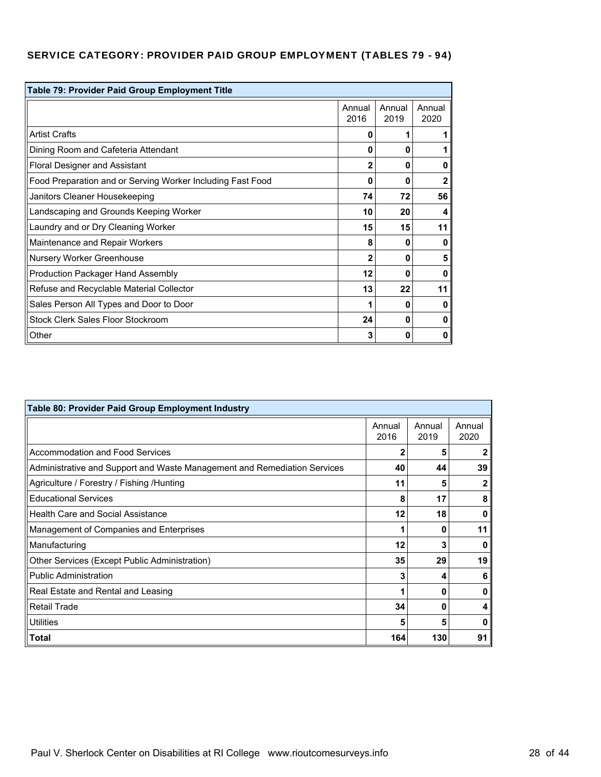# SERVICE CATEGORY: PROVIDER PAID GROUP EMPLOYMENT (TABLES 79 - 94)

| Table 79: Provider Paid Group Employment Title             |                |                |                |
|------------------------------------------------------------|----------------|----------------|----------------|
|                                                            | Annual<br>2016 | Annual<br>2019 | Annual<br>2020 |
| <b>Artist Crafts</b>                                       | 0              |                |                |
| Dining Room and Cafeteria Attendant                        | 0              | 0              | 1              |
| Floral Designer and Assistant                              | $\mathbf{2}$   | 0              | 0              |
| Food Preparation and or Serving Worker Including Fast Food | 0              | 0              | $\mathbf{2}$   |
| Janitors Cleaner Housekeeping                              | 74             | 72             | 56             |
| Landscaping and Grounds Keeping Worker                     | 10             | 20             | 4              |
| Laundry and or Dry Cleaning Worker                         | 15             | 15             | 11             |
| Maintenance and Repair Workers                             | 8              | 0              | 0              |
| <b>Nursery Worker Greenhouse</b>                           | $\overline{2}$ | 0              | 5              |
| <b>Production Packager Hand Assembly</b>                   | 12             | O              | 0              |
| Refuse and Recyclable Material Collector                   | 13             | 22             | 11             |
| Sales Person All Types and Door to Door                    | 1              | O              | 0              |
| Stock Clerk Sales Floor Stockroom                          | 24             | 0              | 0              |
| Other                                                      | 3              | o              | 0              |

| Table 80: Provider Paid Group Employment Industry                        |                |                |                |  |  |  |  |
|--------------------------------------------------------------------------|----------------|----------------|----------------|--|--|--|--|
|                                                                          | Annual<br>2016 | Annual<br>2019 | Annual<br>2020 |  |  |  |  |
| Accommodation and Food Services                                          | 2              | 5              | 2              |  |  |  |  |
| Administrative and Support and Waste Management and Remediation Services | 40             | 44             | 39             |  |  |  |  |
| Agriculture / Forestry / Fishing /Hunting                                | 11             | 5              | 2              |  |  |  |  |
| <b>Educational Services</b>                                              | 8              | 17             | 8              |  |  |  |  |
| <b>Health Care and Social Assistance</b>                                 | 12             | 18             | 0              |  |  |  |  |
| Management of Companies and Enterprises                                  |                | n              | 11             |  |  |  |  |
| Manufacturing                                                            | 12             | 3              | 0              |  |  |  |  |
| Other Services (Except Public Administration)                            | 35             | 29             | 19             |  |  |  |  |
| <b>Public Administration</b>                                             | 3              |                | 6              |  |  |  |  |
| Real Estate and Rental and Leasing                                       |                | ŋ              | 0              |  |  |  |  |
| <b>Retail Trade</b>                                                      | 34             | Ω              | 4              |  |  |  |  |
| <b>Utilities</b>                                                         | 5              | 5              | 0              |  |  |  |  |
| Total                                                                    | 164            | 130            | 91             |  |  |  |  |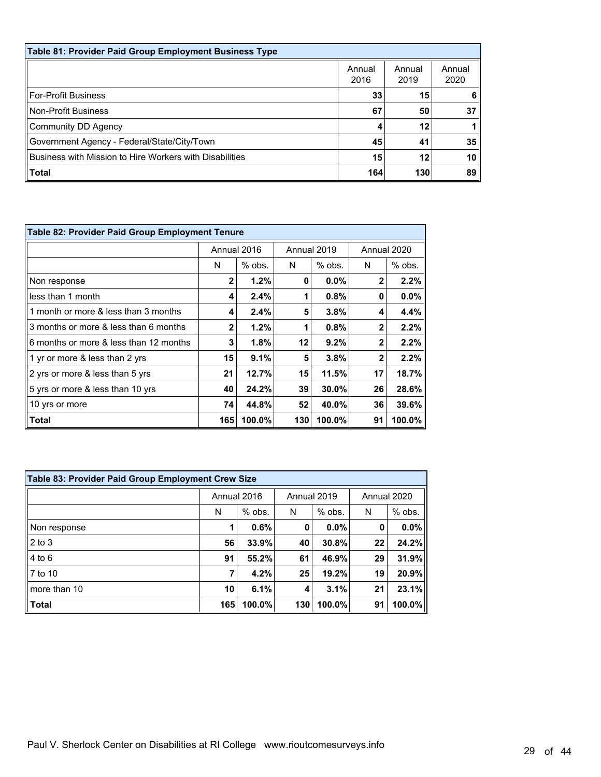| Table 81: Provider Paid Group Employment Business Type  |                |                |                 |  |  |  |  |  |
|---------------------------------------------------------|----------------|----------------|-----------------|--|--|--|--|--|
|                                                         | Annual<br>2016 | Annual<br>2019 | Annual<br>2020  |  |  |  |  |  |
| For-Profit Business                                     | 33             | 15             | 6               |  |  |  |  |  |
| Non-Profit Business                                     | 67             | 50             | 37              |  |  |  |  |  |
| Community DD Agency                                     | 4              | 12             |                 |  |  |  |  |  |
| Government Agency - Federal/State/City/Town             | 45             | 41             | 35              |  |  |  |  |  |
| Business with Mission to Hire Workers with Disabilities | 15             | 12             | 10 <sub>1</sub> |  |  |  |  |  |
| $\ $ Total                                              | 164            | 130            | 89              |  |  |  |  |  |

| <b>Table 82: Provider Paid Group Employment Tenure</b> |              |             |     |             |             |          |  |  |  |
|--------------------------------------------------------|--------------|-------------|-----|-------------|-------------|----------|--|--|--|
|                                                        |              | Annual 2016 |     | Annual 2019 | Annual 2020 |          |  |  |  |
|                                                        | N            | $%$ obs.    | N   | $%$ obs.    | N           | $%$ obs. |  |  |  |
| Non response                                           | $\mathbf{2}$ | 1.2%        | 0   | $0.0\%$     | $\mathbf 2$ | 2.2%     |  |  |  |
| less than 1 month                                      | 4            | 2.4%        |     | 0.8%        | 0           | $0.0\%$  |  |  |  |
| 1 month or more & less than 3 months                   | 4            | 2.4%        | 5   | 3.8%        | 4           | 4.4%     |  |  |  |
| 3 months or more & less than 6 months                  | $\mathbf{2}$ | 1.2%        |     | 0.8%        | $\mathbf 2$ | 2.2%     |  |  |  |
| 6 months or more & less than 12 months                 | 3            | 1.8%        | 12  | 9.2%        | $\mathbf 2$ | 2.2%     |  |  |  |
| 1 yr or more & less than 2 yrs                         | 15           | 9.1%        | 5   | 3.8%        | $\mathbf 2$ | 2.2%     |  |  |  |
| 2 yrs or more & less than 5 yrs                        | 21           | 12.7%       | 15  | 11.5%       | 17          | 18.7%    |  |  |  |
| 5 yrs or more & less than 10 yrs                       | 40           | 24.2%       | 39  | 30.0%       | 26          | 28.6%    |  |  |  |
| 10 yrs or more                                         | 74           | 44.8%       | 52  | 40.0%       | 36          | 39.6%    |  |  |  |
| Total                                                  | 165          | 100.0%      | 130 | 100.0%      | 91          | 100.0%   |  |  |  |

| <b>Table 83: Provider Paid Group Employment Crew Size</b> |             |        |             |        |             |        |  |  |  |
|-----------------------------------------------------------|-------------|--------|-------------|--------|-------------|--------|--|--|--|
|                                                           | Annual 2016 |        | Annual 2019 |        | Annual 2020 |        |  |  |  |
|                                                           | N           | % obs. | N           | % obs. | N           | % obs. |  |  |  |
| Non response                                              | 1           | 0.6%   | 0           | 0.0%   | 0           | 0.0%   |  |  |  |
| 2 to 3                                                    | 56          | 33.9%  | 40          | 30.8%  | 22          | 24.2%  |  |  |  |
| $4$ to $6$                                                | 91          | 55.2%  | 61          | 46.9%  | 29          | 31.9%  |  |  |  |
| 7 to 10                                                   | 7           | 4.2%   | 25          | 19.2%  | 19          | 20.9%  |  |  |  |
| more than 10                                              | 10          | 6.1%   | 4           | 3.1%   | 21          | 23.1%  |  |  |  |
| Total                                                     | 165         | 100.0% | 130         | 100.0% | 91          | 100.0% |  |  |  |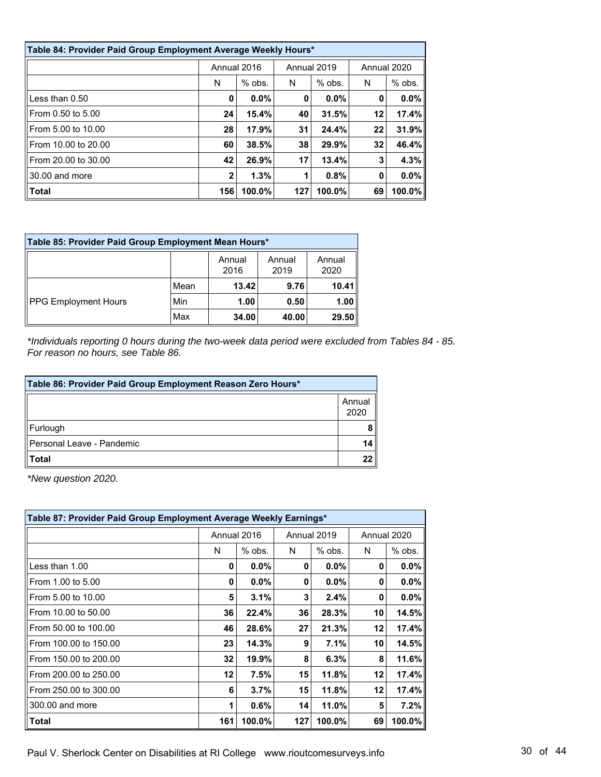| Table 84: Provider Paid Group Employment Average Weekly Hours* |              |          |             |          |    |             |  |  |  |
|----------------------------------------------------------------|--------------|----------|-------------|----------|----|-------------|--|--|--|
|                                                                | Annual 2016  |          | Annual 2019 |          |    | Annual 2020 |  |  |  |
|                                                                | N            | $%$ obs. | N           | $%$ obs. | N  | $%$ obs.    |  |  |  |
| Less than $0.50$                                               | 0            | $0.0\%$  | 0           | $0.0\%$  | 0  | $0.0\%$     |  |  |  |
| From 0.50 to 5.00                                              | 24           | 15.4%    | 40          | 31.5%    | 12 | 17.4%       |  |  |  |
| From 5.00 to 10.00                                             | 28           | 17.9%    | 31          | 24.4%    | 22 | 31.9%       |  |  |  |
| From 10.00 to 20.00                                            | 60           | 38.5%    | 38          | 29.9%    | 32 | 46.4%       |  |  |  |
| From 20.00 to 30.00                                            | 42           | 26.9%    | 17          | 13.4%    | 3  | 4.3%        |  |  |  |
| 30.00 and more                                                 | $\mathbf{2}$ | 1.3%     | 1           | 0.8%     | 0  | $0.0\%$     |  |  |  |
| Total                                                          | 156          | 100.0%   | 127         | 100.0%   | 69 | 100.0%      |  |  |  |

| Table 85: Provider Paid Group Employment Mean Hours* |      |                |                |                |  |  |  |
|------------------------------------------------------|------|----------------|----------------|----------------|--|--|--|
|                                                      |      | Annual<br>2016 | Annual<br>2019 | Annual<br>2020 |  |  |  |
| <b>PPG Employment Hours</b>                          | Mean | 13.42          | 9.76           | 10.41          |  |  |  |
|                                                      | Min  | 1.00           | 0.50           | 1.00           |  |  |  |
|                                                      | Max  | 34.00          | 40.00          | 29.50          |  |  |  |

*\*Individuals reporting 0 hours during the two-week data period were excluded from Tables 84 - 85. For reason no hours, see Table 86.*

| Table 86: Provider Paid Group Employment Reason Zero Hours* |                |  |
|-------------------------------------------------------------|----------------|--|
|                                                             | Annual<br>2020 |  |
| Furlough                                                    |                |  |
| Personal Leave - Pandemic                                   | 14             |  |
| $\vert$ Total                                               |                |  |

*\*New question 2020.*

| Table 87: Provider Paid Group Employment Average Weekly Earnings* |             |          |             |          |             |         |
|-------------------------------------------------------------------|-------------|----------|-------------|----------|-------------|---------|
|                                                                   | Annual 2016 |          | Annual 2019 |          | Annual 2020 |         |
|                                                                   | N           | $%$ obs. | N           | $%$ obs. | N           | % obs.  |
| Less than 1.00                                                    | 0           | $0.0\%$  | 0           | 0.0%     | 0           | $0.0\%$ |
| From 1.00 to 5.00                                                 | 0           | $0.0\%$  | 0           | 0.0%     | 0           | 0.0%    |
| From 5.00 to 10.00                                                | 5           | 3.1%     | 3           | 2.4%     | 0           | $0.0\%$ |
| From 10.00 to 50.00                                               | 36          | 22.4%    | 36          | 28.3%    | 10          | 14.5%   |
| From 50.00 to 100.00                                              | 46          | 28.6%    | 27          | 21.3%    | 12          | 17.4%   |
| From 100.00 to 150.00                                             | 23          | 14.3%    | 9           | 7.1%     | 10          | 14.5%   |
| From 150.00 to 200.00                                             | 32          | 19.9%    | 8           | 6.3%     | 8           | 11.6%   |
| From 200.00 to 250.00                                             | 12          | 7.5%     | 15          | 11.8%    | 12          | 17.4%   |
| From 250.00 to 300.00                                             | 6           | 3.7%     | 15          | 11.8%    | 12          | 17.4%   |
| 300.00 and more                                                   | 1           | 0.6%     | 14          | 11.0%    | 5           | 7.2%    |
| Total                                                             | 161         | 100.0%   | 127         | 100.0%   | 69          | 100.0%  |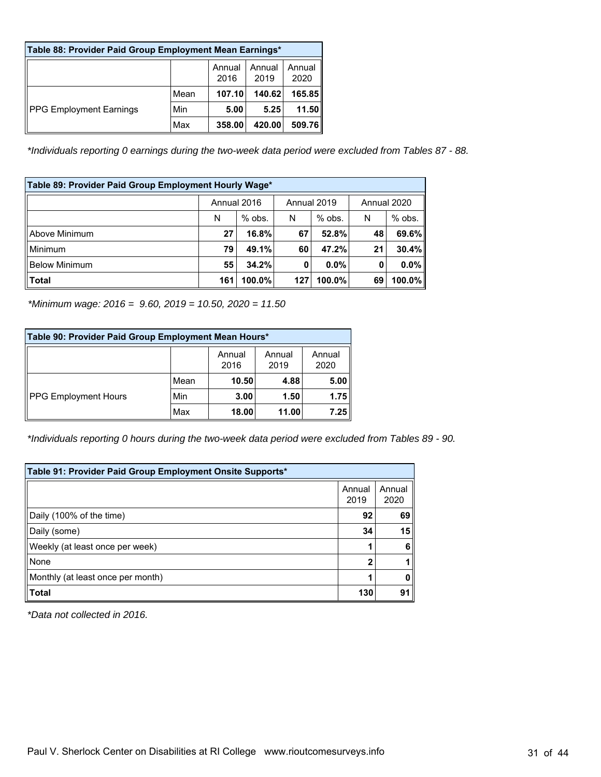| Table 88: Provider Paid Group Employment Mean Earnings* |      |                |                |                |  |  |
|---------------------------------------------------------|------|----------------|----------------|----------------|--|--|
|                                                         |      | Annual<br>2016 | Annual<br>2019 | Annual<br>2020 |  |  |
| <b>PPG Employment Earnings</b>                          | Mean | 107.10         | 140.62         | 165.85         |  |  |
|                                                         | Min  | 5.00           | 5.25           | 11.50          |  |  |
|                                                         | Max  | 358.00         | 420.00         | 509.76         |  |  |

*\*Individuals reporting 0 earnings during the two-week data period were excluded from Tables 87 - 88.*

| Table 89: Provider Paid Group Employment Hourly Wage* |                                           |          |     |          |    |          |
|-------------------------------------------------------|-------------------------------------------|----------|-----|----------|----|----------|
|                                                       | Annual 2016<br>Annual 2019<br>Annual 2020 |          |     |          |    |          |
|                                                       | N                                         | $%$ obs. | N   | $%$ obs. | N  | $%$ obs. |
| Above Minimum                                         | 27                                        | 16.8%    | 67  | 52.8%    | 48 | 69.6%    |
| Minimum                                               | 79                                        | 49.1%    | 60  | 47.2%    | 21 | 30.4%    |
| <b>Below Minimum</b>                                  | 55                                        | 34.2%    | 0   | $0.0\%$  | 0  | 0.0%     |
| <b>Total</b>                                          | 161                                       | 100.0%   | 127 | 100.0%   | 69 | 100.0%   |

*\*Minimum wage: 2016 = 9.60, 2019 = 10.50, 2020 = 11.50*

| Table 90: Provider Paid Group Employment Mean Hours* |      |                |                |                |  |  |  |
|------------------------------------------------------|------|----------------|----------------|----------------|--|--|--|
|                                                      |      | Annual<br>2016 | Annual<br>2019 | Annual<br>2020 |  |  |  |
| PPG Employment Hours                                 | Mean | 10.50          | 4.88           | 5.00           |  |  |  |
|                                                      | Min  | 3.00           | 1.50           | 1.75           |  |  |  |
|                                                      | Max  | 18.00          | 11.00          | 7.25           |  |  |  |

*\*Individuals reporting 0 hours during the two-week data period were excluded from Tables 89 - 90.*

| Table 91: Provider Paid Group Employment Onsite Supports* |                |                |
|-----------------------------------------------------------|----------------|----------------|
|                                                           | Annual<br>2019 | Annual<br>2020 |
| Daily (100% of the time)                                  | 92             | 69             |
| Daily (some)                                              | 34             | 15             |
| Weekly (at least once per week)                           |                | 6              |
| <b>None</b>                                               | 2              |                |
| Monthly (at least once per month)                         |                |                |
| $\blacksquare$ Total                                      | 130            | 91             |

*\*Data not collected in 2016.*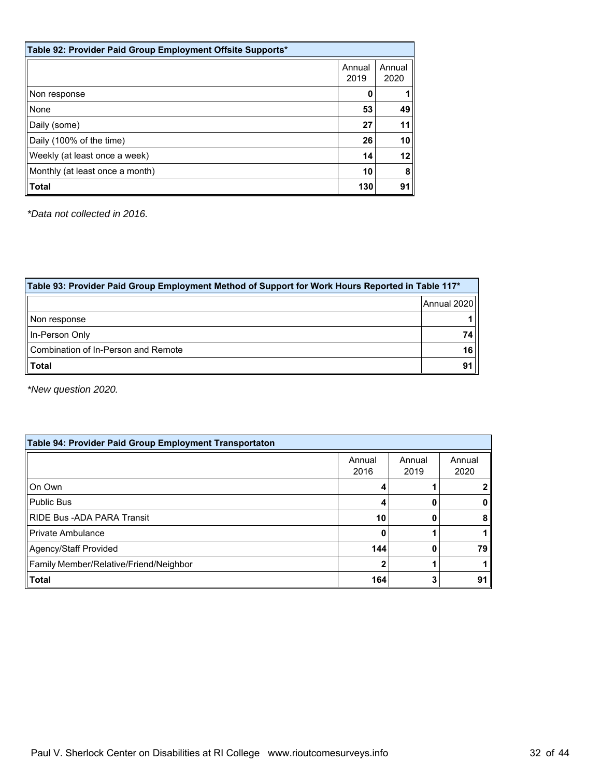| Table 92: Provider Paid Group Employment Offsite Supports* |                |                |
|------------------------------------------------------------|----------------|----------------|
|                                                            | Annual<br>2019 | Annual<br>2020 |
| Non response                                               | 0              |                |
| None                                                       | 53             | 49             |
| Daily (some)                                               | 27             | 11             |
| Daily (100% of the time)                                   | 26             | 10             |
| Weekly (at least once a week)                              | 14             | 12             |
| Monthly (at least once a month)                            | 10             | 8              |
| <b>Total</b>                                               | 130            | 91             |

*\*Data not collected in 2016.*

| Table 93: Provider Paid Group Employment Method of Support for Work Hours Reported in Table 117* |             |  |
|--------------------------------------------------------------------------------------------------|-------------|--|
|                                                                                                  | Annual 2020 |  |
| Non response                                                                                     |             |  |
| In-Person Only                                                                                   | 74          |  |
| Combination of In-Person and Remote                                                              | 16          |  |
| <b>Total</b>                                                                                     | 91          |  |

*\*New question 2020.*

| Table 94: Provider Paid Group Employment Transportaton |                |                |                |  |  |  |
|--------------------------------------------------------|----------------|----------------|----------------|--|--|--|
|                                                        | Annual<br>2016 | Annual<br>2019 | Annual<br>2020 |  |  |  |
| On Own                                                 |                |                |                |  |  |  |
| Public Bus                                             |                |                |                |  |  |  |
| <b>RIDE Bus - ADA PARA Transit</b>                     | 10             |                | 8              |  |  |  |
| Private Ambulance                                      | 0              |                |                |  |  |  |
| Agency/Staff Provided                                  | 144            |                | 79             |  |  |  |
| Family Member/Relative/Friend/Neighbor                 |                |                |                |  |  |  |
| $\ $ Total                                             | 164            |                | 91             |  |  |  |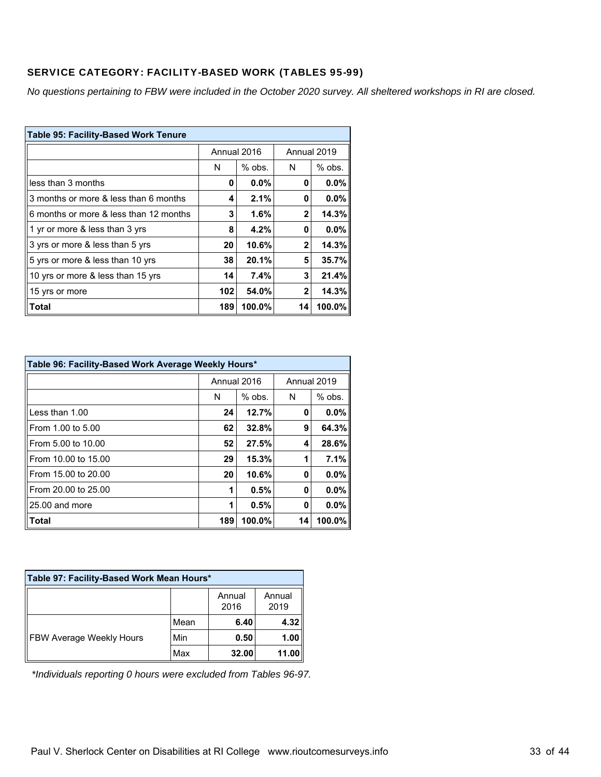## SERVICE CATEGORY: FACILITY-BASED WORK (TABLES 95-99)

*No questions pertaining to FBW were included in the October 2020 survey. All sheltered workshops in RI are closed.*

| <b>Table 95: Facility-Based Work Tenure</b> |             |          |              |          |  |
|---------------------------------------------|-------------|----------|--------------|----------|--|
|                                             | Annual 2016 |          | Annual 2019  |          |  |
|                                             | N           | $%$ obs. | N            | $%$ obs. |  |
| less than 3 months                          | 0           | 0.0%     | 0            | $0.0\%$  |  |
| 3 months or more & less than 6 months       | 4           | 2.1%     | 0            | 0.0%     |  |
| 6 months or more & less than 12 months      | 3           | 1.6%     | $\mathbf{2}$ | 14.3%    |  |
| 1 yr or more & less than 3 yrs              | 8           | 4.2%     | 0            | $0.0\%$  |  |
| 3 yrs or more & less than 5 yrs             | 20          | 10.6%    | $\mathbf{2}$ | 14.3%    |  |
| 5 yrs or more & less than 10 yrs            | 38          | 20.1%    | 5            | 35.7%    |  |
| 10 yrs or more & less than 15 yrs           | 14          | 7.4%     | 3            | 21.4%    |  |
| 15 yrs or more                              | 102         | 54.0%    | $\mathbf{2}$ | 14.3%    |  |
| Total                                       | 189         | 100.0%   | 14           | 100.0%   |  |

| Table 96: Facility-Based Work Average Weekly Hours* |     |             |             |          |  |
|-----------------------------------------------------|-----|-------------|-------------|----------|--|
|                                                     |     | Annual 2016 | Annual 2019 |          |  |
|                                                     | N   | $%$ obs.    | N           | $%$ obs. |  |
| Less than 1.00                                      | 24  | 12.7%       | 0           | 0.0%     |  |
| From 1.00 to 5.00                                   | 62  | 32.8%       | 9           | 64.3%    |  |
| From 5.00 to 10.00                                  | 52  | 27.5%       | 4           | 28.6%    |  |
| From 10.00 to 15.00                                 | 29  | 15.3%       | 1           | 7.1%     |  |
| From 15.00 to 20.00                                 | 20  | 10.6%       | 0           | 0.0%     |  |
| From 20.00 to 25.00                                 |     | 0.5%        | 0           | 0.0%     |  |
| 25.00 and more                                      |     | 0.5%        | 0           | 0.0%     |  |
| Total                                               | 189 | 100.0%      | 14          | 100.0%   |  |

| Table 97: Facility-Based Work Mean Hours* |      |                |                |  |
|-------------------------------------------|------|----------------|----------------|--|
|                                           |      | Annual<br>2016 | Annual<br>2019 |  |
| FBW Average Weekly Hours                  | Mean | 6.40           | 4.32           |  |
|                                           | Min  | 0.50           | 1.00           |  |
|                                           | Max  | 32.00          | 11.00          |  |

*\*Individuals reporting 0 hours were excluded from Tables 96-97.*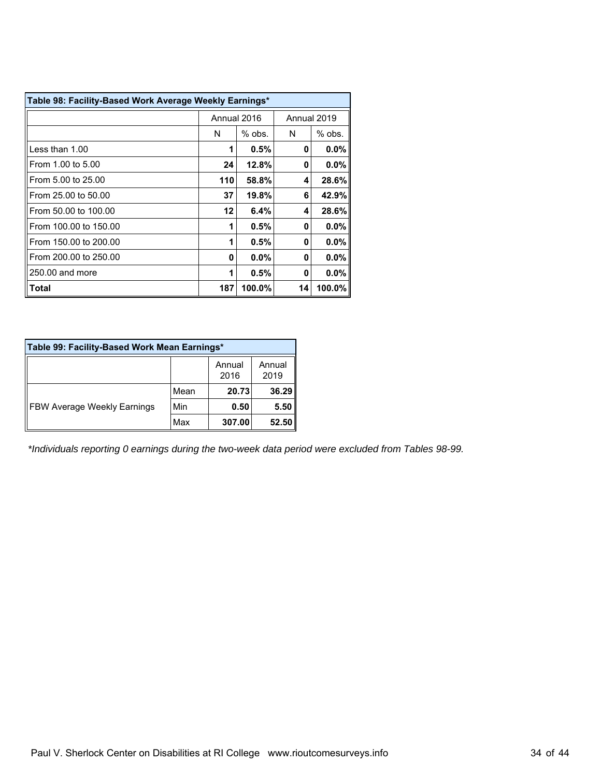| Table 98: Facility-Based Work Average Weekly Earnings* |             |         |    |             |
|--------------------------------------------------------|-------------|---------|----|-------------|
|                                                        | Annual 2016 |         |    | Annual 2019 |
|                                                        | N           | % obs.  |    | $%$ obs.    |
| Less than 1.00                                         |             | 0.5%    | 0  | 0.0%        |
| From 1.00 to 5.00                                      | 24          | 12.8%   | 0  | $0.0\%$     |
| From 5.00 to 25.00                                     | 110         | 58.8%   | 4  | 28.6%       |
| From 25.00 to 50.00                                    | 37          | 19.8%   | 6  | 42.9%       |
| From 50.00 to 100.00                                   | 12          | 6.4%    | 4  | 28.6%       |
| From 100.00 to 150.00                                  | 1           | 0.5%    | 0  | 0.0%        |
| From 150.00 to 200.00                                  | 1           | 0.5%    | 0  | 0.0%        |
| From 200.00 to 250.00                                  | O           | $0.0\%$ | 0  | $0.0\%$     |
| 250.00 and more                                        | 1           | 0.5%    | 0  | $0.0\%$     |
| Total                                                  | 187         | 100.0%  | 14 | 100.0%      |

| Table 99: Facility-Based Work Mean Earnings* |      |                |                |
|----------------------------------------------|------|----------------|----------------|
|                                              |      | Annual<br>2016 | Annual<br>2019 |
| <b>FBW Average Weekly Earnings</b>           | Mean | 20.73          | 36.29          |
|                                              | Min  | 0.50           | 5.50           |
|                                              | Max  | 307.00         | 52.50          |

*\*Individuals reporting 0 earnings during the two-week data period were excluded from Tables 98-99.*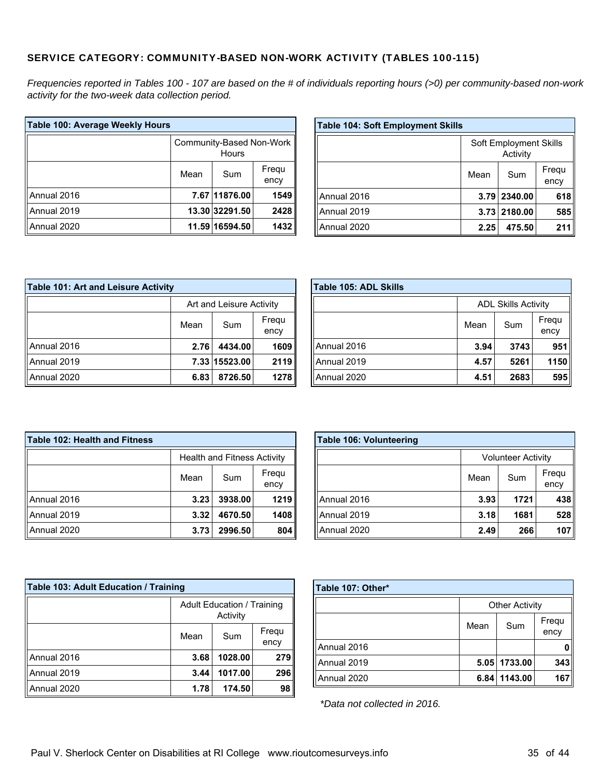#### SERVICE CATEGORY: COMMUNITY-BASED NON-WORK ACTIVITY (TABLES 100-115)

*Frequencies reported in Tables 100 - 107 are based on the # of individuals reporting hours (>0) per community-based non-work activity for the two-week data collection period.*

| Table 100: Average Weekly Hours |                                   |                |               |
|---------------------------------|-----------------------------------|----------------|---------------|
|                                 | Community-Based Non-Work<br>Hours |                |               |
|                                 | Mean                              | Sum            | Frequ<br>ency |
| Annual 2016                     |                                   | 7.67 11876.00  | 1549          |
| Annual 2019                     |                                   | 13.30 32291.50 | 2428          |
| Annual 2020                     |                                   | 11.59 16594.50 | 1432          |

| <b>Table 104: Soft Employment Skills</b> |      |              |               |
|------------------------------------------|------|--------------|---------------|
| Soft Employment Skills<br>Activity       |      |              |               |
|                                          | Mean | Sum          | Frequ<br>ency |
| Annual 2016                              |      | 3.79 2340.00 | 618           |
| Annual 2019                              |      | 3.73 2180.00 | 585           |
| Annual 2020                              | 2.25 | 475.50       | 211           |

| Table 101: Art and Leisure Activity |                          |               |               |  |
|-------------------------------------|--------------------------|---------------|---------------|--|
|                                     | Art and Leisure Activity |               |               |  |
|                                     | Mean                     | Sum           | Frequ<br>ency |  |
| Annual 2016                         | 2.76                     | 4434.00       | 1609          |  |
| Annual 2019                         |                          | 7.33 15523.00 | 2119          |  |
| Annual 2020                         | 6.83                     | 8726.50       | 1278          |  |

| Table 105: ADL Skills |                            |      |               |
|-----------------------|----------------------------|------|---------------|
|                       | <b>ADL Skills Activity</b> |      |               |
|                       | Mean                       | Sum  | Frequ<br>ency |
| Annual 2016           | 3.94                       | 3743 | 951           |
| Annual 2019           | 4.57                       | 5261 | 1150          |
| Annual 2020           | 4.51                       | 2683 | 595           |

| <b>Table 102: Health and Fitness</b> |                                    |         |               |
|--------------------------------------|------------------------------------|---------|---------------|
|                                      | <b>Health and Fitness Activity</b> |         |               |
|                                      | Mean                               | Sum     | Frequ<br>ency |
| Annual 2016                          | 3.23                               | 3938.00 | 1219          |
| Annual 2019                          | 3.32                               | 4670.50 | 1408          |
| Annual 2020                          | 3.73                               | 2996.50 | 804           |

| <b>Table 106: Volunteering</b> |      |                           |               |
|--------------------------------|------|---------------------------|---------------|
|                                |      | <b>Volunteer Activity</b> |               |
|                                | Mean | Sum                       | Frequ<br>ency |
| Annual 2016                    | 3.93 | 1721                      | 438           |
| Annual 2019                    | 3.18 | 1681                      | 528           |
| Annual 2020                    | 2.49 | 266                       | 107           |

| Table 103: Adult Education / Training |                                               |         |               |
|---------------------------------------|-----------------------------------------------|---------|---------------|
|                                       | <b>Adult Education / Training</b><br>Activity |         |               |
|                                       | Mean                                          | Sum     | Frequ<br>ency |
| Annual 2016                           | 3.68                                          | 1028.00 | 279           |
| Annual 2019                           | 3.44                                          | 1017.00 | 296           |
| Annual 2020                           | 1.78                                          | 174.50  | 98            |

| Table 107: Other* |                       |              |               |
|-------------------|-----------------------|--------------|---------------|
|                   | <b>Other Activity</b> |              |               |
|                   | Mean                  | Sum          | Frequ<br>ency |
| Annual 2016       |                       |              |               |
| Annual 2019       |                       | 5.05 1733.00 | 343           |
| Annual 2020       |                       | 6.84 1143.00 | 167           |

*\*Data not collected in 2016.*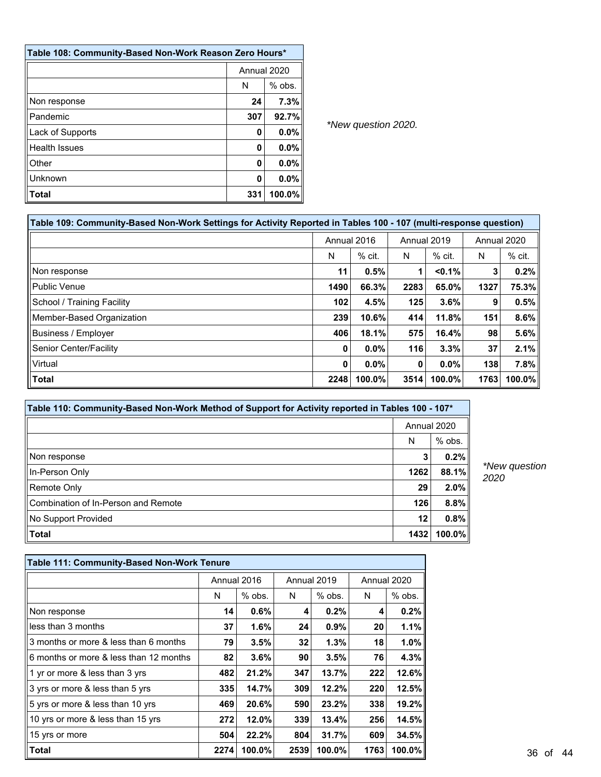| Table 108: Community-Based Non-Work Reason Zero Hours* |               |         |  |
|--------------------------------------------------------|---------------|---------|--|
|                                                        | Annual 2020   |         |  |
|                                                        | $%$ obs.<br>N |         |  |
| Non response                                           | 24            | 7.3%    |  |
| Pandemic                                               | 307           | 92.7%   |  |
| Lack of Supports                                       | 0             | $0.0\%$ |  |
| <b>Health Issues</b>                                   | 0             | $0.0\%$ |  |
| Other                                                  | 0             | $0.0\%$ |  |
| Unknown                                                | 0             | 0.0%    |  |
| Total                                                  | 331           | 100.0%  |  |

| Table 109: Community-Based Non-Work Settings for Activity Reported in Tables 100 - 107 (multi-response question) |                            |          |      |             |      |          |  |  |
|------------------------------------------------------------------------------------------------------------------|----------------------------|----------|------|-------------|------|----------|--|--|
|                                                                                                                  | Annual 2019<br>Annual 2016 |          |      | Annual 2020 |      |          |  |  |
|                                                                                                                  | N                          | $%$ cit. | N    | $%$ cit.    | N    | $%$ cit. |  |  |
| Non response                                                                                                     | 11                         | 0.5%     |      | < 0.1%      | 3    | $0.2\%$  |  |  |
| ll Public Venue                                                                                                  | 1490                       | 66.3%    | 2283 | 65.0%       | 1327 | 75.3%    |  |  |
| School / Training Facility                                                                                       | 102                        | 4.5%     | 125  | 3.6%        | 9    | 0.5%     |  |  |
| Member-Based Organization                                                                                        | 239                        | 10.6%    | 414  | 11.8%       | 151  | $8.6\%$  |  |  |
| <b>Business / Employer</b>                                                                                       | 406                        | 18.1%    | 575  | 16.4%       | 98   | $5.6\%$  |  |  |
| Senior Center/Facility                                                                                           | 0                          | $0.0\%$  | 116  | 3.3%        | 37   | $2.1\%$  |  |  |
| Virtual                                                                                                          | 0                          | $0.0\%$  | 0    | $0.0\%$     | 138  | 7.8%     |  |  |
| Total                                                                                                            | 2248                       | 100.0%   | 3514 | 100.0%      | 1763 | 100.0%   |  |  |

| Table 110: Community-Based Non-Work Method of Support for Activity reported in Tables 100 - 107* |      |             |  |  |  |
|--------------------------------------------------------------------------------------------------|------|-------------|--|--|--|
|                                                                                                  |      | Annual 2020 |  |  |  |
|                                                                                                  | N    | % obs.      |  |  |  |
| Non response                                                                                     | 3    | 0.2%        |  |  |  |
| In-Person Only                                                                                   | 1262 | 88.1%       |  |  |  |
| Remote Only                                                                                      | 29   | $2.0\%$     |  |  |  |
| Combination of In-Person and Remote                                                              | 126  | 8.8%        |  |  |  |
| No Support Provided                                                                              | 12   | 0.8%        |  |  |  |
| $\vert$ Total                                                                                    | 1432 | $100.0\%$   |  |  |  |

*\*New question 2020*

| Table 111: Community-Based Non-Work Tenure |      |             |             |          |      |             |
|--------------------------------------------|------|-------------|-------------|----------|------|-------------|
|                                            |      | Annual 2016 | Annual 2019 |          |      | Annual 2020 |
|                                            | N    | $%$ obs.    | N           | $%$ obs. | N    | $%$ obs.    |
| Non response                               | 14   | 0.6%        | 4           | $0.2\%$  | 4    | 0.2%        |
| less than 3 months                         | 37   | 1.6%        | 24          | 0.9%     | 20   | 1.1%        |
| 3 months or more & less than 6 months      | 79   | 3.5%        | 32          | 1.3%     | 18   | 1.0%        |
| 6 months or more & less than 12 months     | 82   | 3.6%        | 90          | 3.5%     | 76   | 4.3%        |
| 1 yr or more & less than 3 yrs             | 482  | 21.2%       | 347         | 13.7%    | 222  | 12.6%       |
| 3 yrs or more & less than 5 yrs            | 335  | 14.7%       | 309         | 12.2%    | 220  | 12.5%       |
| 5 yrs or more & less than 10 yrs           | 469  | 20.6%       | 590         | 23.2%    | 338  | 19.2%       |
| 10 yrs or more & less than 15 yrs          | 2721 | 12.0%       | 339         | 13.4%    | 256  | 14.5%       |
| 15 yrs or more                             | 504  | 22.2%       | 804         | 31.7%    | 609  | 34.5%       |
| Total                                      | 2274 | $100.0\%$   | 2539        | 100.0%   | 1763 | 100.0%      |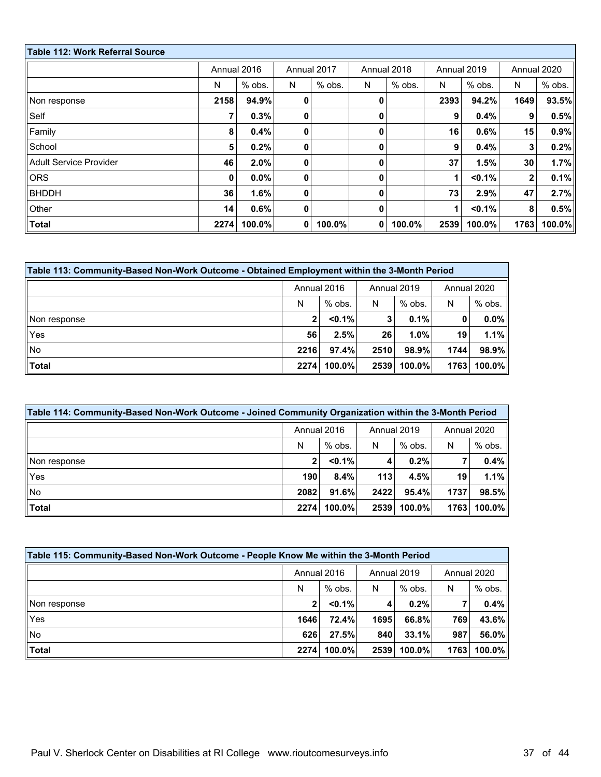| <b>Table 112: Work Referral Source</b> |      |                            |             |             |   |             |      |             |              |         |
|----------------------------------------|------|----------------------------|-------------|-------------|---|-------------|------|-------------|--------------|---------|
|                                        |      | Annual 2016<br>Annual 2017 |             | Annual 2018 |   | Annual 2019 |      | Annual 2020 |              |         |
|                                        | N    | $%$ obs.                   | N           | $%$ obs.    | N | $%$ obs.    | N    | $%$ obs.    | N            | % obs.  |
| Non response                           | 2158 | 94.9%                      | $\mathbf 0$ |             | 0 |             | 2393 | 94.2%       | 1649         | 93.5%   |
| Self                                   | 7    | 0.3%                       | $\mathbf 0$ |             | 0 |             | 9    | 0.4%        | 9            | 0.5%    |
| Family                                 | 8    | 0.4%                       | $\mathbf 0$ |             | 0 |             | 16   | 0.6%        | 15           | 0.9%    |
| School                                 | 5    | 0.2%                       | $\mathbf 0$ |             | 0 |             | 9    | 0.4%        | 3            | 0.2%    |
| <b>Adult Service Provider</b>          | 46   | 2.0%                       | $\mathbf 0$ |             | 0 |             | 37   | 1.5%        | 30           | 1.7%    |
| <b>ORS</b>                             | 0    | $0.0\%$                    | $\mathbf 0$ |             | 0 |             | 1    | < 0.1%      | $\mathbf{2}$ | $0.1\%$ |
| <b>BHDDH</b>                           | 36   | 1.6%                       | $\mathbf 0$ |             | 0 |             | 73   | 2.9%        | 47           | 2.7%    |
| Other                                  | 14   | 0.6%                       | $\mathbf 0$ |             | 0 |             | 1    | $< 0.1\%$   | 8            | 0.5%    |
| <b>Total</b>                           | 2274 | 100.0%                     | 0           | 100.0%      | 0 | 100.0%      | 2539 | 100.0%      | 1763         | 100.0%  |

| Table 113: Community-Based Non-Work Outcome - Obtained Employment within the 3-Month Period |      |             |                 |          |             |         |  |  |
|---------------------------------------------------------------------------------------------|------|-------------|-----------------|----------|-------------|---------|--|--|
|                                                                                             |      | Annual 2016 | Annual 2019     |          | Annual 2020 |         |  |  |
|                                                                                             | N    | $%$ obs.    | N               | $%$ obs. | N           | % obs.  |  |  |
| Non response                                                                                |      | $< 0.1\%$   | 3               | $0.1\%$  | 0           | $0.0\%$ |  |  |
| Yes                                                                                         | 56   | 2.5%        | 26 <sup>1</sup> | 1.0%     | 19          | 1.1%    |  |  |
| No                                                                                          | 2216 | 97.4%       | 2510            | 98.9%    | 1744        | 98.9%   |  |  |
| <b>Total</b>                                                                                | 2274 | 100.0%      | 2539            | 100.0%   | 1763        | 100.0%  |  |  |

| Table 114: Community-Based Non-Work Outcome - Joined Community Organization within the 3-Month Period |              |             |      |             |      |             |  |  |
|-------------------------------------------------------------------------------------------------------|--------------|-------------|------|-------------|------|-------------|--|--|
|                                                                                                       |              | Annual 2016 |      | Annual 2019 |      | Annual 2020 |  |  |
|                                                                                                       | N            | $%$ obs.    | N    | $%$ obs.    | N    | $%$ obs.    |  |  |
| Non response                                                                                          | $\mathbf{2}$ | $< 0.1\%$   | 4    | 0.2%        |      | 0.4%        |  |  |
| Yes                                                                                                   | 190          | 8.4%        | 113  | 4.5%        | 19   | 1.1%        |  |  |
| No                                                                                                    | 2082         | 91.6%       | 2422 | 95.4%       | 1737 | 98.5%       |  |  |
| Total                                                                                                 | 2274         | $100.0\%$   | 2539 | $100.0\%$   | 1763 | $100.0\%$   |  |  |

| Table 115: Community-Based Non-Work Outcome - People Know Me within the 3-Month Period |      |             |      |             |             |           |  |  |  |
|----------------------------------------------------------------------------------------|------|-------------|------|-------------|-------------|-----------|--|--|--|
|                                                                                        |      | Annual 2016 |      | Annual 2019 | Annual 2020 |           |  |  |  |
|                                                                                        | N    | $%$ obs.    | N    | $%$ obs.    | N           | % obs.    |  |  |  |
| Non response                                                                           | 2    | $< 0.1\%$   | 4    | 0.2%        |             | 0.4%      |  |  |  |
| Yes                                                                                    | 1646 | 72.4%       | 1695 | 66.8%       | 769         | 43.6%     |  |  |  |
| $\parallel$ No                                                                         | 626  | 27.5%       | 840  | 33.1%       | 987         | 56.0%     |  |  |  |
| $ $ Total                                                                              | 2274 | $100.0\%$   | 2539 | $100.0\%$   | 1763        | $100.0\%$ |  |  |  |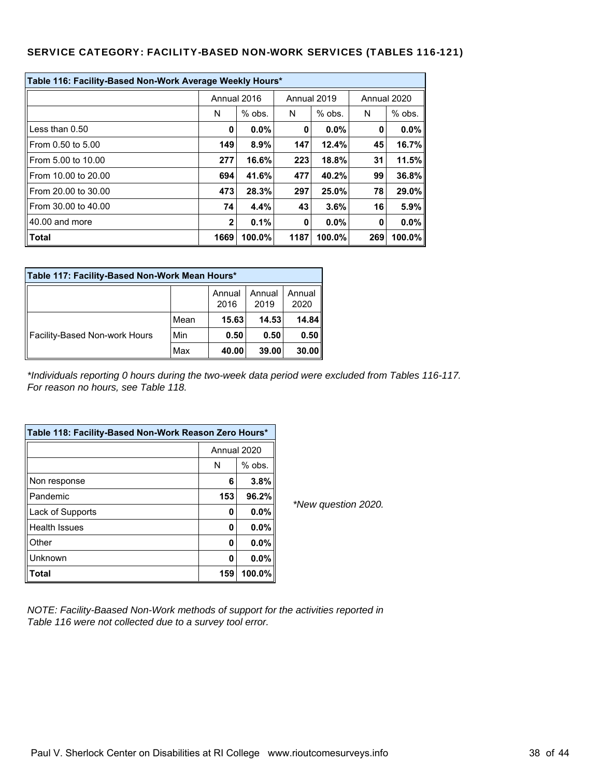#### SERVICE CATEGORY: FACILITY-BASED NON-WORK SERVICES (TABLES 116-121)

| Table 116: Facility-Based Non-Work Average Weekly Hours* |              |          |             |          |     |             |  |  |  |
|----------------------------------------------------------|--------------|----------|-------------|----------|-----|-------------|--|--|--|
|                                                          | Annual 2016  |          | Annual 2019 |          |     | Annual 2020 |  |  |  |
|                                                          | N            | $%$ obs. | N           | $%$ obs. | N   | $%$ obs.    |  |  |  |
| Less than $0.50$                                         | 0            | $0.0\%$  | 0           | $0.0\%$  | 0   | $0.0\%$     |  |  |  |
| From 0.50 to 5.00                                        | 149          | 8.9%     | 147         | 12.4%    | 45  | 16.7%       |  |  |  |
| From 5.00 to 10.00                                       | 277          | 16.6%    | 223         | 18.8%    | 31  | 11.5%       |  |  |  |
| From 10.00 to 20.00                                      | 694          | 41.6%    | 477         | 40.2%    | 99  | 36.8%       |  |  |  |
| From 20.00 to 30.00                                      | 473          | 28.3%    | 297         | 25.0%    | 78  | 29.0%       |  |  |  |
| From 30.00 to 40.00                                      | 74           | 4.4%     | 43          | 3.6%     | 16  | 5.9%        |  |  |  |
| 40.00 and more                                           | $\mathbf{2}$ | 0.1%     | 0           | $0.0\%$  | 0   | $0.0\%$     |  |  |  |
| Total                                                    | 1669         | 100.0%   | 1187        | 100.0%   | 269 | 100.0%      |  |  |  |

| Table 117: Facility-Based Non-Work Mean Hours* |      |                |                |                |  |  |  |  |
|------------------------------------------------|------|----------------|----------------|----------------|--|--|--|--|
|                                                |      | Annual<br>2016 | Annual<br>2019 | Annual<br>2020 |  |  |  |  |
| Facility-Based Non-work Hours                  | Mean | 15.63          | 14.53          | 14.84          |  |  |  |  |
|                                                | Min  | 0.50           | 0.50           | 0.50           |  |  |  |  |
|                                                | Max  | 40.00          | 39.00          | 30.00          |  |  |  |  |

*\*Individuals reporting 0 hours during the two-week data period were excluded from Tables 116-117. For reason no hours, see Table 118.*

| Table 118: Facility-Based Non-Work Reason Zero Hours* |     |             |  |  |  |  |
|-------------------------------------------------------|-----|-------------|--|--|--|--|
|                                                       |     | Annual 2020 |  |  |  |  |
|                                                       | N   | $%$ obs.    |  |  |  |  |
| Non response                                          | 6   | 3.8%        |  |  |  |  |
| Pandemic                                              | 153 | 96.2%       |  |  |  |  |
| Lack of Supports                                      | 0   | $0.0\%$     |  |  |  |  |
| <b>Health Issues</b>                                  | 0   | $0.0\%$     |  |  |  |  |
| Other                                                 | 0   | $0.0\%$     |  |  |  |  |
| Unknown                                               | 0   | $0.0\%$     |  |  |  |  |
| Total                                                 | 159 | 100.0%      |  |  |  |  |

*\*New question 2020.*

*NOTE: Facility-Baased Non-Work methods of support for the activities reported in Table 116 were not collected due to a survey tool error.*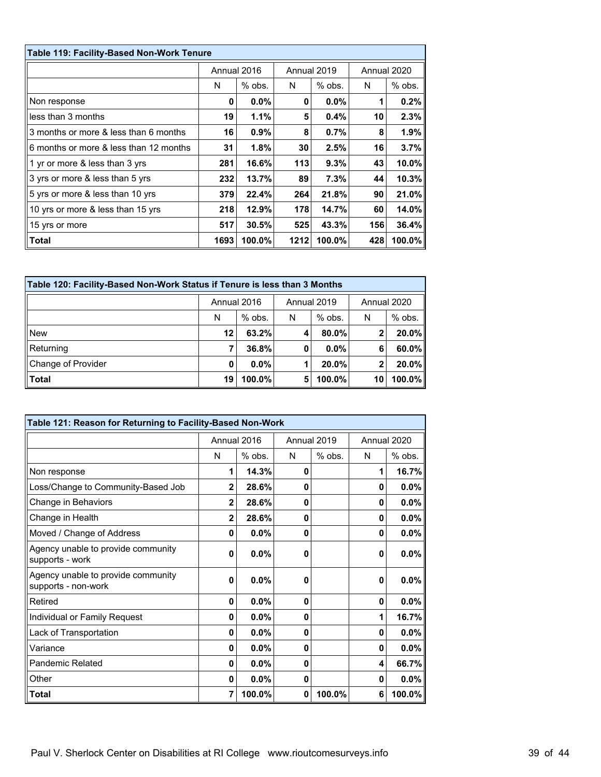| Table 119: Facility-Based Non-Work Tenure |             |          |      |             |     |             |  |  |  |
|-------------------------------------------|-------------|----------|------|-------------|-----|-------------|--|--|--|
|                                           | Annual 2016 |          |      | Annual 2019 |     | Annual 2020 |  |  |  |
|                                           | N           | $%$ obs. | N    | $%$ obs.    | N   | $%$ obs.    |  |  |  |
| Non response                              | 0           | $0.0\%$  | 0    | 0.0%        |     | 0.2%        |  |  |  |
| less than 3 months                        | 19          | 1.1%     | 5    | 0.4%        | 10  | 2.3%        |  |  |  |
| 3 months or more & less than 6 months     | 16          | $0.9\%$  | 8    | 0.7%        | 8   | 1.9%        |  |  |  |
| 6 months or more & less than 12 months    | 31          | 1.8%     | 30   | 2.5%        | 16  | 3.7%        |  |  |  |
| 1 yr or more & less than 3 yrs            | 281         | 16.6%    | 113  | 9.3%        | 43  | 10.0%       |  |  |  |
| 3 yrs or more & less than 5 yrs           | 232         | 13.7%    | 89   | 7.3%        | 44  | 10.3%       |  |  |  |
| 5 yrs or more & less than 10 yrs          | 379         | 22.4%    | 264  | 21.8%       | 90  | 21.0%       |  |  |  |
| 10 yrs or more & less than 15 yrs         | 218         | 12.9%    | 178  | 14.7%       | 60  | 14.0%       |  |  |  |
| 15 yrs or more                            | 517         | 30.5%    | 525  | 43.3%       | 156 | 36.4%       |  |  |  |
| Total                                     | 1693        | 100.0%   | 1212 | 100.0%      | 428 | 100.0%      |  |  |  |

| Table 120: Facility-Based Non-Work Status if Tenure is less than 3 Months |             |           |             |          |             |          |  |  |  |
|---------------------------------------------------------------------------|-------------|-----------|-------------|----------|-------------|----------|--|--|--|
|                                                                           | Annual 2016 |           | Annual 2019 |          | Annual 2020 |          |  |  |  |
|                                                                           | N           | $%$ obs.  | N           | $%$ obs. | N           | % obs.   |  |  |  |
| <b>New</b>                                                                | 12          | $63.2\%$  | 4           | 80.0%    | 2           | $20.0\%$ |  |  |  |
| Returning                                                                 | 7           | 36.8%     | 0           | $0.0\%$  | 6           | $60.0\%$ |  |  |  |
| Change of Provider                                                        | 0           | $0.0\%$   |             | 20.0%    | 2           | $20.0\%$ |  |  |  |
| $ $ Total                                                                 | 19          | $100.0\%$ | 5           | 100.0%   | 10          | 100.0%   |  |  |  |

| Table 121: Reason for Returning to Facility-Based Non-Work |                |             |   |             |              |             |  |  |
|------------------------------------------------------------|----------------|-------------|---|-------------|--------------|-------------|--|--|
|                                                            |                | Annual 2016 |   | Annual 2019 |              | Annual 2020 |  |  |
|                                                            | N              | $%$ obs.    | N | $%$ obs.    | N            | % obs.      |  |  |
| Non response                                               | 1              | 14.3%       | 0 |             | 1            | 16.7%       |  |  |
| Loss/Change to Community-Based Job                         | $\mathbf{2}$   | 28.6%       | 0 |             | $\mathbf{0}$ | 0.0%        |  |  |
| Change in Behaviors                                        | $\overline{2}$ | 28.6%       | 0 |             | 0            | 0.0%        |  |  |
| Change in Health                                           | $\overline{2}$ | 28.6%       | 0 |             | 0            | 0.0%        |  |  |
| Moved / Change of Address                                  | 0              | $0.0\%$     | 0 |             | 0            | 0.0%        |  |  |
| Agency unable to provide community<br>supports - work      | 0              | 0.0%        | 0 |             | 0            | 0.0%        |  |  |
| Agency unable to provide community<br>supports - non-work  | 0              | 0.0%        | 0 |             | 0            | 0.0%        |  |  |
| Retired                                                    | 0              | $0.0\%$     | 0 |             | 0            | 0.0%        |  |  |
| Individual or Family Request                               | 0              | $0.0\%$     | 0 |             | 1            | 16.7%       |  |  |
| Lack of Transportation                                     | 0              | $0.0\%$     | 0 |             | 0            | 0.0%        |  |  |
| Variance                                                   | 0              | $0.0\%$     | 0 |             | 0            | 0.0%        |  |  |
| Pandemic Related                                           | 0              | 0.0%        | 0 |             | 4            | 66.7%       |  |  |
| Other                                                      | 0              | $0.0\%$     | 0 |             | 0            | 0.0%        |  |  |
| Total                                                      | 7              | 100.0%      | 0 | 100.0%      | 6            | 100.0%      |  |  |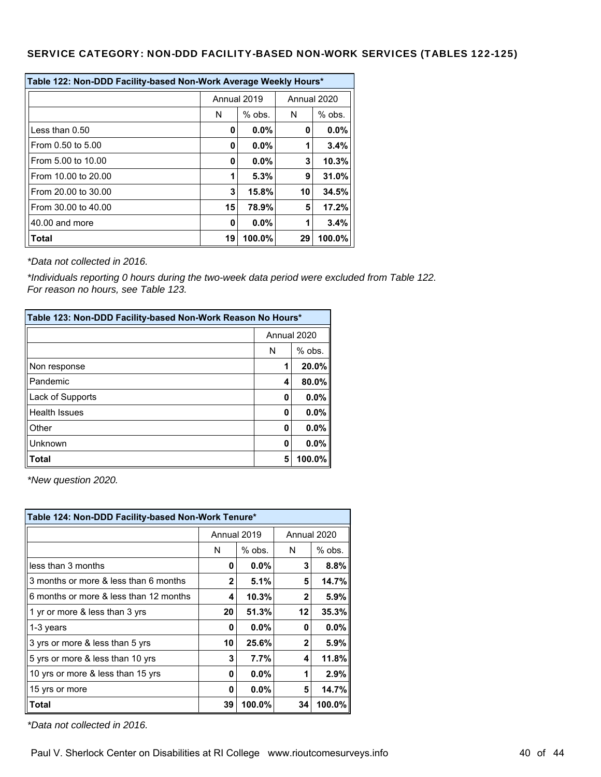### SERVICE CATEGORY: NON-DDD FACILITY-BASED NON-WORK SERVICES (TABLES 122-125)

| Table 122: Non-DDD Facility-based Non-Work Average Weekly Hours* |               |             |             |          |  |  |
|------------------------------------------------------------------|---------------|-------------|-------------|----------|--|--|
|                                                                  |               | Annual 2019 | Annual 2020 |          |  |  |
|                                                                  | N<br>$%$ obs. |             | N           | $%$ obs. |  |  |
| Less than $0.50$                                                 | 0             | $0.0\%$     | 0           | $0.0\%$  |  |  |
| From 0.50 to 5.00                                                | 0             | 0.0%        | 1           | 3.4%     |  |  |
| From 5.00 to 10.00                                               | 0             | $0.0\%$     | 3           | 10.3%    |  |  |
| From 10.00 to 20.00                                              | 1             | 5.3%        | 9           | 31.0%    |  |  |
| From 20.00 to 30.00                                              | 3             | 15.8%       | 10          | 34.5%    |  |  |
| From 30.00 to 40.00                                              | 15            | 78.9%       | 5           | 17.2%    |  |  |
| 40.00 and more                                                   | 0.0%<br>0     |             | 1           | 3.4%     |  |  |
| <b>Total</b>                                                     | 19            | 100.0%      | 29          | 100.0%   |  |  |

*\*Data not collected in 2016.*

*\*Individuals reporting 0 hours during the two-week data period were excluded from Table 122. For reason no hours, see Table 123.*

| Table 123: Non-DDD Facility-based Non-Work Reason No Hours* |             |        |  |  |  |
|-------------------------------------------------------------|-------------|--------|--|--|--|
|                                                             | Annual 2020 |        |  |  |  |
|                                                             | % obs.<br>N |        |  |  |  |
| Non response                                                | 1           | 20.0%  |  |  |  |
| Pandemic                                                    | 4           | 80.0%  |  |  |  |
| Lack of Supports                                            | 0           | 0.0%   |  |  |  |
| <b>Health Issues</b>                                        | 0           | 0.0%   |  |  |  |
| Other                                                       | 0           | 0.0%   |  |  |  |
| Unknown                                                     | 0           | 0.0%   |  |  |  |
| <b>Total</b>                                                | 5           | 100.0% |  |  |  |

*\*New question 2020.*

| Table 124: Non-DDD Facility-based Non-Work Tenure* |    |             |              |             |  |  |
|----------------------------------------------------|----|-------------|--------------|-------------|--|--|
|                                                    |    | Annual 2019 |              | Annual 2020 |  |  |
|                                                    | N  | $%$ obs.    | N            | $%$ obs.    |  |  |
| less than 3 months                                 | O  | $0.0\%$     | 3            | 8.8%        |  |  |
| 3 months or more & less than 6 months              | 2  | 5.1%        | 5            | 14.7%       |  |  |
| 6 months or more & less than 12 months             | 4  | 10.3%       | $\mathbf{2}$ | 5.9%        |  |  |
| 1 yr or more & less than 3 yrs                     | 20 | 51.3%       | 12           | 35.3%       |  |  |
| 1-3 years                                          | n  | 0.0%        | 0            | 0.0%        |  |  |
| 3 yrs or more & less than 5 yrs                    | 10 | 25.6%       | $\mathbf{2}$ | 5.9%        |  |  |
| 5 yrs or more & less than 10 yrs                   | 3  | 7.7%        | 4            | 11.8%       |  |  |
| 10 yrs or more & less than 15 yrs                  | O  | $0.0\%$     | 1            | 2.9%        |  |  |
| 15 yrs or more                                     | O  | $0.0\%$     | 5            | 14.7%       |  |  |
| Total                                              | 39 | 100.0%      | 34           | 100.0%      |  |  |

*\*Data not collected in 2016.*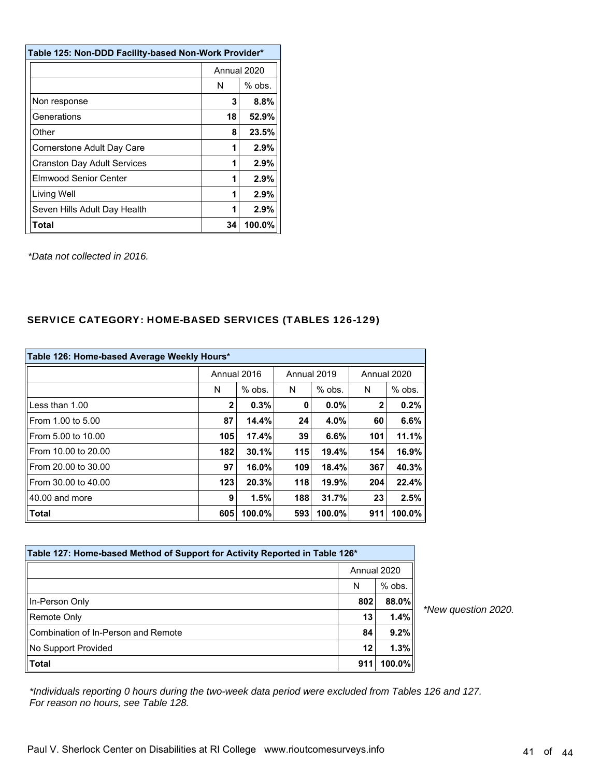| Table 125: Non-DDD Facility-based Non-Work Provider* |               |      |  |  |  |
|------------------------------------------------------|---------------|------|--|--|--|
|                                                      | Annual 2020   |      |  |  |  |
|                                                      | $%$ obs.<br>N |      |  |  |  |
| Non response                                         | 3<br>8.8%     |      |  |  |  |
| Generations                                          | 52.9%<br>18   |      |  |  |  |
| Other                                                | 8<br>23.5%    |      |  |  |  |
| Cornerstone Adult Day Care                           | 1             | 2.9% |  |  |  |
| <b>Cranston Day Adult Services</b>                   | 1             | 2.9% |  |  |  |
| Elmwood Senior Center                                | 1             | 2.9% |  |  |  |
| Living Well                                          | 1             | 2.9% |  |  |  |
| Seven Hills Adult Day Health                         | 2.9%<br>1     |      |  |  |  |
| <b>Total</b><br>100.0%<br>34                         |               |      |  |  |  |

*\*Data not collected in 2016.*

## SERVICE CATEGORY: HOME-BASED SERVICES (TABLES 126-129)

| Table 126: Home-based Average Weekly Hours* |     |             |             |          |     |             |  |
|---------------------------------------------|-----|-------------|-------------|----------|-----|-------------|--|
|                                             |     | Annual 2016 | Annual 2019 |          |     | Annual 2020 |  |
|                                             | N   | $%$ obs.    | N           | $%$ obs. | N   | % obs.      |  |
| Less than 1.00                              | 2   | 0.3%        | 0           | 0.0%     | 2   | 0.2%        |  |
| From 1.00 to 5.00                           | 87  | 14.4%       | 24          | 4.0%     | 60  | 6.6%        |  |
| From 5.00 to 10.00                          | 105 | 17.4%       | 39          | 6.6%     | 101 | 11.1%       |  |
| From 10.00 to 20.00                         | 182 | 30.1%       | 115         | 19.4%    | 154 | 16.9%       |  |
| From 20.00 to 30.00                         | 97  | 16.0%       | 109         | 18.4%    | 367 | 40.3%       |  |
| From 30.00 to 40.00                         | 123 | 20.3%       | 118         | 19.9%    | 204 | 22.4%       |  |
| 40.00 and more                              | 9   | 1.5%        | 188         | 31.7%    | 23  | 2.5%        |  |
| Total                                       | 605 | 100.0%      | 593         | 100.0%   | 911 | 100.0%      |  |

| Table 127: Home-based Method of Support for Activity Reported in Table 126* |     |             |
|-----------------------------------------------------------------------------|-----|-------------|
|                                                                             |     | Annual 2020 |
|                                                                             | N   | $%$ obs.    |
| In-Person Only                                                              | 802 | 88.0%       |
| Remote Only                                                                 | 13  | 1.4%        |
| Combination of In-Person and Remote                                         | 84  | 9.2%        |
| No Support Provided                                                         | 12  | 1.3%        |
| <b>Total</b>                                                                | 911 | 100.0%      |

*\*New question 2020.*

*\*Individuals reporting 0 hours during the two-week data period were excluded from Tables 126 and 127. For reason no hours, see Table 128.*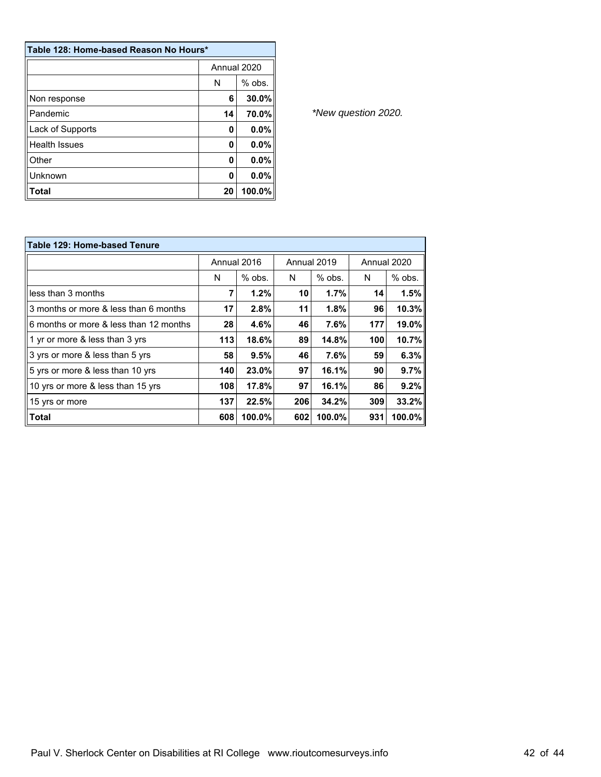| Table 128: Home-based Reason No Hours* |               |        |  |  |  |
|----------------------------------------|---------------|--------|--|--|--|
|                                        | Annual 2020   |        |  |  |  |
|                                        | $%$ obs.<br>N |        |  |  |  |
| Non response                           | 6             | 30.0%  |  |  |  |
| Pandemic                               | 14            | 70.0%  |  |  |  |
| Lack of Supports                       | 0             | 0.0%   |  |  |  |
| <b>Health Issues</b>                   | 0             | 0.0%   |  |  |  |
| Other                                  | O             | 0.0%   |  |  |  |
| Unknown                                | 0             | 0.0%   |  |  |  |
| Total                                  | 20            | 100.0% |  |  |  |

| <b>Table 129: Home-based Tenure</b>    |             |          |             |          |             |        |  |
|----------------------------------------|-------------|----------|-------------|----------|-------------|--------|--|
|                                        | Annual 2016 |          | Annual 2019 |          | Annual 2020 |        |  |
|                                        | N           | $%$ obs. | N           | $%$ obs. | N           | % obs. |  |
| less than 3 months                     | 7           | 1.2%     | 10          | 1.7%     | 14          | 1.5%   |  |
| 3 months or more & less than 6 months  | 17          | 2.8%     | 11          | 1.8%     | 96          | 10.3%  |  |
| 6 months or more & less than 12 months | 28          | 4.6%     | 46          | 7.6%     | 177         | 19.0%  |  |
| 1 yr or more & less than 3 yrs         | 113         | 18.6%    | 89          | 14.8%    | 100         | 10.7%  |  |
| 3 yrs or more & less than 5 yrs        | 58          | 9.5%     | 46          | 7.6%     | 59          | 6.3%   |  |
| 5 yrs or more & less than 10 yrs       | 140         | 23.0%    | 97          | 16.1%    | 90          | 9.7%   |  |
| 10 yrs or more & less than 15 yrs      | 108         | 17.8%    | 97          | 16.1%    | 86          | 9.2%   |  |
| 15 yrs or more                         | 137         | 22.5%    | 206         | 34.2%    | 309         | 33.2%  |  |
| <b>Total</b>                           | 608         | 100.0%   | 602         | 100.0%   | 931         | 100.0% |  |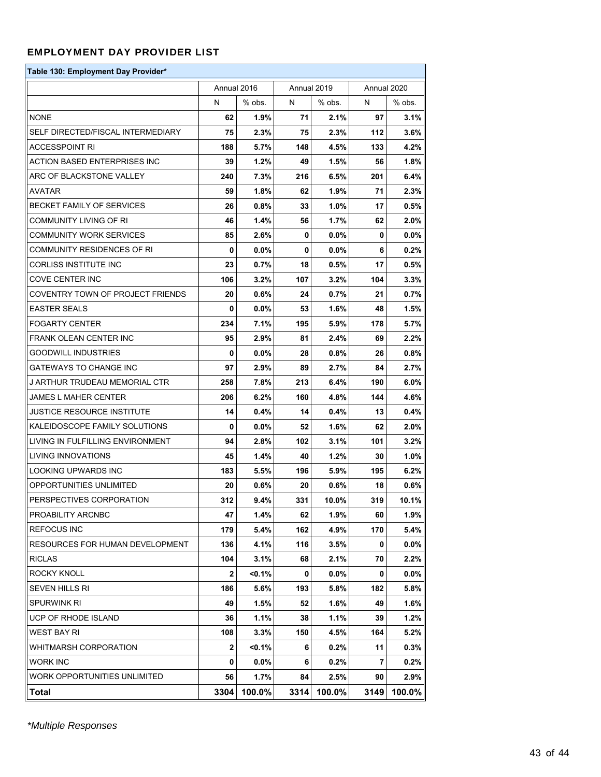### EMPLOYMENT DAY PROVIDER LIST

| Table 130: Employment Day Provider* |      |             |             |         |      |             |
|-------------------------------------|------|-------------|-------------|---------|------|-------------|
|                                     |      | Annual 2016 | Annual 2019 |         |      | Annual 2020 |
|                                     | N    | % obs.      | N           | % obs.  | N    | % obs.      |
| <b>NONE</b>                         | 62   | 1.9%        | 71          | 2.1%    | 97   | $3.1\%$     |
| SELF DIRECTED/FISCAL INTERMEDIARY   | 75   | $2.3\%$     | 75          | $2.3\%$ | 112  | 3.6%        |
| ACCESSPOINT RI                      | 188  | 5.7%        | 148         | 4.5%    | 133  | 4.2%        |
| ACTION BASED ENTERPRISES INC        | 39   | 1.2%        | 49          | 1.5%    | 56   | 1.8%        |
| ARC OF BLACKSTONE VALLEY            | 240  | 7.3%        | 216         | 6.5%    | 201  | 6.4%        |
| AVATAR                              | 59   | 1.8%        | 62          | 1.9%    | 71   | $2.3\%$     |
| BECKET FAMILY OF SERVICES           | 26   | 0.8%        | 33          | 1.0%    | 17   | $0.5\%$     |
| COMMUNITY LIVING OF RI              | 46   | 1.4%        | 56          | 1.7%    | 62   | $2.0\%$     |
| COMMUNITY WORK SERVICES             | 85   | 2.6%        | 0           | $0.0\%$ | 0    | $0.0\%$     |
| COMMUNITY RESIDENCES OF RI          | 0    | $0.0\%$     | 0           | $0.0\%$ | 6    | $0.2\%$     |
| CORLISS INSTITUTE INC               | 23   | 0.7%        | 18          | 0.5%    | 17   | $0.5\%$     |
| COVE CENTER INC                     | 106  | $3.2\%$     | 107         | $3.2\%$ | 104  | $3.3\%$     |
| COVENTRY TOWN OF PROJECT FRIENDS    | 20   | 0.6%        | 24          | 0.7%    | 21   | $0.7\%$     |
| <b>EASTER SEALS</b>                 | 0    | $0.0\%$     | 53          | $1.6\%$ | 48   | 1.5%        |
| <b>FOGARTY CENTER</b>               | 234  | 7.1%        | 195         | 5.9%    | 178  | $5.7\%$     |
| FRANK OLEAN CENTER INC              | 95   | $2.9\%$     | 81          | $2.4\%$ | 69   | 2.2%        |
| <b>GOODWILL INDUSTRIES</b>          | 0    | $0.0\%$     | 28          | 0.8%    | 26   | $0.8\%$     |
| GATEWAYS TO CHANGE INC              | 97   | 2.9%        | 89          | $2.7\%$ | 84   | 2.7%        |
| J ARTHUR TRUDEAU MEMORIAL CTR       | 258  | 7.8%        | 213         | 6.4%    | 190  | $6.0\%$     |
| JAMES L MAHER CENTER                | 206  | 6.2%        | 160         | 4.8%    | 144  | 4.6%        |
| JUSTICE RESOURCE INSTITUTE          | 14   | 0.4%        | 14          | 0.4%    | 13   | $0.4\%$     |
| KALEIDOSCOPE FAMILY SOLUTIONS       | 0    | $0.0\%$     | 52          | $1.6\%$ | 62   | $2.0\%$     |
| LIVING IN FULFILLING ENVIRONMENT    | 94   | 2.8%        | 102         | 3.1%    | 101  | 3.2%        |
| LIVING INNOVATIONS                  | 45   | 1.4%        | 40          | 1.2%    | 30   | 1.0%        |
| LOOKING UPWARDS INC                 | 183  | 5.5%        | 196         | 5.9%    | 195  | 6.2%        |
| OPPORTUNITIES UNLIMITED             | 20   | $0.6\%$     | 20          | 0.6%    | 18   | 0.6%        |
| PERSPECTIVES CORPORATION            | 312  | 9.4%        | 331         | 10.0%   | 319  | 10.1%       |
| PROABILITY ARCNBC                   | 47   | 1.4%        | 62          | 1.9%    | 60   | 1.9%        |
| REFOCUS INC                         | 179  | 5.4%        | 162         | 4.9%    | 170  | 5.4%        |
| RESOURCES FOR HUMAN DEVELOPMENT     | 136  | 4.1%        | 116         | $3.5\%$ | 0    | $0.0\%$     |
| <b>RICLAS</b>                       | 104  | 3.1%        | 68          | 2.1%    | 70   | 2.2%        |
| ROCKY KNOLL                         | 2    | <0.1%       | 0           | $0.0\%$ | 0    | $0.0\%$     |
| SEVEN HILLS RI                      | 186  | 5.6%        | 193         | 5.8%    | 182  | 5.8%        |
| <b>SPURWINK RI</b>                  | 49   | 1.5%        | 52          | 1.6%    | 49   | 1.6%        |
| UCP OF RHODE ISLAND                 | 36   | 1.1%        | 38          | 1.1%    | 39   | 1.2%        |
| WEST BAY RI                         | 108  | $3.3\%$     | 150         | 4.5%    | 164  | 5.2%        |
| WHITMARSH CORPORATION               | 2    | $< 0.1\%$   | 6           | $0.2\%$ | 11   | $0.3\%$     |
| WORK INC                            | 0    | $0.0\%$     | 6           | $0.2\%$ | 7    | $0.2\%$     |
| WORK OPPORTUNITIES UNLIMITED        | 56   | 1.7%        | 84          | 2.5%    | 90   | 2.9%        |
| Total                               | 3304 | 100.0%      | 3314        | 100.0%  | 3149 | 100.0%      |

*\*Multiple Responses*